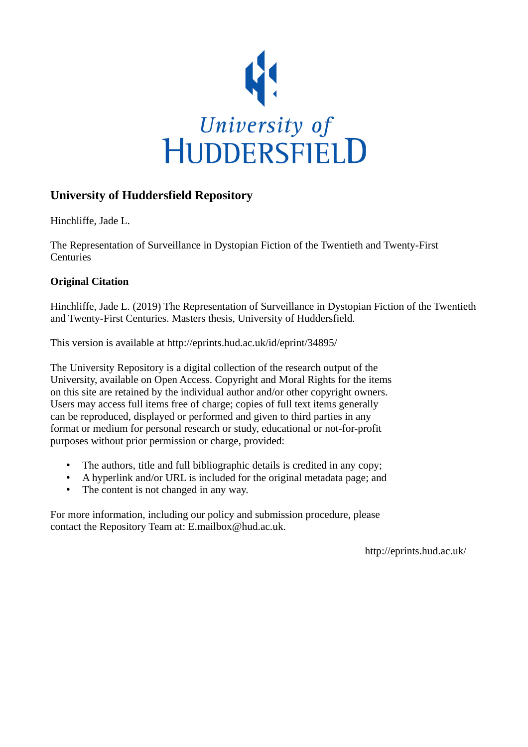

# **University of Huddersfield Repository**

Hinchliffe, Jade L.

The Representation of Surveillance in Dystopian Fiction of the Twentieth and Twenty-First **Centuries** 

## **Original Citation**

Hinchliffe, Jade L. (2019) The Representation of Surveillance in Dystopian Fiction of the Twentieth and Twenty-First Centuries. Masters thesis, University of Huddersfield.

This version is available at http://eprints.hud.ac.uk/id/eprint/34895/

The University Repository is a digital collection of the research output of the University, available on Open Access. Copyright and Moral Rights for the items on this site are retained by the individual author and/or other copyright owners. Users may access full items free of charge; copies of full text items generally can be reproduced, displayed or performed and given to third parties in any format or medium for personal research or study, educational or not-for-profit purposes without prior permission or charge, provided:

- The authors, title and full bibliographic details is credited in any copy;
- A hyperlink and/or URL is included for the original metadata page; and
- The content is not changed in any way.

For more information, including our policy and submission procedure, please contact the Repository Team at: E.mailbox@hud.ac.uk.

http://eprints.hud.ac.uk/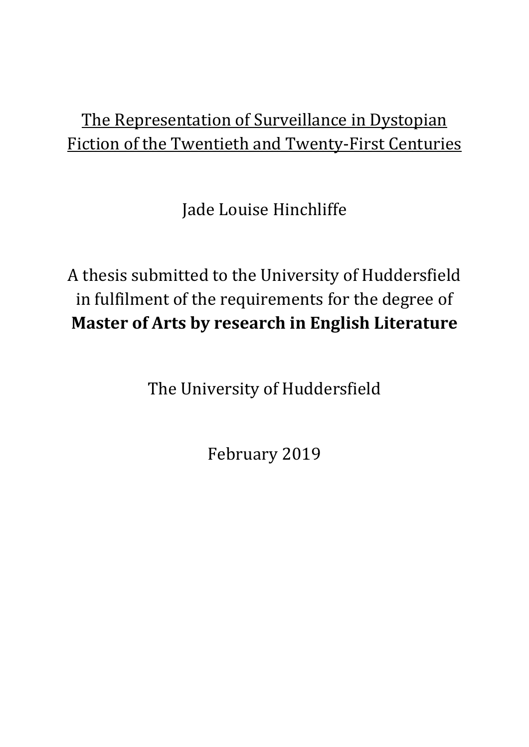# The Representation of Surveillance in Dystopian Fiction of the Twentieth and Twenty-First Centuries

Jade Louise Hinchliffe

A thesis submitted to the University of Huddersfield in fulfilment of the requirements for the degree of **Master of Arts by research in English Literature**

The University of Huddersfield

February 2019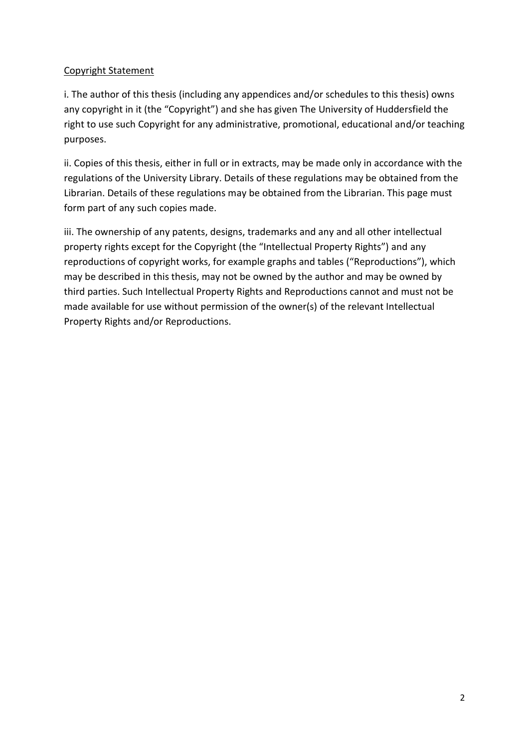## Copyright Statement

i. The author of this thesis (including any appendices and/or schedules to this thesis) owns any copyright in it (the "Copyright") and she has given The University of Huddersfield the right to use such Copyright for any administrative, promotional, educational and/or teaching purposes.

ii. Copies of this thesis, either in full or in extracts, may be made only in accordance with the regulations of the University Library. Details of these regulations may be obtained from the Librarian. Details of these regulations may be obtained from the Librarian. This page must form part of any such copies made.

iii. The ownership of any patents, designs, trademarks and any and all other intellectual property rights except for the Copyright (the "Intellectual Property Rights") and any reproductions of copyright works, for example graphs and tables ("Reproductions"), which may be described in this thesis, may not be owned by the author and may be owned by third parties. Such Intellectual Property Rights and Reproductions cannot and must not be made available for use without permission of the owner(s) of the relevant Intellectual Property Rights and/or Reproductions.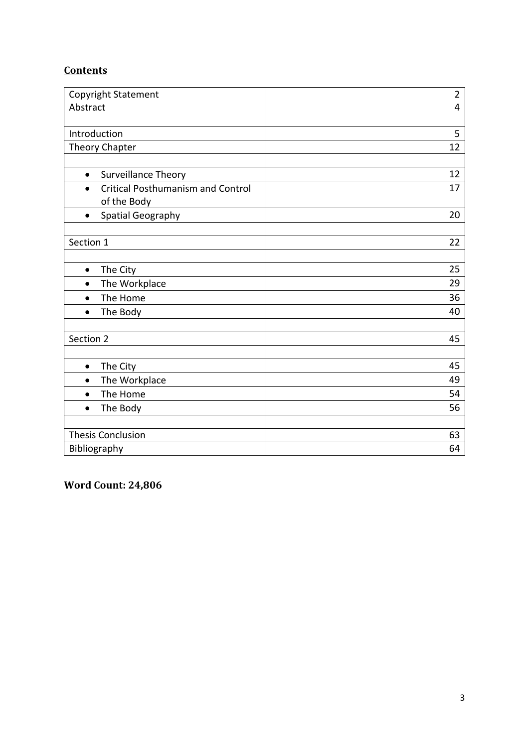# **Contents**

| Copyright Statement                                   | $\overline{2}$ |
|-------------------------------------------------------|----------------|
| Abstract                                              | $\overline{4}$ |
|                                                       |                |
| Introduction                                          | 5              |
| Theory Chapter                                        | 12             |
|                                                       |                |
| Surveillance Theory<br>$\bullet$                      | 12             |
| <b>Critical Posthumanism and Control</b><br>$\bullet$ | 17             |
| of the Body                                           |                |
| Spatial Geography<br>$\bullet$                        | 20             |
|                                                       |                |
| Section 1                                             | 22             |
|                                                       |                |
| The City<br>$\bullet$                                 | 25             |
| The Workplace<br>$\bullet$                            | 29             |
| The Home<br>$\bullet$                                 | 36             |
| The Body<br>$\bullet$                                 | 40             |
|                                                       |                |
| Section 2                                             | 45             |
|                                                       |                |
| The City<br>$\bullet$                                 | 45             |
| The Workplace<br>$\bullet$                            | 49             |
| The Home<br>$\bullet$                                 | 54             |
| The Body<br>$\bullet$                                 | 56             |
|                                                       |                |
| <b>Thesis Conclusion</b>                              | 63             |
| Bibliography                                          | 64             |

**Word Count: 24,806**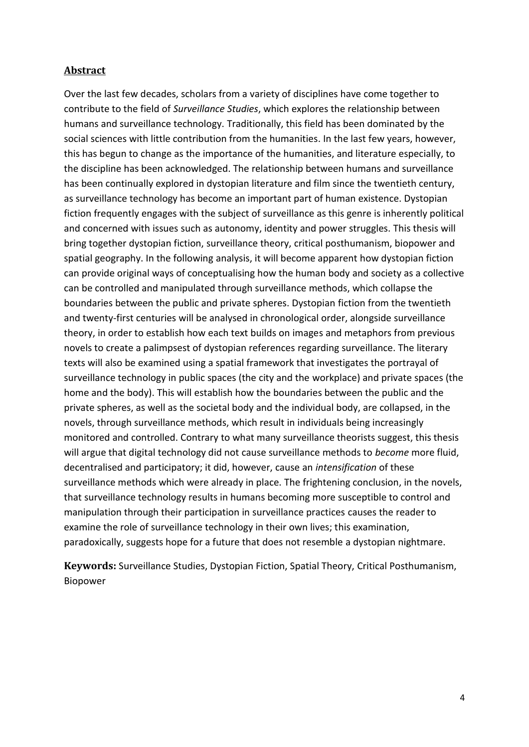## **Abstract**

Over the last few decades, scholars from a variety of disciplines have come together to contribute to the field of *Surveillance Studies*, which explores the relationship between humans and surveillance technology. Traditionally, this field has been dominated by the social sciences with little contribution from the humanities. In the last few years, however, this has begun to change as the importance of the humanities, and literature especially, to the discipline has been acknowledged. The relationship between humans and surveillance has been continually explored in dystopian literature and film since the twentieth century, as surveillance technology has become an important part of human existence. Dystopian fiction frequently engages with the subject of surveillance as this genre is inherently political and concerned with issues such as autonomy, identity and power struggles. This thesis will bring together dystopian fiction, surveillance theory, critical posthumanism, biopower and spatial geography. In the following analysis, it will become apparent how dystopian fiction can provide original ways of conceptualising how the human body and society as a collective can be controlled and manipulated through surveillance methods, which collapse the boundaries between the public and private spheres. Dystopian fiction from the twentieth and twenty-first centuries will be analysed in chronological order, alongside surveillance theory, in order to establish how each text builds on images and metaphors from previous novels to create a palimpsest of dystopian references regarding surveillance. The literary texts will also be examined using a spatial framework that investigates the portrayal of surveillance technology in public spaces (the city and the workplace) and private spaces (the home and the body). This will establish how the boundaries between the public and the private spheres, as well as the societal body and the individual body, are collapsed, in the novels, through surveillance methods, which result in individuals being increasingly monitored and controlled. Contrary to what many surveillance theorists suggest, this thesis will argue that digital technology did not cause surveillance methods to *become* more fluid, decentralised and participatory; it did, however, cause an *intensification* of these surveillance methods which were already in place. The frightening conclusion, in the novels, that surveillance technology results in humans becoming more susceptible to control and manipulation through their participation in surveillance practices causes the reader to examine the role of surveillance technology in their own lives; this examination, paradoxically, suggests hope for a future that does not resemble a dystopian nightmare.

**Keywords:** Surveillance Studies, Dystopian Fiction, Spatial Theory, Critical Posthumanism, Biopower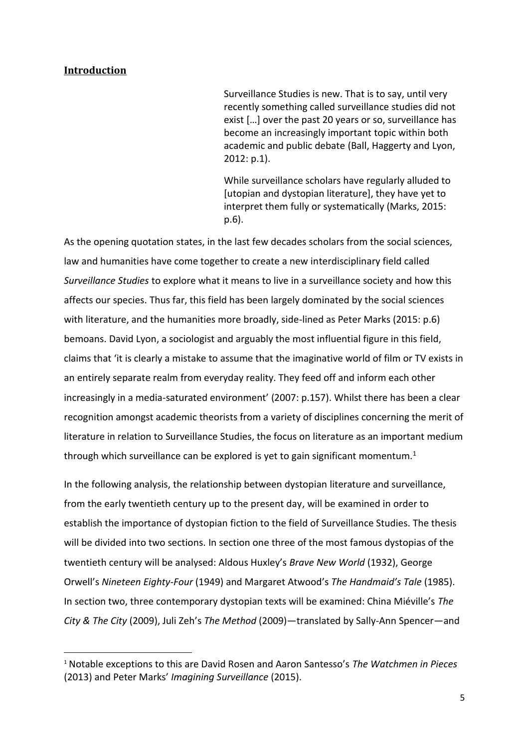### **Introduction**

**.** 

Surveillance Studies is new. That is to say, until very recently something called surveillance studies did not exist […] over the past 20 years or so, surveillance has become an increasingly important topic within both academic and public debate (Ball, Haggerty and Lyon, 2012: p.1).

While surveillance scholars have regularly alluded to [utopian and dystopian literature], they have yet to interpret them fully or systematically (Marks, 2015: p.6).

As the opening quotation states, in the last few decades scholars from the social sciences, law and humanities have come together to create a new interdisciplinary field called *Surveillance Studies* to explore what it means to live in a surveillance society and how this affects our species. Thus far, this field has been largely dominated by the social sciences with literature, and the humanities more broadly, side-lined as Peter Marks (2015: p.6) bemoans. David Lyon, a sociologist and arguably the most influential figure in this field, claims that 'it is clearly a mistake to assume that the imaginative world of film or TV exists in an entirely separate realm from everyday reality. They feed off and inform each other increasingly in a media-saturated environment' (2007: p.157). Whilst there has been a clear recognition amongst academic theorists from a variety of disciplines concerning the merit of literature in relation to Surveillance Studies, the focus on literature as an important medium through which surveillance can be explored is yet to gain significant momentum.<sup>1</sup>

In the following analysis, the relationship between dystopian literature and surveillance, from the early twentieth century up to the present day, will be examined in order to establish the importance of dystopian fiction to the field of Surveillance Studies. The thesis will be divided into two sections. In section one three of the most famous dystopias of the twentieth century will be analysed: Aldous Huxley's *Brave New World* (1932), George Orwell's *Nineteen Eighty-Four* (1949) and Margaret Atwood's *The Handmaid's Tale* (1985). In section two, three contemporary dystopian texts will be examined: China Miéville's *The City & The City* (2009), Juli Zeh's *The Method* (2009)—translated by Sally-Ann Spencer—and

<sup>1</sup> Notable exceptions to this are David Rosen and Aaron Santesso's *The Watchmen in Pieces*  (2013) and Peter Marks' *Imagining Surveillance* (2015).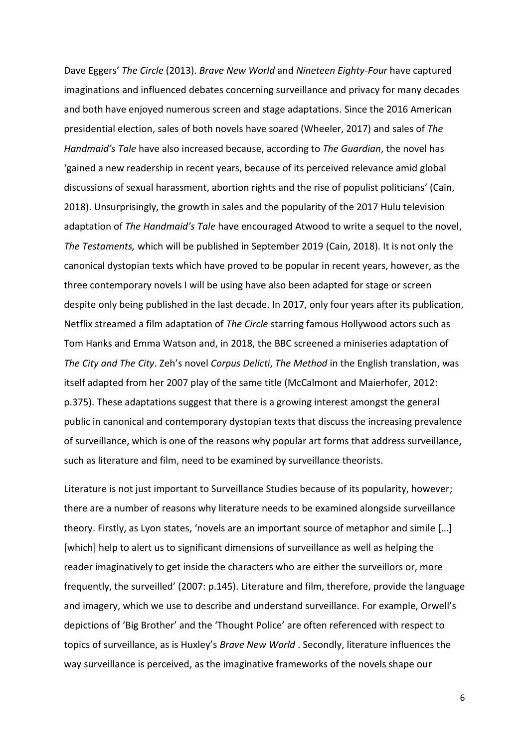Dave Eggers' *The Circle* (2013). *Brave New World* and *Nineteen Eighty-Four* have captured imaginations and influenced debates concerning surveillance and privacy for many decades and both have enjoyed numerous screen and stage adaptations. Since the 2016 American presidential election, sales of both novels have soared (Wheeler, 2017) and sales of *The Handmaid's Tale* have also increased because, according to *The Guardian*, the novel has 'gained a new readership in recent years, because of its perceived relevance amid global discussions of sexual harassment, abortion rights and the rise of populist politicians' (Cain, 2018). Unsurprisingly, the growth in sales and the popularity of the 2017 Hulu television adaptation of *The Handmaid's Tale* have encouraged Atwood to write a sequel to the novel, *The Testaments,* which will be published in September 2019 (Cain, 2018). It is not only the canonical dystopian texts which have proved to be popular in recent years, however, as the three contemporary novels I will be using have also been adapted for stage or screen despite only being published in the last decade. In 2017, only four years after its publication, Netflix streamed a film adaptation of *The Circle* starring famous Hollywood actors such as Tom Hanks and Emma Watson and, in 2018, the BBC screened a miniseries adaptation of *The City and The City*. Zeh's novel *Corpus Delicti*, *The Method* in the English translation, was itself adapted from her 2007 play of the same title (McCalmont and Maierhofer, 2012: p.375). These adaptations suggest that there is a growing interest amongst the general public in canonical and contemporary dystopian texts that discuss the increasing prevalence of surveillance, which is one of the reasons why popular art forms that address surveillance, such as literature and film, need to be examined by surveillance theorists.

Literature is not just important to Surveillance Studies because of its popularity, however; there are a number of reasons why literature needs to be examined alongside surveillance theory. Firstly, as Lyon states, 'novels are an important source of metaphor and simile […] [which] help to alert us to significant dimensions of surveillance as well as helping the reader imaginatively to get inside the characters who are either the surveillors or, more frequently, the surveilled' (2007: p.145). Literature and film, therefore, provide the language and imagery, which we use to describe and understand surveillance. For example, Orwell's depictions of 'Big Brother' and the 'Thought Police' are often referenced with respect to topics of surveillance, as is Huxley's *Brave New World* . Secondly, literature influences the way surveillance is perceived, as the imaginative frameworks of the novels shape our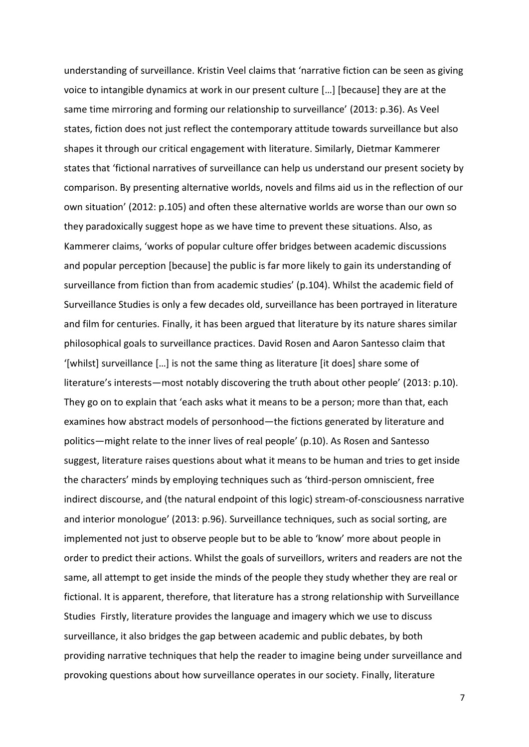understanding of surveillance. Kristin Veel claims that 'narrative fiction can be seen as giving voice to intangible dynamics at work in our present culture […] [because] they are at the same time mirroring and forming our relationship to surveillance' (2013: p.36). As Veel states, fiction does not just reflect the contemporary attitude towards surveillance but also shapes it through our critical engagement with literature. Similarly, Dietmar Kammerer states that 'fictional narratives of surveillance can help us understand our present society by comparison. By presenting alternative worlds, novels and films aid us in the reflection of our own situation' (2012: p.105) and often these alternative worlds are worse than our own so they paradoxically suggest hope as we have time to prevent these situations. Also, as Kammerer claims, 'works of popular culture offer bridges between academic discussions and popular perception [because] the public is far more likely to gain its understanding of surveillance from fiction than from academic studies' (p.104). Whilst the academic field of Surveillance Studies is only a few decades old, surveillance has been portrayed in literature and film for centuries. Finally, it has been argued that literature by its nature shares similar philosophical goals to surveillance practices. David Rosen and Aaron Santesso claim that '[whilst] surveillance […] is not the same thing as literature [it does] share some of literature's interests—most notably discovering the truth about other people' (2013: p.10). They go on to explain that 'each asks what it means to be a person; more than that, each examines how abstract models of personhood—the fictions generated by literature and politics—might relate to the inner lives of real people' (p.10). As Rosen and Santesso suggest, literature raises questions about what it means to be human and tries to get inside the characters' minds by employing techniques such as 'third-person omniscient, free indirect discourse, and (the natural endpoint of this logic) stream-of-consciousness narrative and interior monologue' (2013: p.96). Surveillance techniques, such as social sorting, are implemented not just to observe people but to be able to 'know' more about people in order to predict their actions. Whilst the goals of surveillors, writers and readers are not the same, all attempt to get inside the minds of the people they study whether they are real or fictional. It is apparent, therefore, that literature has a strong relationship with Surveillance Studies Firstly, literature provides the language and imagery which we use to discuss surveillance, it also bridges the gap between academic and public debates, by both providing narrative techniques that help the reader to imagine being under surveillance and provoking questions about how surveillance operates in our society. Finally, literature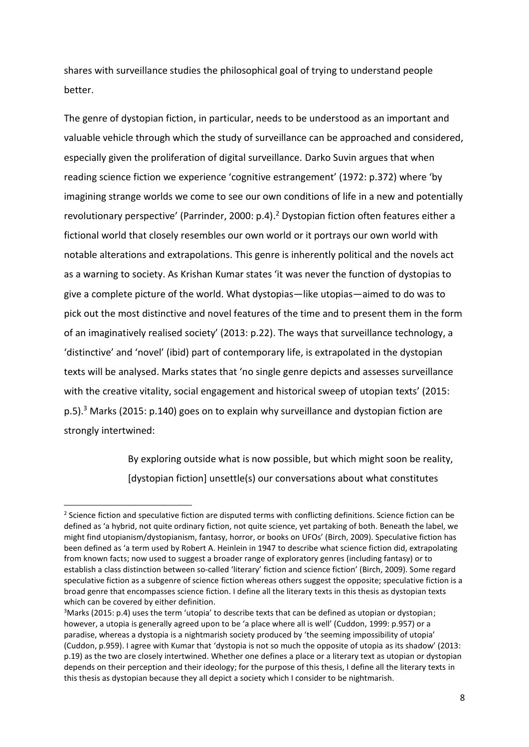shares with surveillance studies the philosophical goal of trying to understand people better.

The genre of dystopian fiction, in particular, needs to be understood as an important and valuable vehicle through which the study of surveillance can be approached and considered, especially given the proliferation of digital surveillance. Darko Suvin argues that when reading science fiction we experience 'cognitive estrangement' (1972: p.372) where 'by imagining strange worlds we come to see our own conditions of life in a new and potentially revolutionary perspective' (Parrinder, 2000: p.4).<sup>2</sup> Dystopian fiction often features either a fictional world that closely resembles our own world or it portrays our own world with notable alterations and extrapolations. This genre is inherently political and the novels act as a warning to society. As Krishan Kumar states 'it was never the function of dystopias to give a complete picture of the world. What dystopias—like utopias—aimed to do was to pick out the most distinctive and novel features of the time and to present them in the form of an imaginatively realised society' (2013: p.22). The ways that surveillance technology, a 'distinctive' and 'novel' (ibid) part of contemporary life, is extrapolated in the dystopian texts will be analysed. Marks states that 'no single genre depicts and assesses surveillance with the creative vitality, social engagement and historical sweep of utopian texts' (2015: p.5).<sup>3</sup> Marks (2015: p.140) goes on to explain why surveillance and dystopian fiction are strongly intertwined:

> By exploring outside what is now possible, but which might soon be reality, [dystopian fiction] unsettle(s) our conversations about what constitutes

**.** 

 $2$  Science fiction and speculative fiction are disputed terms with conflicting definitions. Science fiction can be defined as 'a hybrid, not quite ordinary fiction, not quite science, yet partaking of both. Beneath the label, we might find utopianism/dystopianism, fantasy, horror, or books on UFOs' (Birch, 2009). Speculative fiction has been defined as 'a term used by Robert A. Heinlein in 1947 to describe what science fiction did, extrapolating from known facts; now used to suggest a broader range of exploratory genres (including fantasy) or to establish a class distinction between so-called 'literary' fiction and science fiction' (Birch, 2009). Some regard speculative fiction as a subgenre of science fiction whereas others suggest the opposite; speculative fiction is a broad genre that encompasses science fiction. I define all the literary texts in this thesis as dystopian texts which can be covered by either definition.

 $3$ Marks (2015: p.4) uses the term 'utopia' to describe texts that can be defined as utopian or dystopian; however, a utopia is generally agreed upon to be 'a place where all is well' (Cuddon, 1999: p.957) or a paradise, whereas a dystopia is a nightmarish society produced by 'the seeming impossibility of utopia' (Cuddon, p.959). I agree with Kumar that 'dystopia is not so much the opposite of utopia as its shadow' (2013: p.19) as the two are closely intertwined. Whether one defines a place or a literary text as utopian or dystopian depends on their perception and their ideology; for the purpose of this thesis, I define all the literary texts in this thesis as dystopian because they all depict a society which I consider to be nightmarish.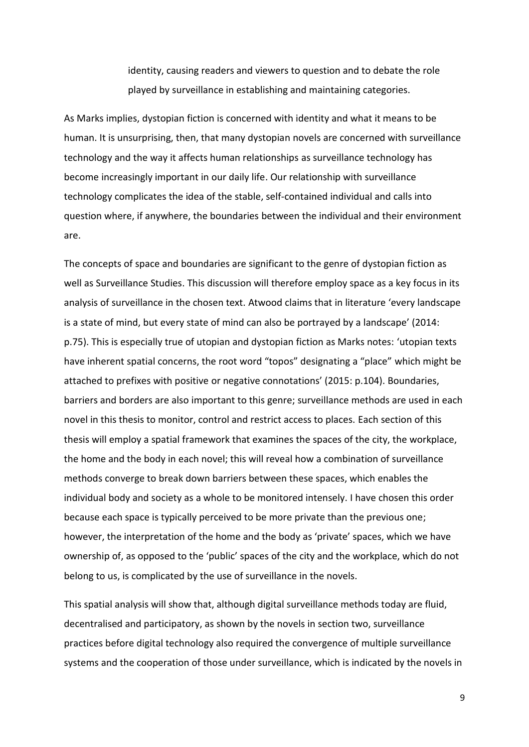identity, causing readers and viewers to question and to debate the role played by surveillance in establishing and maintaining categories.

As Marks implies, dystopian fiction is concerned with identity and what it means to be human. It is unsurprising, then, that many dystopian novels are concerned with surveillance technology and the way it affects human relationships as surveillance technology has become increasingly important in our daily life. Our relationship with surveillance technology complicates the idea of the stable, self-contained individual and calls into question where, if anywhere, the boundaries between the individual and their environment are.

The concepts of space and boundaries are significant to the genre of dystopian fiction as well as Surveillance Studies. This discussion will therefore employ space as a key focus in its analysis of surveillance in the chosen text. Atwood claims that in literature 'every landscape is a state of mind, but every state of mind can also be portrayed by a landscape' (2014: p.75). This is especially true of utopian and dystopian fiction as Marks notes: 'utopian texts have inherent spatial concerns, the root word "topos" designating a "place" which might be attached to prefixes with positive or negative connotations' (2015: p.104). Boundaries, barriers and borders are also important to this genre; surveillance methods are used in each novel in this thesis to monitor, control and restrict access to places. Each section of this thesis will employ a spatial framework that examines the spaces of the city, the workplace, the home and the body in each novel; this will reveal how a combination of surveillance methods converge to break down barriers between these spaces, which enables the individual body and society as a whole to be monitored intensely. I have chosen this order because each space is typically perceived to be more private than the previous one; however, the interpretation of the home and the body as 'private' spaces, which we have ownership of, as opposed to the 'public' spaces of the city and the workplace, which do not belong to us, is complicated by the use of surveillance in the novels.

This spatial analysis will show that, although digital surveillance methods today are fluid, decentralised and participatory, as shown by the novels in section two, surveillance practices before digital technology also required the convergence of multiple surveillance systems and the cooperation of those under surveillance, which is indicated by the novels in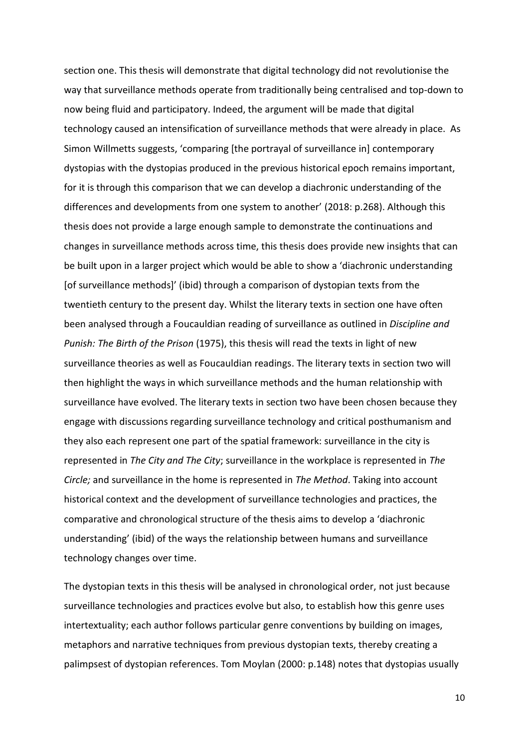section one. This thesis will demonstrate that digital technology did not revolutionise the way that surveillance methods operate from traditionally being centralised and top-down to now being fluid and participatory. Indeed, the argument will be made that digital technology caused an intensification of surveillance methods that were already in place. As Simon Willmetts suggests, 'comparing [the portrayal of surveillance in] contemporary dystopias with the dystopias produced in the previous historical epoch remains important, for it is through this comparison that we can develop a diachronic understanding of the differences and developments from one system to another' (2018: p.268). Although this thesis does not provide a large enough sample to demonstrate the continuations and changes in surveillance methods across time, this thesis does provide new insights that can be built upon in a larger project which would be able to show a 'diachronic understanding [of surveillance methods]' (ibid) through a comparison of dystopian texts from the twentieth century to the present day. Whilst the literary texts in section one have often been analysed through a Foucauldian reading of surveillance as outlined in *Discipline and Punish: The Birth of the Prison* (1975), this thesis will read the texts in light of new surveillance theories as well as Foucauldian readings. The literary texts in section two will then highlight the ways in which surveillance methods and the human relationship with surveillance have evolved. The literary texts in section two have been chosen because they engage with discussions regarding surveillance technology and critical posthumanism and they also each represent one part of the spatial framework: surveillance in the city is represented in *The City and The City*; surveillance in the workplace is represented in *The Circle;* and surveillance in the home is represented in *The Method*. Taking into account historical context and the development of surveillance technologies and practices, the comparative and chronological structure of the thesis aims to develop a 'diachronic understanding' (ibid) of the ways the relationship between humans and surveillance technology changes over time.

The dystopian texts in this thesis will be analysed in chronological order, not just because surveillance technologies and practices evolve but also, to establish how this genre uses intertextuality; each author follows particular genre conventions by building on images, metaphors and narrative techniques from previous dystopian texts, thereby creating a palimpsest of dystopian references. Tom Moylan (2000: p.148) notes that dystopias usually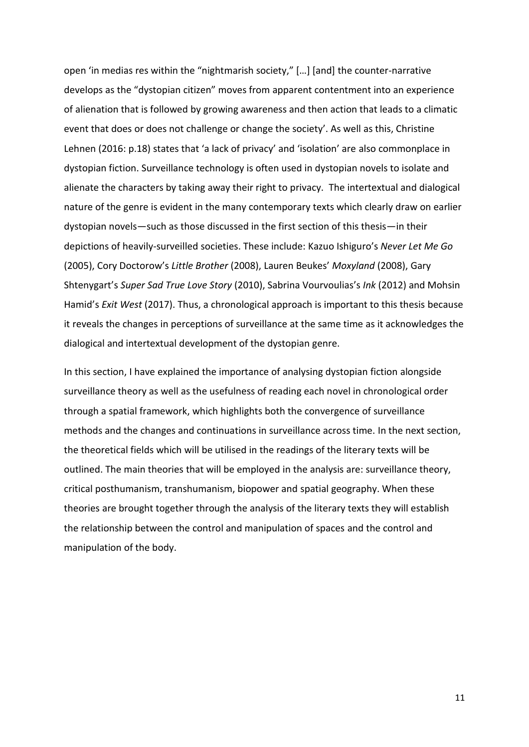open 'in medias res within the "nightmarish society," […] [and] the counter-narrative develops as the "dystopian citizen" moves from apparent contentment into an experience of alienation that is followed by growing awareness and then action that leads to a climatic event that does or does not challenge or change the society'. As well as this, Christine Lehnen (2016: p.18) states that 'a lack of privacy' and 'isolation' are also commonplace in dystopian fiction. Surveillance technology is often used in dystopian novels to isolate and alienate the characters by taking away their right to privacy. The intertextual and dialogical nature of the genre is evident in the many contemporary texts which clearly draw on earlier dystopian novels—such as those discussed in the first section of this thesis—in their depictions of heavily-surveilled societies. These include: Kazuo Ishiguro's *Never Let Me Go*  (2005), Cory Doctorow's *Little Brother* (2008), Lauren Beukes' *Moxyland* (2008), Gary Shtenygart's *Super Sad True Love Story* (2010), Sabrina Vourvoulias's *Ink* (2012) and Mohsin Hamid's *Exit West* (2017). Thus, a chronological approach is important to this thesis because it reveals the changes in perceptions of surveillance at the same time as it acknowledges the dialogical and intertextual development of the dystopian genre.

In this section, I have explained the importance of analysing dystopian fiction alongside surveillance theory as well as the usefulness of reading each novel in chronological order through a spatial framework, which highlights both the convergence of surveillance methods and the changes and continuations in surveillance across time. In the next section, the theoretical fields which will be utilised in the readings of the literary texts will be outlined. The main theories that will be employed in the analysis are: surveillance theory, critical posthumanism, transhumanism, biopower and spatial geography. When these theories are brought together through the analysis of the literary texts they will establish the relationship between the control and manipulation of spaces and the control and manipulation of the body.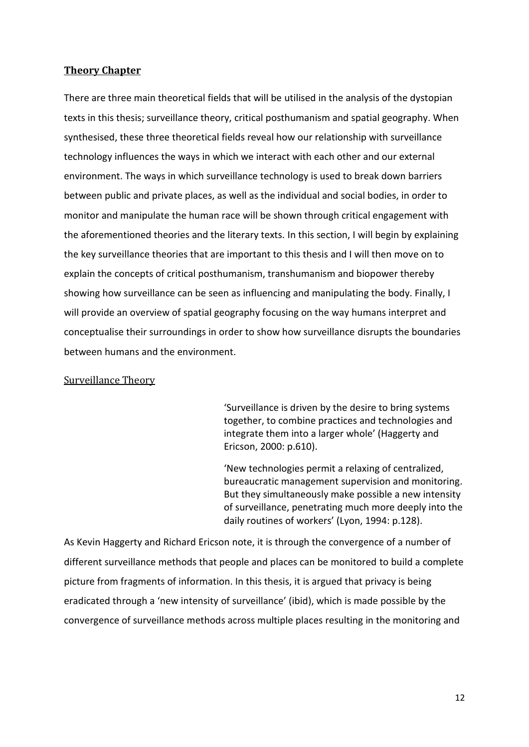### **Theory Chapter**

There are three main theoretical fields that will be utilised in the analysis of the dystopian texts in this thesis; surveillance theory, critical posthumanism and spatial geography. When synthesised, these three theoretical fields reveal how our relationship with surveillance technology influences the ways in which we interact with each other and our external environment. The ways in which surveillance technology is used to break down barriers between public and private places, as well as the individual and social bodies, in order to monitor and manipulate the human race will be shown through critical engagement with the aforementioned theories and the literary texts. In this section, I will begin by explaining the key surveillance theories that are important to this thesis and I will then move on to explain the concepts of critical posthumanism, transhumanism and biopower thereby showing how surveillance can be seen as influencing and manipulating the body. Finally, I will provide an overview of spatial geography focusing on the way humans interpret and conceptualise their surroundings in order to show how surveillance disrupts the boundaries between humans and the environment.

## Surveillance Theory

'Surveillance is driven by the desire to bring systems together, to combine practices and technologies and integrate them into a larger whole' (Haggerty and Ericson, 2000: p.610).

'New technologies permit a relaxing of centralized, bureaucratic management supervision and monitoring. But they simultaneously make possible a new intensity of surveillance, penetrating much more deeply into the daily routines of workers' (Lyon, 1994: p.128).

As Kevin Haggerty and Richard Ericson note, it is through the convergence of a number of different surveillance methods that people and places can be monitored to build a complete picture from fragments of information. In this thesis, it is argued that privacy is being eradicated through a 'new intensity of surveillance' (ibid), which is made possible by the convergence of surveillance methods across multiple places resulting in the monitoring and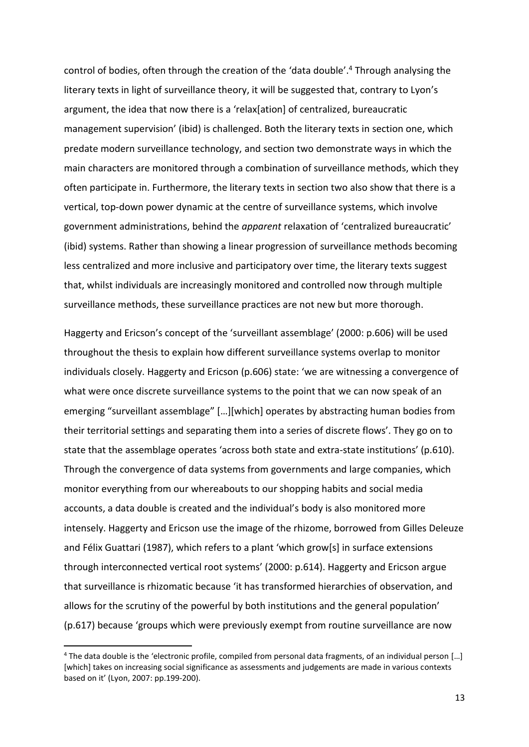control of bodies, often through the creation of the 'data double'. <sup>4</sup> Through analysing the literary texts in light of surveillance theory, it will be suggested that, contrary to Lyon's argument, the idea that now there is a 'relax[ation] of centralized, bureaucratic management supervision' (ibid) is challenged. Both the literary texts in section one, which predate modern surveillance technology, and section two demonstrate ways in which the main characters are monitored through a combination of surveillance methods, which they often participate in. Furthermore, the literary texts in section two also show that there is a vertical, top-down power dynamic at the centre of surveillance systems, which involve government administrations, behind the *apparent* relaxation of 'centralized bureaucratic' (ibid) systems. Rather than showing a linear progression of surveillance methods becoming less centralized and more inclusive and participatory over time, the literary texts suggest that, whilst individuals are increasingly monitored and controlled now through multiple surveillance methods, these surveillance practices are not new but more thorough.

Haggerty and Ericson's concept of the 'surveillant assemblage' (2000: p.606) will be used throughout the thesis to explain how different surveillance systems overlap to monitor individuals closely. Haggerty and Ericson (p.606) state: 'we are witnessing a convergence of what were once discrete surveillance systems to the point that we can now speak of an emerging "surveillant assemblage" […][which] operates by abstracting human bodies from their territorial settings and separating them into a series of discrete flows'. They go on to state that the assemblage operates 'across both state and extra-state institutions' (p.610). Through the convergence of data systems from governments and large companies, which monitor everything from our whereabouts to our shopping habits and social media accounts, a data double is created and the individual's body is also monitored more intensely. Haggerty and Ericson use the image of the rhizome, borrowed from Gilles Deleuze and Félix Guattari (1987), which refers to a plant 'which grow[s] in surface extensions through interconnected vertical root systems' (2000: p.614). Haggerty and Ericson argue that surveillance is rhizomatic because 'it has transformed hierarchies of observation, and allows for the scrutiny of the powerful by both institutions and the general population' (p.617) because 'groups which were previously exempt from routine surveillance are now

**.** 

<sup>4</sup> The data double is the 'electronic profile, compiled from personal data fragments, of an individual person […] [which] takes on increasing social significance as assessments and judgements are made in various contexts based on it' (Lyon, 2007: pp.199-200).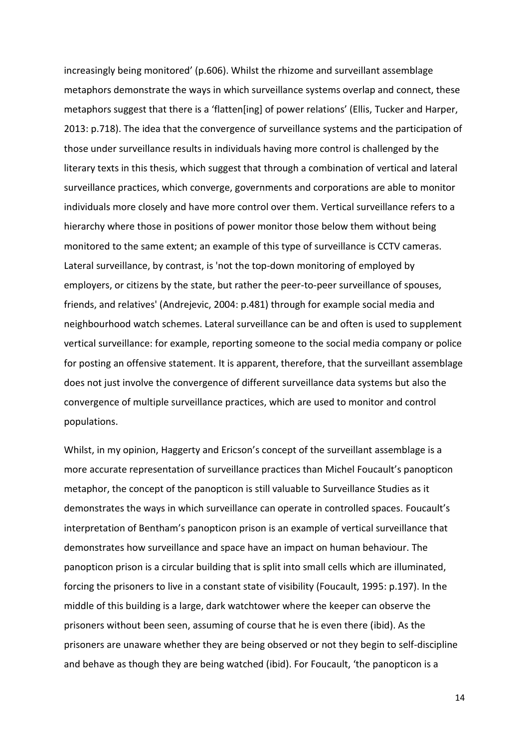increasingly being monitored' (p.606). Whilst the rhizome and surveillant assemblage metaphors demonstrate the ways in which surveillance systems overlap and connect, these metaphors suggest that there is a 'flatten[ing] of power relations' (Ellis, Tucker and Harper, 2013: p.718). The idea that the convergence of surveillance systems and the participation of those under surveillance results in individuals having more control is challenged by the literary texts in this thesis, which suggest that through a combination of vertical and lateral surveillance practices, which converge, governments and corporations are able to monitor individuals more closely and have more control over them. Vertical surveillance refers to a hierarchy where those in positions of power monitor those below them without being monitored to the same extent; an example of this type of surveillance is CCTV cameras. Lateral surveillance, by contrast, is 'not the top-down monitoring of employed by employers, or citizens by the state, but rather the peer-to-peer surveillance of spouses, friends, and relatives' (Andrejevic, 2004: p.481) through for example social media and neighbourhood watch schemes. Lateral surveillance can be and often is used to supplement vertical surveillance: for example, reporting someone to the social media company or police for posting an offensive statement. It is apparent, therefore, that the surveillant assemblage does not just involve the convergence of different surveillance data systems but also the convergence of multiple surveillance practices, which are used to monitor and control populations.

Whilst, in my opinion, Haggerty and Ericson's concept of the surveillant assemblage is a more accurate representation of surveillance practices than Michel Foucault's panopticon metaphor, the concept of the panopticon is still valuable to Surveillance Studies as it demonstrates the ways in which surveillance can operate in controlled spaces. Foucault's interpretation of Bentham's panopticon prison is an example of vertical surveillance that demonstrates how surveillance and space have an impact on human behaviour. The panopticon prison is a circular building that is split into small cells which are illuminated, forcing the prisoners to live in a constant state of visibility (Foucault, 1995: p.197). In the middle of this building is a large, dark watchtower where the keeper can observe the prisoners without been seen, assuming of course that he is even there (ibid). As the prisoners are unaware whether they are being observed or not they begin to self-discipline and behave as though they are being watched (ibid). For Foucault, 'the panopticon is a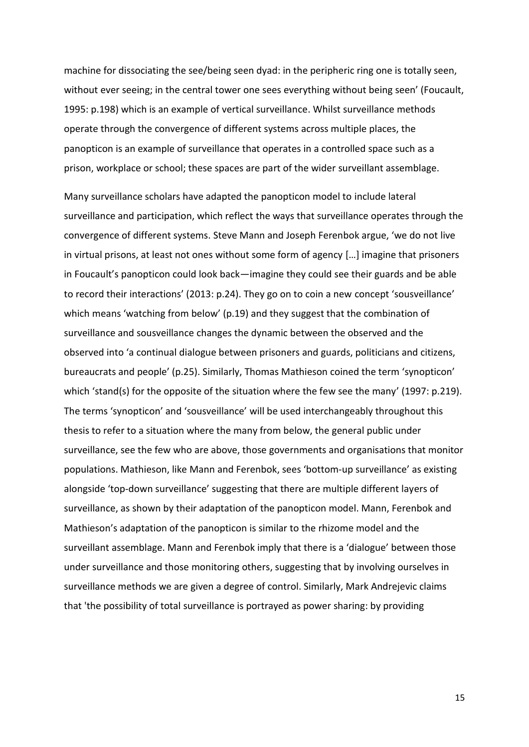machine for dissociating the see/being seen dyad: in the peripheric ring one is totally seen, without ever seeing; in the central tower one sees everything without being seen' (Foucault, 1995: p.198) which is an example of vertical surveillance. Whilst surveillance methods operate through the convergence of different systems across multiple places, the panopticon is an example of surveillance that operates in a controlled space such as a prison, workplace or school; these spaces are part of the wider surveillant assemblage.

Many surveillance scholars have adapted the panopticon model to include lateral surveillance and participation, which reflect the ways that surveillance operates through the convergence of different systems. Steve Mann and Joseph Ferenbok argue, 'we do not live in virtual prisons, at least not ones without some form of agency […] imagine that prisoners in Foucault's panopticon could look back—imagine they could see their guards and be able to record their interactions' (2013: p.24). They go on to coin a new concept 'sousveillance' which means 'watching from below' (p.19) and they suggest that the combination of surveillance and sousveillance changes the dynamic between the observed and the observed into 'a continual dialogue between prisoners and guards, politicians and citizens, bureaucrats and people' (p.25). Similarly, Thomas Mathieson coined the term 'synopticon' which 'stand(s) for the opposite of the situation where the few see the many' (1997: p.219). The terms 'synopticon' and 'sousveillance' will be used interchangeably throughout this thesis to refer to a situation where the many from below, the general public under surveillance, see the few who are above, those governments and organisations that monitor populations. Mathieson, like Mann and Ferenbok, sees 'bottom-up surveillance' as existing alongside 'top-down surveillance' suggesting that there are multiple different layers of surveillance, as shown by their adaptation of the panopticon model. Mann, Ferenbok and Mathieson's adaptation of the panopticon is similar to the rhizome model and the surveillant assemblage. Mann and Ferenbok imply that there is a 'dialogue' between those under surveillance and those monitoring others, suggesting that by involving ourselves in surveillance methods we are given a degree of control. Similarly, Mark Andrejevic claims that 'the possibility of total surveillance is portrayed as power sharing: by providing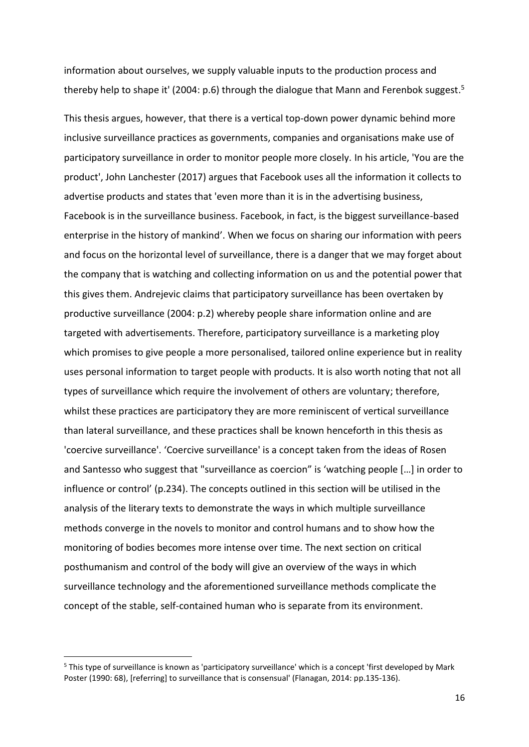information about ourselves, we supply valuable inputs to the production process and thereby help to shape it' (2004: p.6) through the dialogue that Mann and Ferenbok suggest.<sup>5</sup>

This thesis argues, however, that there is a vertical top-down power dynamic behind more inclusive surveillance practices as governments, companies and organisations make use of participatory surveillance in order to monitor people more closely. In his article, 'You are the product', John Lanchester (2017) argues that Facebook uses all the information it collects to advertise products and states that 'even more than it is in the advertising business, Facebook is in the surveillance business. Facebook, in fact, is the biggest surveillance-based enterprise in the history of mankind'. When we focus on sharing our information with peers and focus on the horizontal level of surveillance, there is a danger that we may forget about the company that is watching and collecting information on us and the potential power that this gives them. Andrejevic claims that participatory surveillance has been overtaken by productive surveillance (2004: p.2) whereby people share information online and are targeted with advertisements. Therefore, participatory surveillance is a marketing ploy which promises to give people a more personalised, tailored online experience but in reality uses personal information to target people with products. It is also worth noting that not all types of surveillance which require the involvement of others are voluntary; therefore, whilst these practices are participatory they are more reminiscent of vertical surveillance than lateral surveillance, and these practices shall be known henceforth in this thesis as 'coercive surveillance'. 'Coercive surveillance' is a concept taken from the ideas of Rosen and Santesso who suggest that "surveillance as coercion" is 'watching people […] in order to influence or control' (p.234). The concepts outlined in this section will be utilised in the analysis of the literary texts to demonstrate the ways in which multiple surveillance methods converge in the novels to monitor and control humans and to show how the monitoring of bodies becomes more intense over time. The next section on critical posthumanism and control of the body will give an overview of the ways in which surveillance technology and the aforementioned surveillance methods complicate the concept of the stable, self-contained human who is separate from its environment.

 $\overline{a}$ 

<sup>5</sup> This type of surveillance is known as 'participatory surveillance' which is a concept 'first developed by Mark Poster (1990: 68), [referring] to surveillance that is consensual' (Flanagan, 2014: pp.135-136).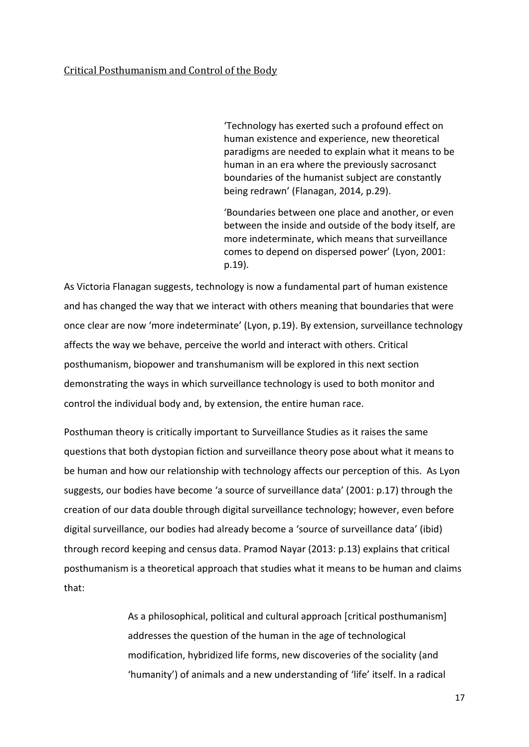'Technology has exerted such a profound effect on human existence and experience, new theoretical paradigms are needed to explain what it means to be human in an era where the previously sacrosanct boundaries of the humanist subject are constantly being redrawn' (Flanagan, 2014, p.29).

'Boundaries between one place and another, or even between the inside and outside of the body itself, are more indeterminate, which means that surveillance comes to depend on dispersed power' (Lyon, 2001: p.19).

As Victoria Flanagan suggests, technology is now a fundamental part of human existence and has changed the way that we interact with others meaning that boundaries that were once clear are now 'more indeterminate' (Lyon, p.19). By extension, surveillance technology affects the way we behave, perceive the world and interact with others. Critical posthumanism, biopower and transhumanism will be explored in this next section demonstrating the ways in which surveillance technology is used to both monitor and control the individual body and, by extension, the entire human race.

Posthuman theory is critically important to Surveillance Studies as it raises the same questions that both dystopian fiction and surveillance theory pose about what it means to be human and how our relationship with technology affects our perception of this. As Lyon suggests, our bodies have become 'a source of surveillance data' (2001: p.17) through the creation of our data double through digital surveillance technology; however, even before digital surveillance, our bodies had already become a 'source of surveillance data' (ibid) through record keeping and census data. Pramod Nayar (2013: p.13) explains that critical posthumanism is a theoretical approach that studies what it means to be human and claims that:

> As a philosophical, political and cultural approach [critical posthumanism] addresses the question of the human in the age of technological modification, hybridized life forms, new discoveries of the sociality (and 'humanity') of animals and a new understanding of 'life' itself. In a radical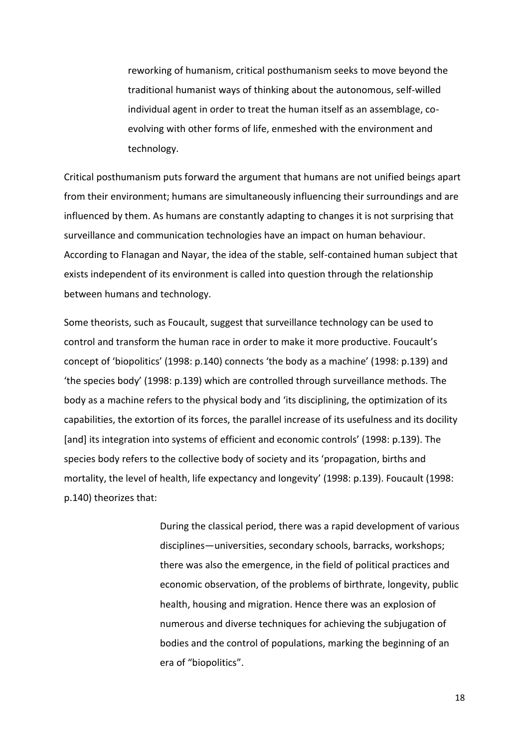reworking of humanism, critical posthumanism seeks to move beyond the traditional humanist ways of thinking about the autonomous, self-willed individual agent in order to treat the human itself as an assemblage, coevolving with other forms of life, enmeshed with the environment and technology.

Critical posthumanism puts forward the argument that humans are not unified beings apart from their environment; humans are simultaneously influencing their surroundings and are influenced by them. As humans are constantly adapting to changes it is not surprising that surveillance and communication technologies have an impact on human behaviour. According to Flanagan and Nayar, the idea of the stable, self-contained human subject that exists independent of its environment is called into question through the relationship between humans and technology.

Some theorists, such as Foucault, suggest that surveillance technology can be used to control and transform the human race in order to make it more productive. Foucault's concept of 'biopolitics' (1998: p.140) connects 'the body as a machine' (1998: p.139) and 'the species body' (1998: p.139) which are controlled through surveillance methods. The body as a machine refers to the physical body and 'its disciplining, the optimization of its capabilities, the extortion of its forces, the parallel increase of its usefulness and its docility [and] its integration into systems of efficient and economic controls' (1998: p.139). The species body refers to the collective body of society and its 'propagation, births and mortality, the level of health, life expectancy and longevity' (1998: p.139). Foucault (1998: p.140) theorizes that:

> During the classical period, there was a rapid development of various disciplines—universities, secondary schools, barracks, workshops; there was also the emergence, in the field of political practices and economic observation, of the problems of birthrate, longevity, public health, housing and migration. Hence there was an explosion of numerous and diverse techniques for achieving the subjugation of bodies and the control of populations, marking the beginning of an era of "biopolitics".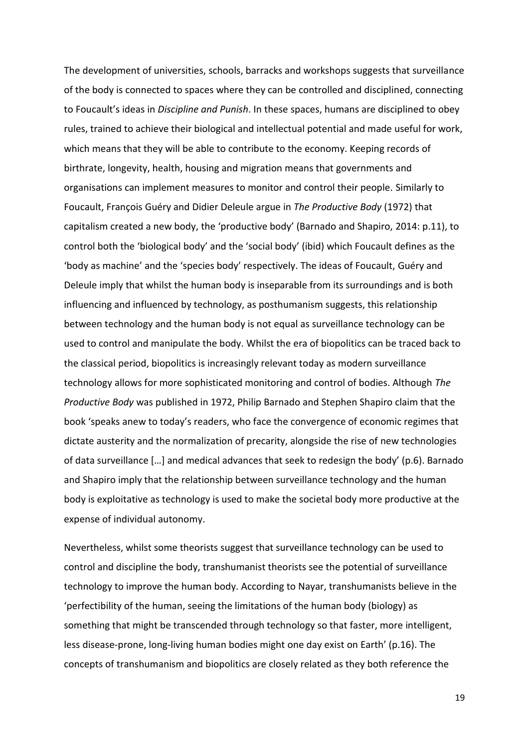The development of universities, schools, barracks and workshops suggests that surveillance of the body is connected to spaces where they can be controlled and disciplined, connecting to Foucault's ideas in *Discipline and Punish*. In these spaces, humans are disciplined to obey rules, trained to achieve their biological and intellectual potential and made useful for work, which means that they will be able to contribute to the economy. Keeping records of birthrate, longevity, health, housing and migration means that governments and organisations can implement measures to monitor and control their people. Similarly to Foucault, François Guéry and Didier Deleule argue in *The Productive Body* (1972) that capitalism created a new body, the 'productive body' (Barnado and Shapiro, 2014: p.11), to control both the 'biological body' and the 'social body' (ibid) which Foucault defines as the 'body as machine' and the 'species body' respectively. The ideas of Foucault, Guéry and Deleule imply that whilst the human body is inseparable from its surroundings and is both influencing and influenced by technology, as posthumanism suggests, this relationship between technology and the human body is not equal as surveillance technology can be used to control and manipulate the body. Whilst the era of biopolitics can be traced back to the classical period, biopolitics is increasingly relevant today as modern surveillance technology allows for more sophisticated monitoring and control of bodies. Although *The Productive Body* was published in 1972, Philip Barnado and Stephen Shapiro claim that the book 'speaks anew to today's readers, who face the convergence of economic regimes that dictate austerity and the normalization of precarity, alongside the rise of new technologies of data surveillance […] and medical advances that seek to redesign the body' (p.6). Barnado and Shapiro imply that the relationship between surveillance technology and the human body is exploitative as technology is used to make the societal body more productive at the expense of individual autonomy.

Nevertheless, whilst some theorists suggest that surveillance technology can be used to control and discipline the body, transhumanist theorists see the potential of surveillance technology to improve the human body. According to Nayar, transhumanists believe in the 'perfectibility of the human, seeing the limitations of the human body (biology) as something that might be transcended through technology so that faster, more intelligent, less disease-prone, long-living human bodies might one day exist on Earth' (p.16). The concepts of transhumanism and biopolitics are closely related as they both reference the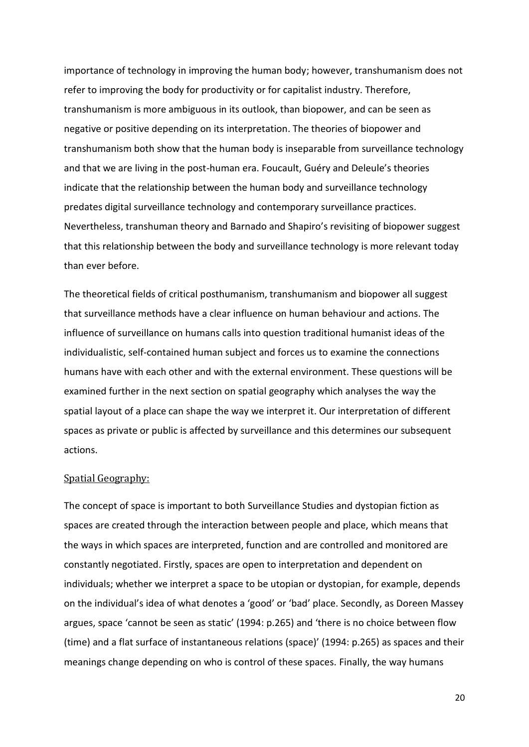importance of technology in improving the human body; however, transhumanism does not refer to improving the body for productivity or for capitalist industry. Therefore, transhumanism is more ambiguous in its outlook, than biopower, and can be seen as negative or positive depending on its interpretation. The theories of biopower and transhumanism both show that the human body is inseparable from surveillance technology and that we are living in the post-human era. Foucault, Guéry and Deleule's theories indicate that the relationship between the human body and surveillance technology predates digital surveillance technology and contemporary surveillance practices. Nevertheless, transhuman theory and Barnado and Shapiro's revisiting of biopower suggest that this relationship between the body and surveillance technology is more relevant today than ever before.

The theoretical fields of critical posthumanism, transhumanism and biopower all suggest that surveillance methods have a clear influence on human behaviour and actions. The influence of surveillance on humans calls into question traditional humanist ideas of the individualistic, self-contained human subject and forces us to examine the connections humans have with each other and with the external environment. These questions will be examined further in the next section on spatial geography which analyses the way the spatial layout of a place can shape the way we interpret it. Our interpretation of different spaces as private or public is affected by surveillance and this determines our subsequent actions.

#### Spatial Geography:

The concept of space is important to both Surveillance Studies and dystopian fiction as spaces are created through the interaction between people and place, which means that the ways in which spaces are interpreted, function and are controlled and monitored are constantly negotiated. Firstly, spaces are open to interpretation and dependent on individuals; whether we interpret a space to be utopian or dystopian, for example, depends on the individual's idea of what denotes a 'good' or 'bad' place. Secondly, as Doreen Massey argues, space 'cannot be seen as static' (1994: p.265) and 'there is no choice between flow (time) and a flat surface of instantaneous relations (space)' (1994: p.265) as spaces and their meanings change depending on who is control of these spaces. Finally, the way humans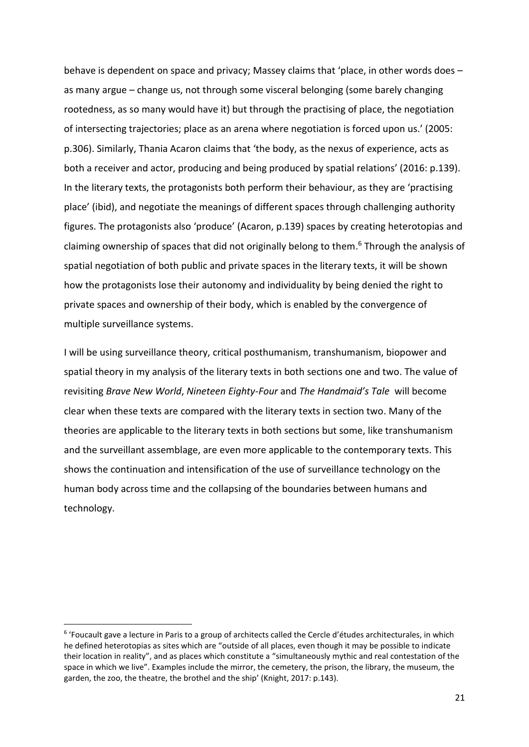behave is dependent on space and privacy; Massey claims that 'place, in other words does – as many argue – change us, not through some visceral belonging (some barely changing rootedness, as so many would have it) but through the practising of place, the negotiation of intersecting trajectories; place as an arena where negotiation is forced upon us.' (2005: p.306). Similarly, Thania Acaron claims that 'the body, as the nexus of experience, acts as both a receiver and actor, producing and being produced by spatial relations' (2016: p.139). In the literary texts, the protagonists both perform their behaviour, as they are 'practising place' (ibid), and negotiate the meanings of different spaces through challenging authority figures. The protagonists also 'produce' (Acaron, p.139) spaces by creating heterotopias and claiming ownership of spaces that did not originally belong to them. <sup>6</sup> Through the analysis of spatial negotiation of both public and private spaces in the literary texts, it will be shown how the protagonists lose their autonomy and individuality by being denied the right to private spaces and ownership of their body, which is enabled by the convergence of multiple surveillance systems.

I will be using surveillance theory, critical posthumanism, transhumanism, biopower and spatial theory in my analysis of the literary texts in both sections one and two. The value of revisiting *Brave New World*, *Nineteen Eighty-Four* and *The Handmaid's Tale* will become clear when these texts are compared with the literary texts in section two. Many of the theories are applicable to the literary texts in both sections but some, like transhumanism and the surveillant assemblage, are even more applicable to the contemporary texts. This shows the continuation and intensification of the use of surveillance technology on the human body across time and the collapsing of the boundaries between humans and technology.

**.** 

<sup>&</sup>lt;sup>6</sup> 'Foucault gave a lecture in Paris to a group of architects called the Cercle d'études architecturales, in which he defined heterotopias as sites which are "outside of all places, even though it may be possible to indicate their location in reality", and as places which constitute a "simultaneously mythic and real contestation of the space in which we live". Examples include the mirror, the cemetery, the prison, the library, the museum, the garden, the zoo, the theatre, the brothel and the ship' (Knight, 2017: p.143).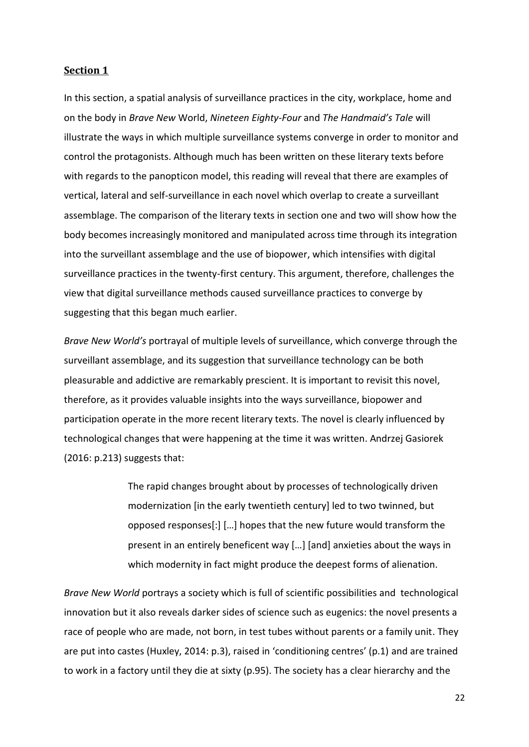#### **Section 1**

In this section, a spatial analysis of surveillance practices in the city, workplace, home and on the body in *Brave New* World, *Nineteen Eighty-Four* and *The Handmaid's Tale* will illustrate the ways in which multiple surveillance systems converge in order to monitor and control the protagonists. Although much has been written on these literary texts before with regards to the panopticon model, this reading will reveal that there are examples of vertical, lateral and self-surveillance in each novel which overlap to create a surveillant assemblage. The comparison of the literary texts in section one and two will show how the body becomes increasingly monitored and manipulated across time through its integration into the surveillant assemblage and the use of biopower, which intensifies with digital surveillance practices in the twenty-first century. This argument, therefore, challenges the view that digital surveillance methods caused surveillance practices to converge by suggesting that this began much earlier.

*Brave New World's* portrayal of multiple levels of surveillance, which converge through the surveillant assemblage, and its suggestion that surveillance technology can be both pleasurable and addictive are remarkably prescient. It is important to revisit this novel, therefore, as it provides valuable insights into the ways surveillance, biopower and participation operate in the more recent literary texts. The novel is clearly influenced by technological changes that were happening at the time it was written. Andrzej Gasiorek (2016: p.213) suggests that:

> The rapid changes brought about by processes of technologically driven modernization [in the early twentieth century] led to two twinned, but opposed responses[:] […] hopes that the new future would transform the present in an entirely beneficent way […] [and] anxieties about the ways in which modernity in fact might produce the deepest forms of alienation.

*Brave New World* portrays a society which is full of scientific possibilities and technological innovation but it also reveals darker sides of science such as eugenics: the novel presents a race of people who are made, not born, in test tubes without parents or a family unit. They are put into castes (Huxley, 2014: p.3), raised in 'conditioning centres' (p.1) and are trained to work in a factory until they die at sixty (p.95). The society has a clear hierarchy and the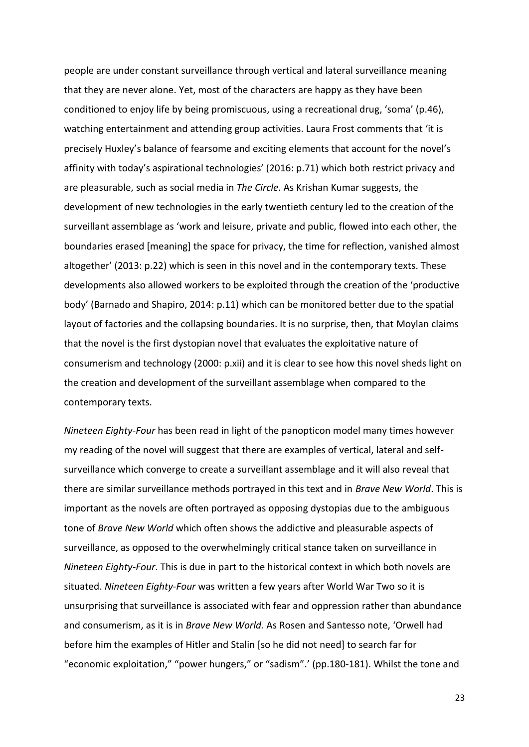people are under constant surveillance through vertical and lateral surveillance meaning that they are never alone. Yet, most of the characters are happy as they have been conditioned to enjoy life by being promiscuous, using a recreational drug, 'soma' (p.46), watching entertainment and attending group activities. Laura Frost comments that 'it is precisely Huxley's balance of fearsome and exciting elements that account for the novel's affinity with today's aspirational technologies' (2016: p.71) which both restrict privacy and are pleasurable, such as social media in *The Circle*. As Krishan Kumar suggests, the development of new technologies in the early twentieth century led to the creation of the surveillant assemblage as 'work and leisure, private and public, flowed into each other, the boundaries erased [meaning] the space for privacy, the time for reflection, vanished almost altogether' (2013: p.22) which is seen in this novel and in the contemporary texts. These developments also allowed workers to be exploited through the creation of the 'productive body' (Barnado and Shapiro, 2014: p.11) which can be monitored better due to the spatial layout of factories and the collapsing boundaries. It is no surprise, then, that Moylan claims that the novel is the first dystopian novel that evaluates the exploitative nature of consumerism and technology (2000: p.xii) and it is clear to see how this novel sheds light on the creation and development of the surveillant assemblage when compared to the contemporary texts.

*Nineteen Eighty-Four* has been read in light of the panopticon model many times however my reading of the novel will suggest that there are examples of vertical, lateral and selfsurveillance which converge to create a surveillant assemblage and it will also reveal that there are similar surveillance methods portrayed in this text and in *Brave New World*. This is important as the novels are often portrayed as opposing dystopias due to the ambiguous tone of *Brave New World* which often shows the addictive and pleasurable aspects of surveillance, as opposed to the overwhelmingly critical stance taken on surveillance in *Nineteen Eighty-Four*. This is due in part to the historical context in which both novels are situated. *Nineteen Eighty-Four* was written a few years after World War Two so it is unsurprising that surveillance is associated with fear and oppression rather than abundance and consumerism, as it is in *Brave New World.* As Rosen and Santesso note, 'Orwell had before him the examples of Hitler and Stalin [so he did not need] to search far for "economic exploitation," "power hungers," or "sadism".' (pp.180-181). Whilst the tone and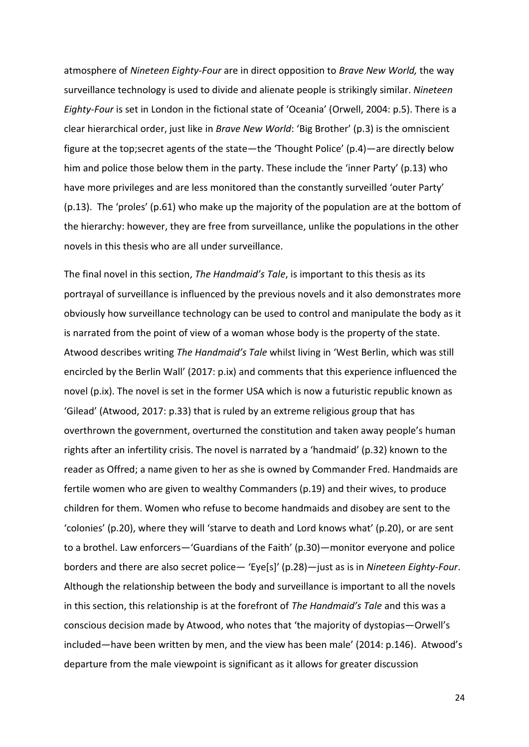atmosphere of *Nineteen Eighty-Four* are in direct opposition to *Brave New World,* the way surveillance technology is used to divide and alienate people is strikingly similar. *Nineteen Eighty-Four* is set in London in the fictional state of 'Oceania' (Orwell, 2004: p.5). There is a clear hierarchical order, just like in *Brave New World*: 'Big Brother' (p.3) is the omniscient figure at the top;secret agents of the state—the 'Thought Police' (p.4)—are directly below him and police those below them in the party. These include the 'inner Party' (p.13) who have more privileges and are less monitored than the constantly surveilled 'outer Party' (p.13). The 'proles' (p.61) who make up the majority of the population are at the bottom of the hierarchy: however, they are free from surveillance, unlike the populations in the other novels in this thesis who are all under surveillance.

The final novel in this section, *The Handmaid's Tale*, is important to this thesis as its portrayal of surveillance is influenced by the previous novels and it also demonstrates more obviously how surveillance technology can be used to control and manipulate the body as it is narrated from the point of view of a woman whose body is the property of the state. Atwood describes writing *The Handmaid's Tale* whilst living in 'West Berlin, which was still encircled by the Berlin Wall' (2017: p.ix) and comments that this experience influenced the novel (p.ix). The novel is set in the former USA which is now a futuristic republic known as 'Gilead' (Atwood, 2017: p.33) that is ruled by an extreme religious group that has overthrown the government, overturned the constitution and taken away people's human rights after an infertility crisis. The novel is narrated by a 'handmaid' (p.32) known to the reader as Offred; a name given to her as she is owned by Commander Fred. Handmaids are fertile women who are given to wealthy Commanders (p.19) and their wives, to produce children for them. Women who refuse to become handmaids and disobey are sent to the 'colonies' (p.20), where they will 'starve to death and Lord knows what' (p.20), or are sent to a brothel. Law enforcers—'Guardians of the Faith' (p.30)—monitor everyone and police borders and there are also secret police— 'Eye[s]' (p.28)—just as is in *Nineteen Eighty-Four*. Although the relationship between the body and surveillance is important to all the novels in this section, this relationship is at the forefront of *The Handmaid's Tale* and this was a conscious decision made by Atwood, who notes that 'the majority of dystopias—Orwell's included—have been written by men, and the view has been male' (2014: p.146). Atwood's departure from the male viewpoint is significant as it allows for greater discussion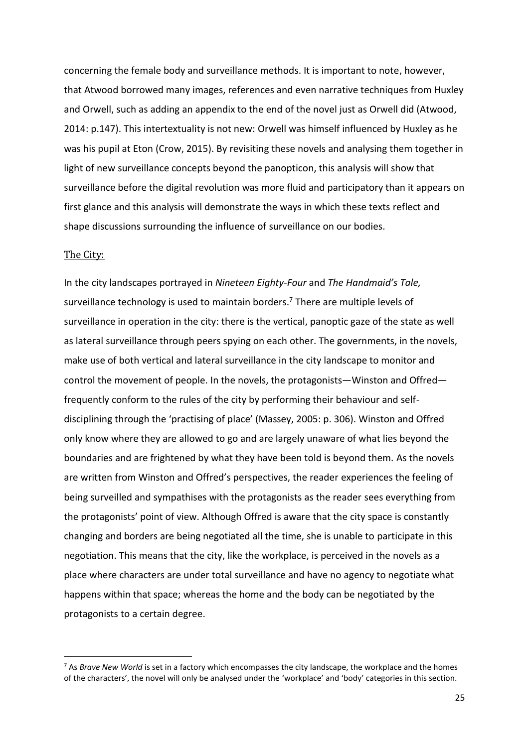concerning the female body and surveillance methods. It is important to note, however, that Atwood borrowed many images, references and even narrative techniques from Huxley and Orwell, such as adding an appendix to the end of the novel just as Orwell did (Atwood, 2014: p.147). This intertextuality is not new: Orwell was himself influenced by Huxley as he was his pupil at Eton (Crow, 2015). By revisiting these novels and analysing them together in light of new surveillance concepts beyond the panopticon, this analysis will show that surveillance before the digital revolution was more fluid and participatory than it appears on first glance and this analysis will demonstrate the ways in which these texts reflect and shape discussions surrounding the influence of surveillance on our bodies.

#### The City:

 $\overline{a}$ 

In the city landscapes portrayed in *Nineteen Eighty-Four* and *The Handmaid's Tale,*  surveillance technology is used to maintain borders. <sup>7</sup> There are multiple levels of surveillance in operation in the city: there is the vertical, panoptic gaze of the state as well as lateral surveillance through peers spying on each other. The governments, in the novels, make use of both vertical and lateral surveillance in the city landscape to monitor and control the movement of people. In the novels, the protagonists—Winston and Offred frequently conform to the rules of the city by performing their behaviour and selfdisciplining through the 'practising of place' (Massey, 2005: p. 306). Winston and Offred only know where they are allowed to go and are largely unaware of what lies beyond the boundaries and are frightened by what they have been told is beyond them. As the novels are written from Winston and Offred's perspectives, the reader experiences the feeling of being surveilled and sympathises with the protagonists as the reader sees everything from the protagonists' point of view. Although Offred is aware that the city space is constantly changing and borders are being negotiated all the time, she is unable to participate in this negotiation. This means that the city, like the workplace, is perceived in the novels as a place where characters are under total surveillance and have no agency to negotiate what happens within that space; whereas the home and the body can be negotiated by the protagonists to a certain degree.

<sup>7</sup> As *Brave New World* is set in a factory which encompasses the city landscape, the workplace and the homes of the characters', the novel will only be analysed under the 'workplace' and 'body' categories in this section.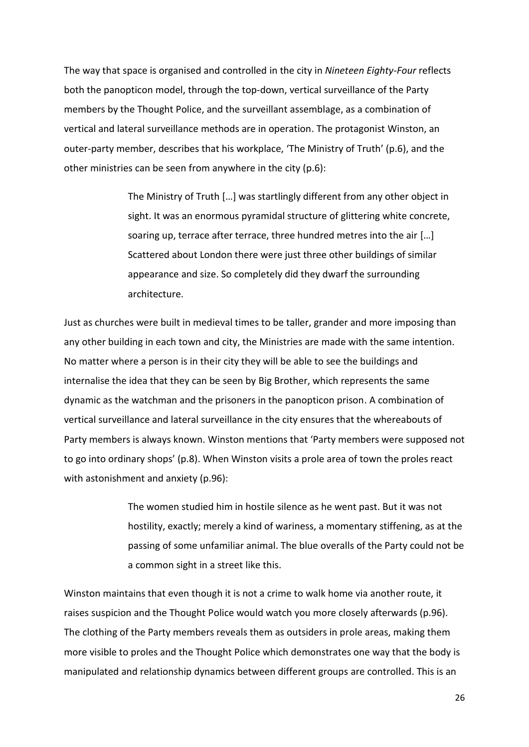The way that space is organised and controlled in the city in *Nineteen Eighty-Four* reflects both the panopticon model, through the top-down, vertical surveillance of the Party members by the Thought Police, and the surveillant assemblage, as a combination of vertical and lateral surveillance methods are in operation. The protagonist Winston, an outer-party member, describes that his workplace, 'The Ministry of Truth' (p.6), and the other ministries can be seen from anywhere in the city (p.6):

> The Ministry of Truth […] was startlingly different from any other object in sight. It was an enormous pyramidal structure of glittering white concrete, soaring up, terrace after terrace, three hundred metres into the air […] Scattered about London there were just three other buildings of similar appearance and size. So completely did they dwarf the surrounding architecture.

Just as churches were built in medieval times to be taller, grander and more imposing than any other building in each town and city, the Ministries are made with the same intention. No matter where a person is in their city they will be able to see the buildings and internalise the idea that they can be seen by Big Brother, which represents the same dynamic as the watchman and the prisoners in the panopticon prison. A combination of vertical surveillance and lateral surveillance in the city ensures that the whereabouts of Party members is always known. Winston mentions that 'Party members were supposed not to go into ordinary shops' (p.8). When Winston visits a prole area of town the proles react with astonishment and anxiety (p.96):

> The women studied him in hostile silence as he went past. But it was not hostility, exactly; merely a kind of wariness, a momentary stiffening, as at the passing of some unfamiliar animal. The blue overalls of the Party could not be a common sight in a street like this.

Winston maintains that even though it is not a crime to walk home via another route, it raises suspicion and the Thought Police would watch you more closely afterwards (p.96). The clothing of the Party members reveals them as outsiders in prole areas, making them more visible to proles and the Thought Police which demonstrates one way that the body is manipulated and relationship dynamics between different groups are controlled. This is an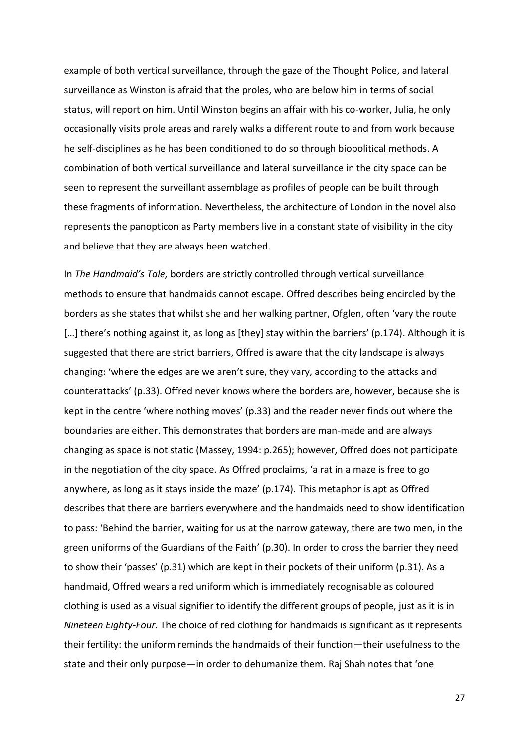example of both vertical surveillance, through the gaze of the Thought Police, and lateral surveillance as Winston is afraid that the proles, who are below him in terms of social status, will report on him. Until Winston begins an affair with his co-worker, Julia, he only occasionally visits prole areas and rarely walks a different route to and from work because he self-disciplines as he has been conditioned to do so through biopolitical methods. A combination of both vertical surveillance and lateral surveillance in the city space can be seen to represent the surveillant assemblage as profiles of people can be built through these fragments of information. Nevertheless, the architecture of London in the novel also represents the panopticon as Party members live in a constant state of visibility in the city and believe that they are always been watched.

In *The Handmaid's Tale,* borders are strictly controlled through vertical surveillance methods to ensure that handmaids cannot escape. Offred describes being encircled by the borders as she states that whilst she and her walking partner, Ofglen, often 'vary the route [...] there's nothing against it, as long as [they] stay within the barriers' (p.174). Although it is suggested that there are strict barriers, Offred is aware that the city landscape is always changing: 'where the edges are we aren't sure, they vary, according to the attacks and counterattacks' (p.33). Offred never knows where the borders are, however, because she is kept in the centre 'where nothing moves' (p.33) and the reader never finds out where the boundaries are either. This demonstrates that borders are man-made and are always changing as space is not static (Massey, 1994: p.265); however, Offred does not participate in the negotiation of the city space. As Offred proclaims, 'a rat in a maze is free to go anywhere, as long as it stays inside the maze' (p.174). This metaphor is apt as Offred describes that there are barriers everywhere and the handmaids need to show identification to pass: 'Behind the barrier, waiting for us at the narrow gateway, there are two men, in the green uniforms of the Guardians of the Faith' (p.30). In order to cross the barrier they need to show their 'passes' (p.31) which are kept in their pockets of their uniform (p.31). As a handmaid, Offred wears a red uniform which is immediately recognisable as coloured clothing is used as a visual signifier to identify the different groups of people, just as it is in *Nineteen Eighty-Four*. The choice of red clothing for handmaids is significant as it represents their fertility: the uniform reminds the handmaids of their function—their usefulness to the state and their only purpose—in order to dehumanize them. Raj Shah notes that 'one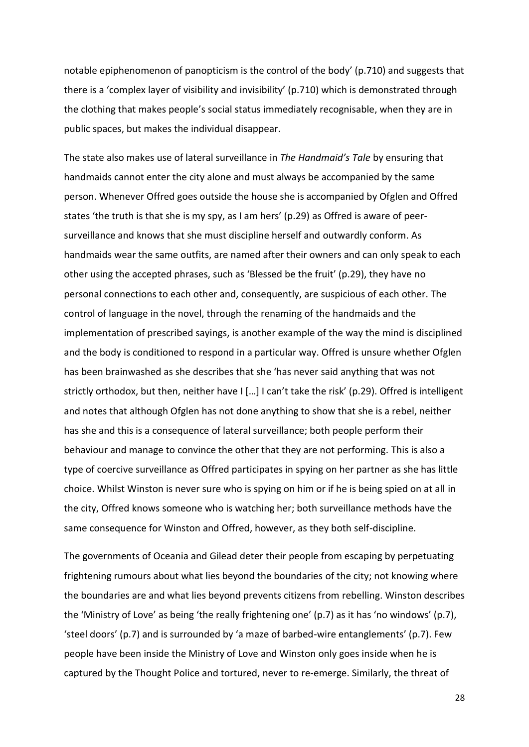notable epiphenomenon of panopticism is the control of the body' (p.710) and suggests that there is a 'complex layer of visibility and invisibility' (p.710) which is demonstrated through the clothing that makes people's social status immediately recognisable, when they are in public spaces, but makes the individual disappear.

The state also makes use of lateral surveillance in *The Handmaid's Tale* by ensuring that handmaids cannot enter the city alone and must always be accompanied by the same person. Whenever Offred goes outside the house she is accompanied by Ofglen and Offred states 'the truth is that she is my spy, as I am hers' (p.29) as Offred is aware of peersurveillance and knows that she must discipline herself and outwardly conform. As handmaids wear the same outfits, are named after their owners and can only speak to each other using the accepted phrases, such as 'Blessed be the fruit' (p.29), they have no personal connections to each other and, consequently, are suspicious of each other. The control of language in the novel, through the renaming of the handmaids and the implementation of prescribed sayings, is another example of the way the mind is disciplined and the body is conditioned to respond in a particular way. Offred is unsure whether Ofglen has been brainwashed as she describes that she 'has never said anything that was not strictly orthodox, but then, neither have I […] I can't take the risk' (p.29). Offred is intelligent and notes that although Ofglen has not done anything to show that she is a rebel, neither has she and this is a consequence of lateral surveillance; both people perform their behaviour and manage to convince the other that they are not performing. This is also a type of coercive surveillance as Offred participates in spying on her partner as she has little choice. Whilst Winston is never sure who is spying on him or if he is being spied on at all in the city, Offred knows someone who is watching her; both surveillance methods have the same consequence for Winston and Offred, however, as they both self-discipline.

The governments of Oceania and Gilead deter their people from escaping by perpetuating frightening rumours about what lies beyond the boundaries of the city; not knowing where the boundaries are and what lies beyond prevents citizens from rebelling. Winston describes the 'Ministry of Love' as being 'the really frightening one' (p.7) as it has 'no windows' (p.7), 'steel doors' (p.7) and is surrounded by 'a maze of barbed-wire entanglements' (p.7). Few people have been inside the Ministry of Love and Winston only goes inside when he is captured by the Thought Police and tortured, never to re-emerge. Similarly, the threat of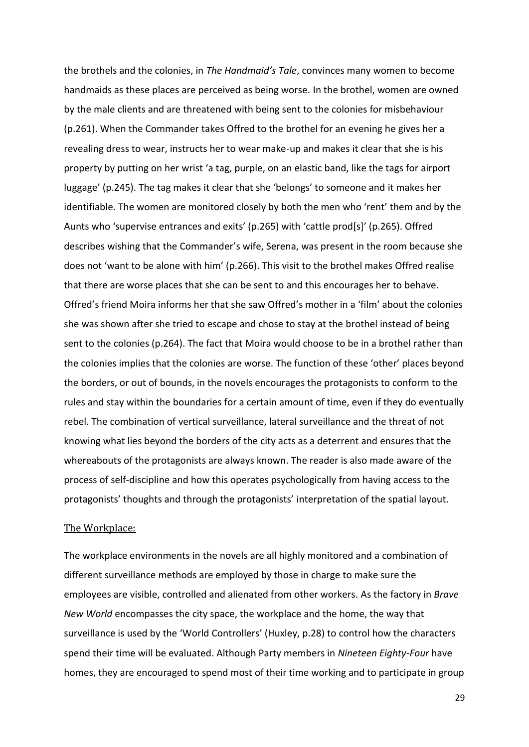the brothels and the colonies, in *The Handmaid's Tale*, convinces many women to become handmaids as these places are perceived as being worse. In the brothel, women are owned by the male clients and are threatened with being sent to the colonies for misbehaviour (p.261). When the Commander takes Offred to the brothel for an evening he gives her a revealing dress to wear, instructs her to wear make-up and makes it clear that she is his property by putting on her wrist 'a tag, purple, on an elastic band, like the tags for airport luggage' (p.245). The tag makes it clear that she 'belongs' to someone and it makes her identifiable. The women are monitored closely by both the men who 'rent' them and by the Aunts who 'supervise entrances and exits' (p.265) with 'cattle prod[s]' (p.265). Offred describes wishing that the Commander's wife, Serena, was present in the room because she does not 'want to be alone with him' (p.266). This visit to the brothel makes Offred realise that there are worse places that she can be sent to and this encourages her to behave. Offred's friend Moira informs her that she saw Offred's mother in a 'film' about the colonies she was shown after she tried to escape and chose to stay at the brothel instead of being sent to the colonies (p.264). The fact that Moira would choose to be in a brothel rather than the colonies implies that the colonies are worse. The function of these 'other' places beyond the borders, or out of bounds, in the novels encourages the protagonists to conform to the rules and stay within the boundaries for a certain amount of time, even if they do eventually rebel. The combination of vertical surveillance, lateral surveillance and the threat of not knowing what lies beyond the borders of the city acts as a deterrent and ensures that the whereabouts of the protagonists are always known. The reader is also made aware of the process of self-discipline and how this operates psychologically from having access to the protagonists' thoughts and through the protagonists' interpretation of the spatial layout.

#### The Workplace:

The workplace environments in the novels are all highly monitored and a combination of different surveillance methods are employed by those in charge to make sure the employees are visible, controlled and alienated from other workers. As the factory in *Brave New World* encompasses the city space, the workplace and the home, the way that surveillance is used by the 'World Controllers' (Huxley, p.28) to control how the characters spend their time will be evaluated. Although Party members in *Nineteen Eighty-Four* have homes, they are encouraged to spend most of their time working and to participate in group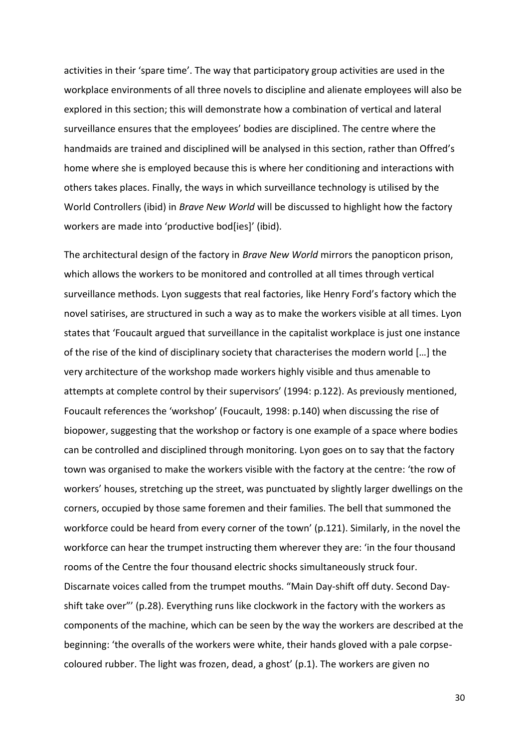activities in their 'spare time'. The way that participatory group activities are used in the workplace environments of all three novels to discipline and alienate employees will also be explored in this section; this will demonstrate how a combination of vertical and lateral surveillance ensures that the employees' bodies are disciplined. The centre where the handmaids are trained and disciplined will be analysed in this section, rather than Offred's home where she is employed because this is where her conditioning and interactions with others takes places. Finally, the ways in which surveillance technology is utilised by the World Controllers (ibid) in *Brave New World* will be discussed to highlight how the factory workers are made into 'productive bod[ies]' (ibid).

The architectural design of the factory in *Brave New World* mirrors the panopticon prison, which allows the workers to be monitored and controlled at all times through vertical surveillance methods. Lyon suggests that real factories, like Henry Ford's factory which the novel satirises, are structured in such a way as to make the workers visible at all times. Lyon states that 'Foucault argued that surveillance in the capitalist workplace is just one instance of the rise of the kind of disciplinary society that characterises the modern world […] the very architecture of the workshop made workers highly visible and thus amenable to attempts at complete control by their supervisors' (1994: p.122). As previously mentioned, Foucault references the 'workshop' (Foucault, 1998: p.140) when discussing the rise of biopower, suggesting that the workshop or factory is one example of a space where bodies can be controlled and disciplined through monitoring. Lyon goes on to say that the factory town was organised to make the workers visible with the factory at the centre: 'the row of workers' houses, stretching up the street, was punctuated by slightly larger dwellings on the corners, occupied by those same foremen and their families. The bell that summoned the workforce could be heard from every corner of the town' (p.121). Similarly, in the novel the workforce can hear the trumpet instructing them wherever they are: 'in the four thousand rooms of the Centre the four thousand electric shocks simultaneously struck four. Discarnate voices called from the trumpet mouths. "Main Day-shift off duty. Second Dayshift take over"' (p.28). Everything runs like clockwork in the factory with the workers as components of the machine, which can be seen by the way the workers are described at the beginning: 'the overalls of the workers were white, their hands gloved with a pale corpsecoloured rubber. The light was frozen, dead, a ghost' (p.1). The workers are given no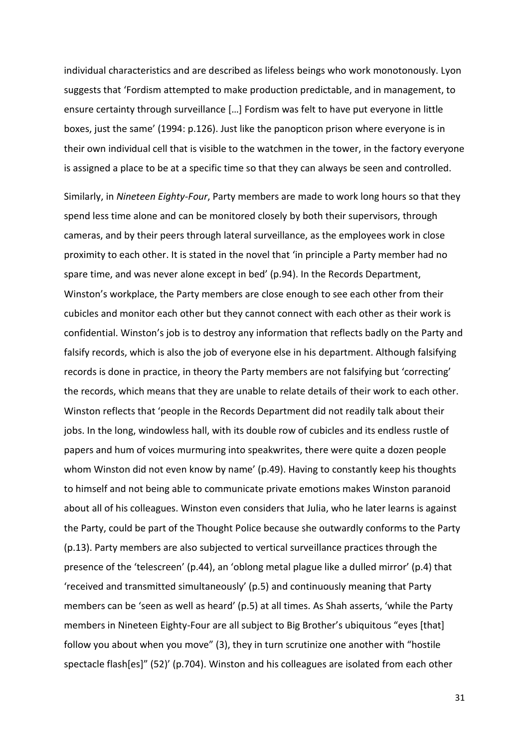individual characteristics and are described as lifeless beings who work monotonously. Lyon suggests that 'Fordism attempted to make production predictable, and in management, to ensure certainty through surveillance […] Fordism was felt to have put everyone in little boxes, just the same' (1994: p.126). Just like the panopticon prison where everyone is in their own individual cell that is visible to the watchmen in the tower, in the factory everyone is assigned a place to be at a specific time so that they can always be seen and controlled.

Similarly, in *Nineteen Eighty-Four*, Party members are made to work long hours so that they spend less time alone and can be monitored closely by both their supervisors, through cameras, and by their peers through lateral surveillance, as the employees work in close proximity to each other. It is stated in the novel that 'in principle a Party member had no spare time, and was never alone except in bed' (p.94). In the Records Department, Winston's workplace, the Party members are close enough to see each other from their cubicles and monitor each other but they cannot connect with each other as their work is confidential. Winston's job is to destroy any information that reflects badly on the Party and falsify records, which is also the job of everyone else in his department. Although falsifying records is done in practice, in theory the Party members are not falsifying but 'correcting' the records, which means that they are unable to relate details of their work to each other. Winston reflects that 'people in the Records Department did not readily talk about their jobs. In the long, windowless hall, with its double row of cubicles and its endless rustle of papers and hum of voices murmuring into speakwrites, there were quite a dozen people whom Winston did not even know by name' (p.49). Having to constantly keep his thoughts to himself and not being able to communicate private emotions makes Winston paranoid about all of his colleagues. Winston even considers that Julia, who he later learns is against the Party, could be part of the Thought Police because she outwardly conforms to the Party (p.13). Party members are also subjected to vertical surveillance practices through the presence of the 'telescreen' (p.44), an 'oblong metal plague like a dulled mirror' (p.4) that 'received and transmitted simultaneously' (p.5) and continuously meaning that Party members can be 'seen as well as heard' (p.5) at all times. As Shah asserts, 'while the Party members in Nineteen Eighty-Four are all subject to Big Brother's ubiquitous "eyes [that] follow you about when you move" (3), they in turn scrutinize one another with "hostile spectacle flash[es]" (52)' (p.704). Winston and his colleagues are isolated from each other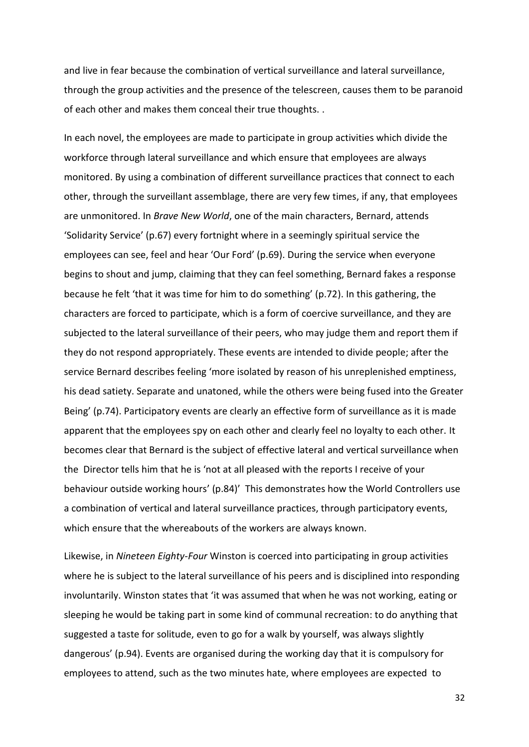and live in fear because the combination of vertical surveillance and lateral surveillance, through the group activities and the presence of the telescreen, causes them to be paranoid of each other and makes them conceal their true thoughts. .

In each novel, the employees are made to participate in group activities which divide the workforce through lateral surveillance and which ensure that employees are always monitored. By using a combination of different surveillance practices that connect to each other, through the surveillant assemblage, there are very few times, if any, that employees are unmonitored. In *Brave New World*, one of the main characters, Bernard, attends 'Solidarity Service' (p.67) every fortnight where in a seemingly spiritual service the employees can see, feel and hear 'Our Ford' (p.69). During the service when everyone begins to shout and jump, claiming that they can feel something, Bernard fakes a response because he felt 'that it was time for him to do something' (p.72). In this gathering, the characters are forced to participate, which is a form of coercive surveillance, and they are subjected to the lateral surveillance of their peers, who may judge them and report them if they do not respond appropriately. These events are intended to divide people; after the service Bernard describes feeling 'more isolated by reason of his unreplenished emptiness, his dead satiety. Separate and unatoned, while the others were being fused into the Greater Being' (p.74). Participatory events are clearly an effective form of surveillance as it is made apparent that the employees spy on each other and clearly feel no loyalty to each other. It becomes clear that Bernard is the subject of effective lateral and vertical surveillance when the Director tells him that he is 'not at all pleased with the reports I receive of your behaviour outside working hours' (p.84)' This demonstrates how the World Controllers use a combination of vertical and lateral surveillance practices, through participatory events, which ensure that the whereabouts of the workers are always known.

Likewise, in *Nineteen Eighty-Four* Winston is coerced into participating in group activities where he is subject to the lateral surveillance of his peers and is disciplined into responding involuntarily. Winston states that 'it was assumed that when he was not working, eating or sleeping he would be taking part in some kind of communal recreation: to do anything that suggested a taste for solitude, even to go for a walk by yourself, was always slightly dangerous' (p.94). Events are organised during the working day that it is compulsory for employees to attend, such as the two minutes hate, where employees are expected to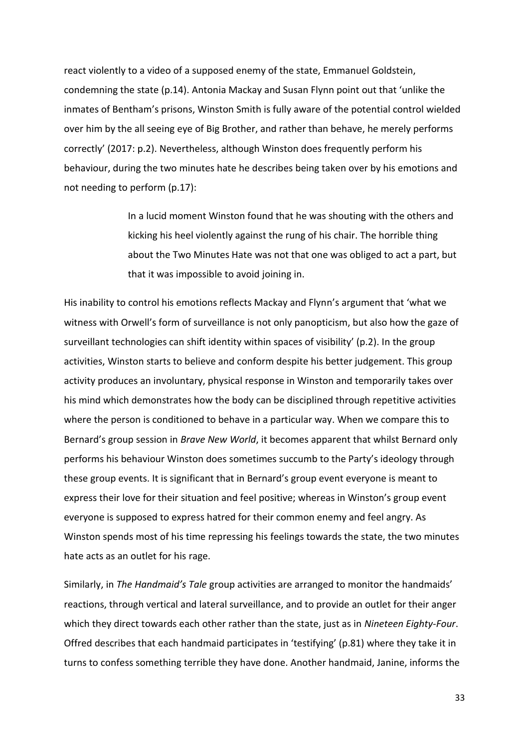react violently to a video of a supposed enemy of the state, Emmanuel Goldstein, condemning the state (p.14). Antonia Mackay and Susan Flynn point out that 'unlike the inmates of Bentham's prisons, Winston Smith is fully aware of the potential control wielded over him by the all seeing eye of Big Brother, and rather than behave, he merely performs correctly' (2017: p.2). Nevertheless, although Winston does frequently perform his behaviour, during the two minutes hate he describes being taken over by his emotions and not needing to perform (p.17):

> In a lucid moment Winston found that he was shouting with the others and kicking his heel violently against the rung of his chair. The horrible thing about the Two Minutes Hate was not that one was obliged to act a part, but that it was impossible to avoid joining in.

His inability to control his emotions reflects Mackay and Flynn's argument that 'what we witness with Orwell's form of surveillance is not only panopticism, but also how the gaze of surveillant technologies can shift identity within spaces of visibility' (p.2). In the group activities, Winston starts to believe and conform despite his better judgement. This group activity produces an involuntary, physical response in Winston and temporarily takes over his mind which demonstrates how the body can be disciplined through repetitive activities where the person is conditioned to behave in a particular way. When we compare this to Bernard's group session in *Brave New World*, it becomes apparent that whilst Bernard only performs his behaviour Winston does sometimes succumb to the Party's ideology through these group events. It is significant that in Bernard's group event everyone is meant to express their love for their situation and feel positive; whereas in Winston's group event everyone is supposed to express hatred for their common enemy and feel angry. As Winston spends most of his time repressing his feelings towards the state, the two minutes hate acts as an outlet for his rage.

Similarly, in *The Handmaid's Tale* group activities are arranged to monitor the handmaids' reactions, through vertical and lateral surveillance, and to provide an outlet for their anger which they direct towards each other rather than the state, just as in *Nineteen Eighty-Four*. Offred describes that each handmaid participates in 'testifying' (p.81) where they take it in turns to confess something terrible they have done. Another handmaid, Janine, informs the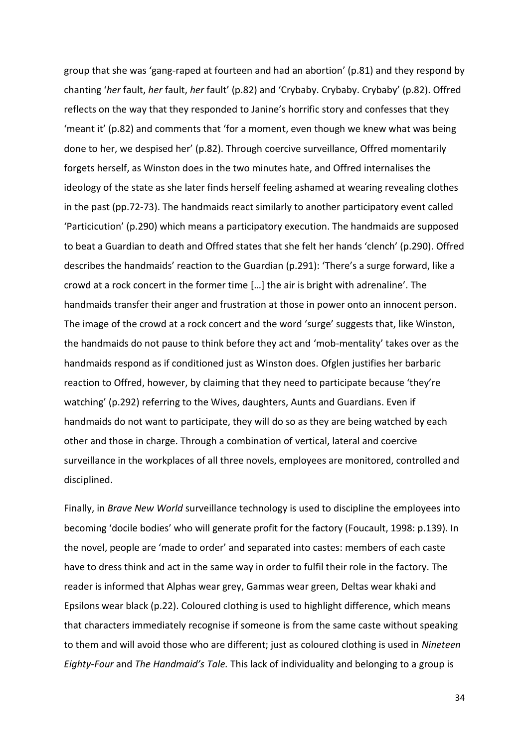group that she was 'gang-raped at fourteen and had an abortion' (p.81) and they respond by chanting '*her* fault, *her* fault, *her* fault' (p.82) and 'Crybaby. Crybaby. Crybaby' (p.82). Offred reflects on the way that they responded to Janine's horrific story and confesses that they 'meant it' (p.82) and comments that 'for a moment, even though we knew what was being done to her, we despised her' (p.82). Through coercive surveillance, Offred momentarily forgets herself, as Winston does in the two minutes hate, and Offred internalises the ideology of the state as she later finds herself feeling ashamed at wearing revealing clothes in the past (pp.72-73). The handmaids react similarly to another participatory event called 'Particicution' (p.290) which means a participatory execution. The handmaids are supposed to beat a Guardian to death and Offred states that she felt her hands 'clench' (p.290). Offred describes the handmaids' reaction to the Guardian (p.291): 'There's a surge forward, like a crowd at a rock concert in the former time […] the air is bright with adrenaline'. The handmaids transfer their anger and frustration at those in power onto an innocent person. The image of the crowd at a rock concert and the word 'surge' suggests that, like Winston, the handmaids do not pause to think before they act and 'mob-mentality' takes over as the handmaids respond as if conditioned just as Winston does. Ofglen justifies her barbaric reaction to Offred, however, by claiming that they need to participate because 'they're watching' (p.292) referring to the Wives, daughters, Aunts and Guardians. Even if handmaids do not want to participate, they will do so as they are being watched by each other and those in charge. Through a combination of vertical, lateral and coercive surveillance in the workplaces of all three novels, employees are monitored, controlled and disciplined.

Finally, in *Brave New World* surveillance technology is used to discipline the employees into becoming 'docile bodies' who will generate profit for the factory (Foucault, 1998: p.139). In the novel, people are 'made to order' and separated into castes: members of each caste have to dress think and act in the same way in order to fulfil their role in the factory. The reader is informed that Alphas wear grey, Gammas wear green, Deltas wear khaki and Epsilons wear black (p.22). Coloured clothing is used to highlight difference, which means that characters immediately recognise if someone is from the same caste without speaking to them and will avoid those who are different; just as coloured clothing is used in *Nineteen Eighty-Four* and *The Handmaid's Tale.* This lack of individuality and belonging to a group is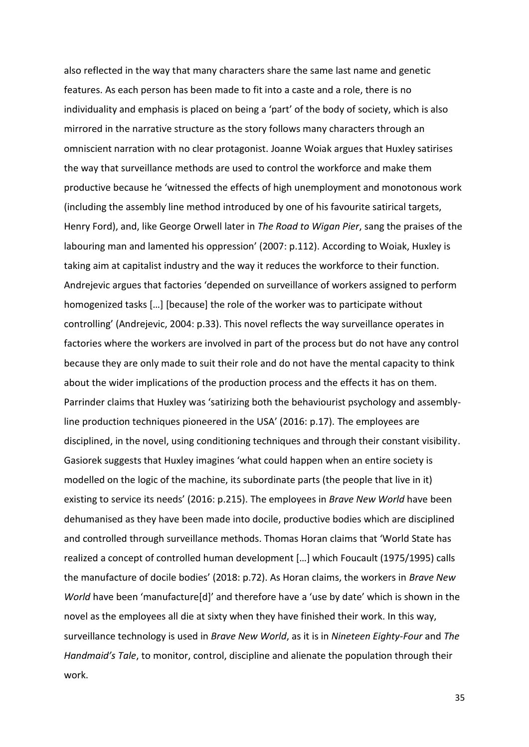also reflected in the way that many characters share the same last name and genetic features. As each person has been made to fit into a caste and a role, there is no individuality and emphasis is placed on being a 'part' of the body of society, which is also mirrored in the narrative structure as the story follows many characters through an omniscient narration with no clear protagonist. Joanne Woiak argues that Huxley satirises the way that surveillance methods are used to control the workforce and make them productive because he 'witnessed the effects of high unemployment and monotonous work (including the assembly line method introduced by one of his favourite satirical targets, Henry Ford), and, like George Orwell later in *The Road to Wigan Pier*, sang the praises of the labouring man and lamented his oppression' (2007: p.112). According to Woiak, Huxley is taking aim at capitalist industry and the way it reduces the workforce to their function. Andrejevic argues that factories 'depended on surveillance of workers assigned to perform homogenized tasks […] [because] the role of the worker was to participate without controlling' (Andrejevic, 2004: p.33). This novel reflects the way surveillance operates in factories where the workers are involved in part of the process but do not have any control because they are only made to suit their role and do not have the mental capacity to think about the wider implications of the production process and the effects it has on them. Parrinder claims that Huxley was 'satirizing both the behaviourist psychology and assemblyline production techniques pioneered in the USA' (2016: p.17). The employees are disciplined, in the novel, using conditioning techniques and through their constant visibility. Gasiorek suggests that Huxley imagines 'what could happen when an entire society is modelled on the logic of the machine, its subordinate parts (the people that live in it) existing to service its needs' (2016: p.215). The employees in *Brave New World* have been dehumanised as they have been made into docile, productive bodies which are disciplined and controlled through surveillance methods. Thomas Horan claims that 'World State has realized a concept of controlled human development […] which Foucault (1975/1995) calls the manufacture of docile bodies' (2018: p.72). As Horan claims, the workers in *Brave New World* have been 'manufacture[d]' and therefore have a 'use by date' which is shown in the novel as the employees all die at sixty when they have finished their work. In this way, surveillance technology is used in *Brave New World*, as it is in *Nineteen Eighty-Four* and *The Handmaid's Tale*, to monitor, control, discipline and alienate the population through their work.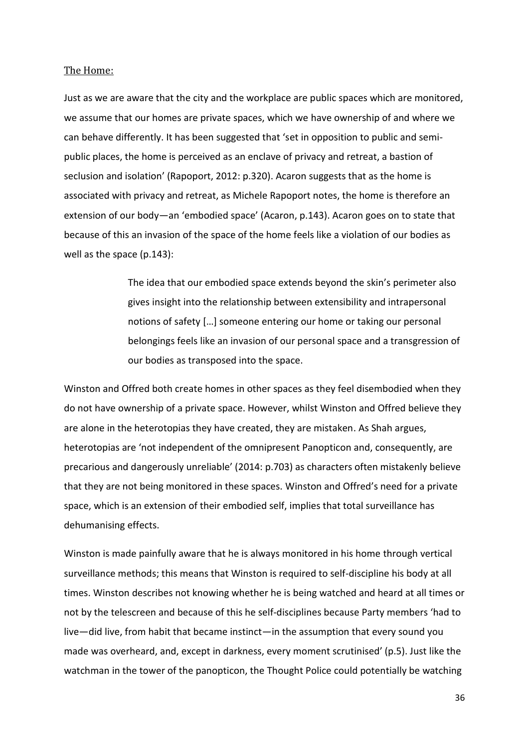## The Home:

Just as we are aware that the city and the workplace are public spaces which are monitored, we assume that our homes are private spaces, which we have ownership of and where we can behave differently. It has been suggested that 'set in opposition to public and semipublic places, the home is perceived as an enclave of privacy and retreat, a bastion of seclusion and isolation' (Rapoport, 2012: p.320). Acaron suggests that as the home is associated with privacy and retreat, as Michele Rapoport notes, the home is therefore an extension of our body—an 'embodied space' (Acaron, p.143). Acaron goes on to state that because of this an invasion of the space of the home feels like a violation of our bodies as well as the space (p.143):

> The idea that our embodied space extends beyond the skin's perimeter also gives insight into the relationship between extensibility and intrapersonal notions of safety […] someone entering our home or taking our personal belongings feels like an invasion of our personal space and a transgression of our bodies as transposed into the space.

Winston and Offred both create homes in other spaces as they feel disembodied when they do not have ownership of a private space. However, whilst Winston and Offred believe they are alone in the heterotopias they have created, they are mistaken. As Shah argues, heterotopias are 'not independent of the omnipresent Panopticon and, consequently, are precarious and dangerously unreliable' (2014: p.703) as characters often mistakenly believe that they are not being monitored in these spaces. Winston and Offred's need for a private space, which is an extension of their embodied self, implies that total surveillance has dehumanising effects.

Winston is made painfully aware that he is always monitored in his home through vertical surveillance methods; this means that Winston is required to self-discipline his body at all times. Winston describes not knowing whether he is being watched and heard at all times or not by the telescreen and because of this he self-disciplines because Party members 'had to live—did live, from habit that became instinct—in the assumption that every sound you made was overheard, and, except in darkness, every moment scrutinised' (p.5). Just like the watchman in the tower of the panopticon, the Thought Police could potentially be watching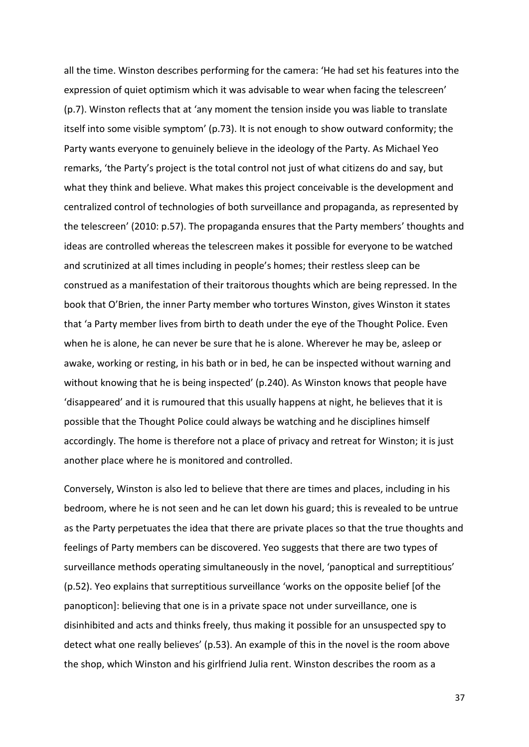all the time. Winston describes performing for the camera: 'He had set his features into the expression of quiet optimism which it was advisable to wear when facing the telescreen' (p.7). Winston reflects that at 'any moment the tension inside you was liable to translate itself into some visible symptom' (p.73). It is not enough to show outward conformity; the Party wants everyone to genuinely believe in the ideology of the Party. As Michael Yeo remarks, 'the Party's project is the total control not just of what citizens do and say, but what they think and believe. What makes this project conceivable is the development and centralized control of technologies of both surveillance and propaganda, as represented by the telescreen' (2010: p.57). The propaganda ensures that the Party members' thoughts and ideas are controlled whereas the telescreen makes it possible for everyone to be watched and scrutinized at all times including in people's homes; their restless sleep can be construed as a manifestation of their traitorous thoughts which are being repressed. In the book that O'Brien, the inner Party member who tortures Winston, gives Winston it states that 'a Party member lives from birth to death under the eye of the Thought Police. Even when he is alone, he can never be sure that he is alone. Wherever he may be, asleep or awake, working or resting, in his bath or in bed, he can be inspected without warning and without knowing that he is being inspected' (p.240). As Winston knows that people have 'disappeared' and it is rumoured that this usually happens at night, he believes that it is possible that the Thought Police could always be watching and he disciplines himself accordingly. The home is therefore not a place of privacy and retreat for Winston; it is just another place where he is monitored and controlled.

Conversely, Winston is also led to believe that there are times and places, including in his bedroom, where he is not seen and he can let down his guard; this is revealed to be untrue as the Party perpetuates the idea that there are private places so that the true thoughts and feelings of Party members can be discovered. Yeo suggests that there are two types of surveillance methods operating simultaneously in the novel, 'panoptical and surreptitious' (p.52). Yeo explains that surreptitious surveillance 'works on the opposite belief [of the panopticon]: believing that one is in a private space not under surveillance, one is disinhibited and acts and thinks freely, thus making it possible for an unsuspected spy to detect what one really believes' (p.53). An example of this in the novel is the room above the shop, which Winston and his girlfriend Julia rent. Winston describes the room as a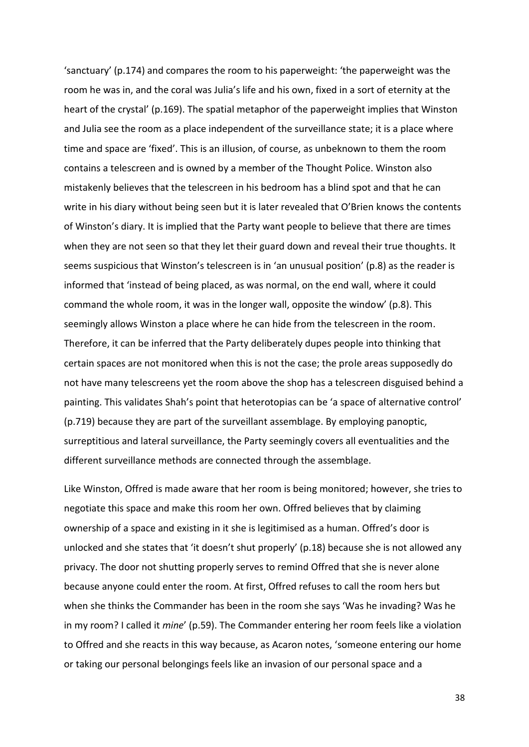'sanctuary' (p.174) and compares the room to his paperweight: 'the paperweight was the room he was in, and the coral was Julia's life and his own, fixed in a sort of eternity at the heart of the crystal' (p.169). The spatial metaphor of the paperweight implies that Winston and Julia see the room as a place independent of the surveillance state; it is a place where time and space are 'fixed'. This is an illusion, of course, as unbeknown to them the room contains a telescreen and is owned by a member of the Thought Police. Winston also mistakenly believes that the telescreen in his bedroom has a blind spot and that he can write in his diary without being seen but it is later revealed that O'Brien knows the contents of Winston's diary. It is implied that the Party want people to believe that there are times when they are not seen so that they let their guard down and reveal their true thoughts. It seems suspicious that Winston's telescreen is in 'an unusual position' (p.8) as the reader is informed that 'instead of being placed, as was normal, on the end wall, where it could command the whole room, it was in the longer wall, opposite the window' (p.8). This seemingly allows Winston a place where he can hide from the telescreen in the room. Therefore, it can be inferred that the Party deliberately dupes people into thinking that certain spaces are not monitored when this is not the case; the prole areas supposedly do not have many telescreens yet the room above the shop has a telescreen disguised behind a painting. This validates Shah's point that heterotopias can be 'a space of alternative control' (p.719) because they are part of the surveillant assemblage. By employing panoptic, surreptitious and lateral surveillance, the Party seemingly covers all eventualities and the different surveillance methods are connected through the assemblage.

Like Winston, Offred is made aware that her room is being monitored; however, she tries to negotiate this space and make this room her own. Offred believes that by claiming ownership of a space and existing in it she is legitimised as a human. Offred's door is unlocked and she states that 'it doesn't shut properly' (p.18) because she is not allowed any privacy. The door not shutting properly serves to remind Offred that she is never alone because anyone could enter the room. At first, Offred refuses to call the room hers but when she thinks the Commander has been in the room she says 'Was he invading? Was he in my room? I called it *mine*' (p.59). The Commander entering her room feels like a violation to Offred and she reacts in this way because, as Acaron notes, 'someone entering our home or taking our personal belongings feels like an invasion of our personal space and a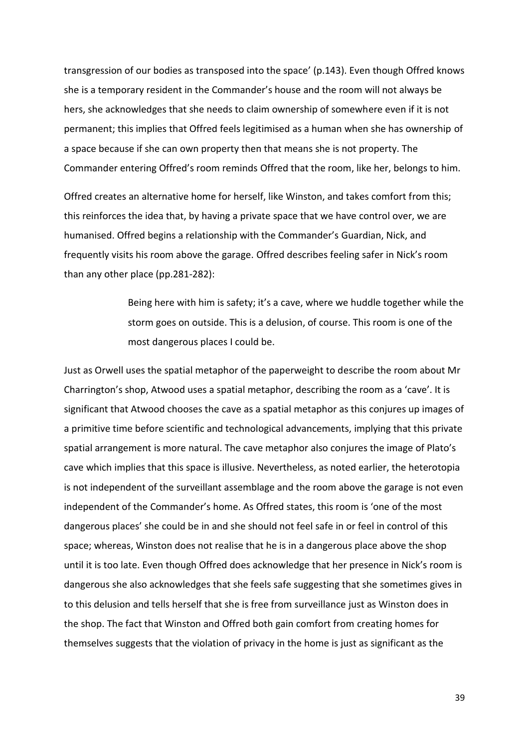transgression of our bodies as transposed into the space' (p.143). Even though Offred knows she is a temporary resident in the Commander's house and the room will not always be hers, she acknowledges that she needs to claim ownership of somewhere even if it is not permanent; this implies that Offred feels legitimised as a human when she has ownership of a space because if she can own property then that means she is not property. The Commander entering Offred's room reminds Offred that the room, like her, belongs to him.

Offred creates an alternative home for herself, like Winston, and takes comfort from this; this reinforces the idea that, by having a private space that we have control over, we are humanised. Offred begins a relationship with the Commander's Guardian, Nick, and frequently visits his room above the garage. Offred describes feeling safer in Nick's room than any other place (pp.281-282):

> Being here with him is safety; it's a cave, where we huddle together while the storm goes on outside. This is a delusion, of course. This room is one of the most dangerous places I could be.

Just as Orwell uses the spatial metaphor of the paperweight to describe the room about Mr Charrington's shop, Atwood uses a spatial metaphor, describing the room as a 'cave'. It is significant that Atwood chooses the cave as a spatial metaphor as this conjures up images of a primitive time before scientific and technological advancements, implying that this private spatial arrangement is more natural. The cave metaphor also conjures the image of Plato's cave which implies that this space is illusive. Nevertheless, as noted earlier, the heterotopia is not independent of the surveillant assemblage and the room above the garage is not even independent of the Commander's home. As Offred states, this room is 'one of the most dangerous places' she could be in and she should not feel safe in or feel in control of this space; whereas, Winston does not realise that he is in a dangerous place above the shop until it is too late. Even though Offred does acknowledge that her presence in Nick's room is dangerous she also acknowledges that she feels safe suggesting that she sometimes gives in to this delusion and tells herself that she is free from surveillance just as Winston does in the shop. The fact that Winston and Offred both gain comfort from creating homes for themselves suggests that the violation of privacy in the home is just as significant as the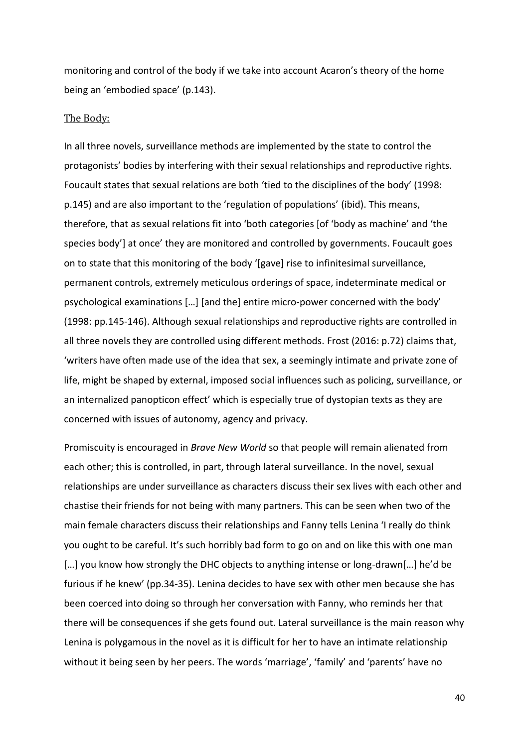monitoring and control of the body if we take into account Acaron's theory of the home being an 'embodied space' (p.143).

### The Body:

In all three novels, surveillance methods are implemented by the state to control the protagonists' bodies by interfering with their sexual relationships and reproductive rights. Foucault states that sexual relations are both 'tied to the disciplines of the body' (1998: p.145) and are also important to the 'regulation of populations' (ibid). This means, therefore, that as sexual relations fit into 'both categories [of 'body as machine' and 'the species body'] at once' they are monitored and controlled by governments. Foucault goes on to state that this monitoring of the body '[gave] rise to infinitesimal surveillance, permanent controls, extremely meticulous orderings of space, indeterminate medical or psychological examinations […] [and the] entire micro-power concerned with the body' (1998: pp.145-146). Although sexual relationships and reproductive rights are controlled in all three novels they are controlled using different methods. Frost (2016: p.72) claims that, 'writers have often made use of the idea that sex, a seemingly intimate and private zone of life, might be shaped by external, imposed social influences such as policing, surveillance, or an internalized panopticon effect' which is especially true of dystopian texts as they are concerned with issues of autonomy, agency and privacy.

Promiscuity is encouraged in *Brave New World* so that people will remain alienated from each other; this is controlled, in part, through lateral surveillance. In the novel, sexual relationships are under surveillance as characters discuss their sex lives with each other and chastise their friends for not being with many partners. This can be seen when two of the main female characters discuss their relationships and Fanny tells Lenina 'I really do think you ought to be careful. It's such horribly bad form to go on and on like this with one man […] you know how strongly the DHC objects to anything intense or long-drawn[…] he'd be furious if he knew' (pp.34-35). Lenina decides to have sex with other men because she has been coerced into doing so through her conversation with Fanny, who reminds her that there will be consequences if she gets found out. Lateral surveillance is the main reason why Lenina is polygamous in the novel as it is difficult for her to have an intimate relationship without it being seen by her peers. The words 'marriage', 'family' and 'parents' have no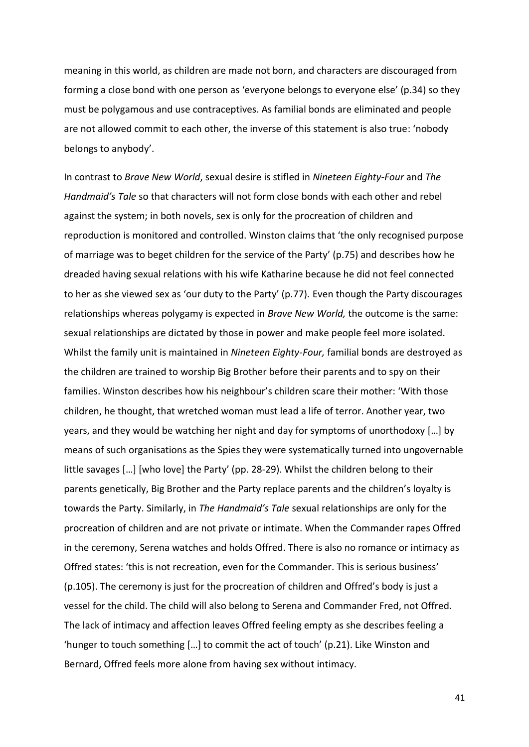meaning in this world, as children are made not born, and characters are discouraged from forming a close bond with one person as 'everyone belongs to everyone else' (p.34) so they must be polygamous and use contraceptives. As familial bonds are eliminated and people are not allowed commit to each other, the inverse of this statement is also true: 'nobody belongs to anybody'.

In contrast to *Brave New World*, sexual desire is stifled in *Nineteen Eighty-Four* and *The Handmaid's Tale* so that characters will not form close bonds with each other and rebel against the system; in both novels, sex is only for the procreation of children and reproduction is monitored and controlled. Winston claims that 'the only recognised purpose of marriage was to beget children for the service of the Party' (p.75) and describes how he dreaded having sexual relations with his wife Katharine because he did not feel connected to her as she viewed sex as 'our duty to the Party' (p.77). Even though the Party discourages relationships whereas polygamy is expected in *Brave New World,* the outcome is the same: sexual relationships are dictated by those in power and make people feel more isolated. Whilst the family unit is maintained in *Nineteen Eighty-Four,* familial bonds are destroyed as the children are trained to worship Big Brother before their parents and to spy on their families. Winston describes how his neighbour's children scare their mother: 'With those children, he thought, that wretched woman must lead a life of terror. Another year, two years, and they would be watching her night and day for symptoms of unorthodoxy […] by means of such organisations as the Spies they were systematically turned into ungovernable little savages […] [who love] the Party' (pp. 28-29). Whilst the children belong to their parents genetically, Big Brother and the Party replace parents and the children's loyalty is towards the Party. Similarly, in *The Handmaid's Tale* sexual relationships are only for the procreation of children and are not private or intimate. When the Commander rapes Offred in the ceremony, Serena watches and holds Offred. There is also no romance or intimacy as Offred states: 'this is not recreation, even for the Commander. This is serious business' (p.105). The ceremony is just for the procreation of children and Offred's body is just a vessel for the child. The child will also belong to Serena and Commander Fred, not Offred. The lack of intimacy and affection leaves Offred feeling empty as she describes feeling a 'hunger to touch something […] to commit the act of touch' (p.21). Like Winston and Bernard, Offred feels more alone from having sex without intimacy.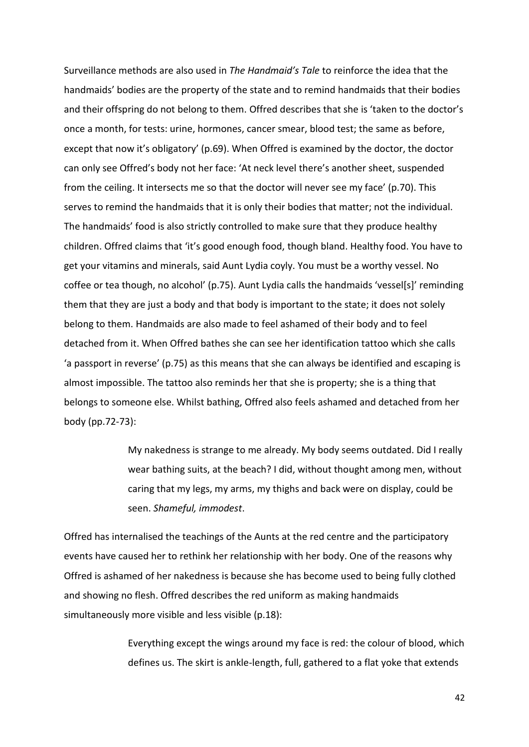Surveillance methods are also used in *The Handmaid's Tale* to reinforce the idea that the handmaids' bodies are the property of the state and to remind handmaids that their bodies and their offspring do not belong to them. Offred describes that she is 'taken to the doctor's once a month, for tests: urine, hormones, cancer smear, blood test; the same as before, except that now it's obligatory' (p.69). When Offred is examined by the doctor, the doctor can only see Offred's body not her face: 'At neck level there's another sheet, suspended from the ceiling. It intersects me so that the doctor will never see my face' (p.70). This serves to remind the handmaids that it is only their bodies that matter; not the individual. The handmaids' food is also strictly controlled to make sure that they produce healthy children. Offred claims that 'it's good enough food, though bland. Healthy food. You have to get your vitamins and minerals, said Aunt Lydia coyly. You must be a worthy vessel. No coffee or tea though, no alcohol' (p.75). Aunt Lydia calls the handmaids 'vessel[s]' reminding them that they are just a body and that body is important to the state; it does not solely belong to them. Handmaids are also made to feel ashamed of their body and to feel detached from it. When Offred bathes she can see her identification tattoo which she calls 'a passport in reverse' (p.75) as this means that she can always be identified and escaping is almost impossible. The tattoo also reminds her that she is property; she is a thing that belongs to someone else. Whilst bathing, Offred also feels ashamed and detached from her body (pp.72-73):

> My nakedness is strange to me already. My body seems outdated. Did I really wear bathing suits, at the beach? I did, without thought among men, without caring that my legs, my arms, my thighs and back were on display, could be seen. *Shameful, immodest*.

Offred has internalised the teachings of the Aunts at the red centre and the participatory events have caused her to rethink her relationship with her body. One of the reasons why Offred is ashamed of her nakedness is because she has become used to being fully clothed and showing no flesh. Offred describes the red uniform as making handmaids simultaneously more visible and less visible (p.18):

> Everything except the wings around my face is red: the colour of blood, which defines us. The skirt is ankle-length, full, gathered to a flat yoke that extends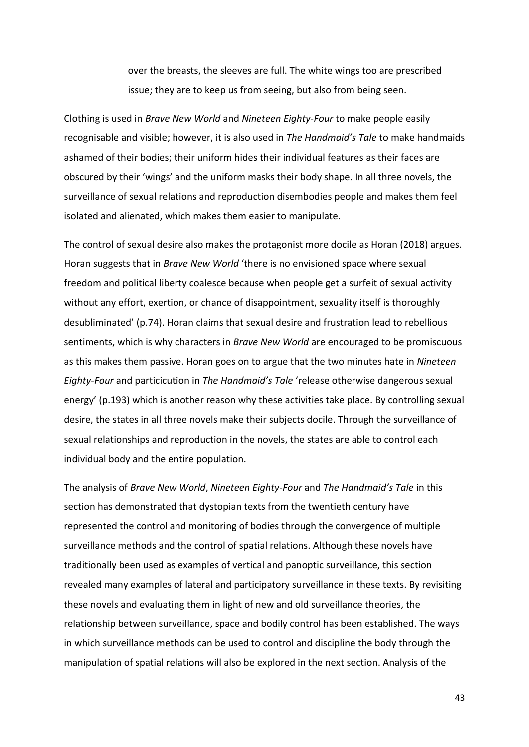over the breasts, the sleeves are full. The white wings too are prescribed issue; they are to keep us from seeing, but also from being seen.

Clothing is used in *Brave New World* and *Nineteen Eighty-Four* to make people easily recognisable and visible; however, it is also used in *The Handmaid's Tale* to make handmaids ashamed of their bodies; their uniform hides their individual features as their faces are obscured by their 'wings' and the uniform masks their body shape. In all three novels, the surveillance of sexual relations and reproduction disembodies people and makes them feel isolated and alienated, which makes them easier to manipulate.

The control of sexual desire also makes the protagonist more docile as Horan (2018) argues. Horan suggests that in *Brave New World* 'there is no envisioned space where sexual freedom and political liberty coalesce because when people get a surfeit of sexual activity without any effort, exertion, or chance of disappointment, sexuality itself is thoroughly desubliminated' (p.74). Horan claims that sexual desire and frustration lead to rebellious sentiments, which is why characters in *Brave New World* are encouraged to be promiscuous as this makes them passive. Horan goes on to argue that the two minutes hate in *Nineteen Eighty-Four* and particicution in *The Handmaid's Tale* 'release otherwise dangerous sexual energy' (p.193) which is another reason why these activities take place. By controlling sexual desire, the states in all three novels make their subjects docile. Through the surveillance of sexual relationships and reproduction in the novels, the states are able to control each individual body and the entire population.

The analysis of *Brave New World*, *Nineteen Eighty-Four* and *The Handmaid's Tale* in this section has demonstrated that dystopian texts from the twentieth century have represented the control and monitoring of bodies through the convergence of multiple surveillance methods and the control of spatial relations. Although these novels have traditionally been used as examples of vertical and panoptic surveillance, this section revealed many examples of lateral and participatory surveillance in these texts. By revisiting these novels and evaluating them in light of new and old surveillance theories, the relationship between surveillance, space and bodily control has been established. The ways in which surveillance methods can be used to control and discipline the body through the manipulation of spatial relations will also be explored in the next section. Analysis of the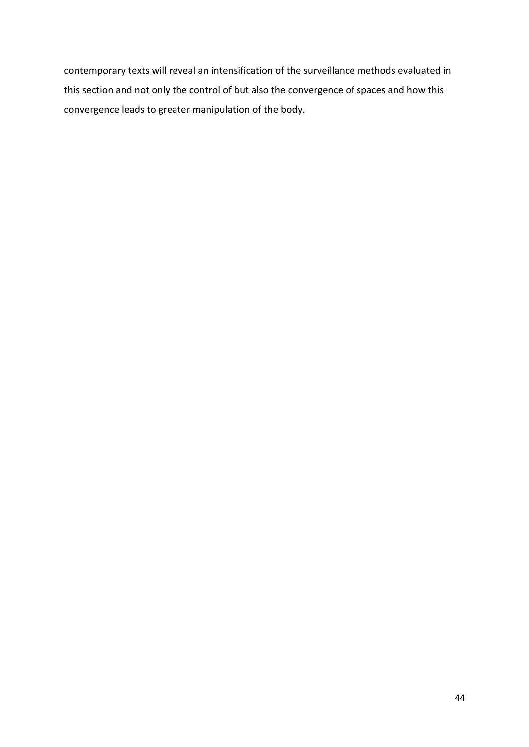contemporary texts will reveal an intensification of the surveillance methods evaluated in this section and not only the control of but also the convergence of spaces and how this convergence leads to greater manipulation of the body.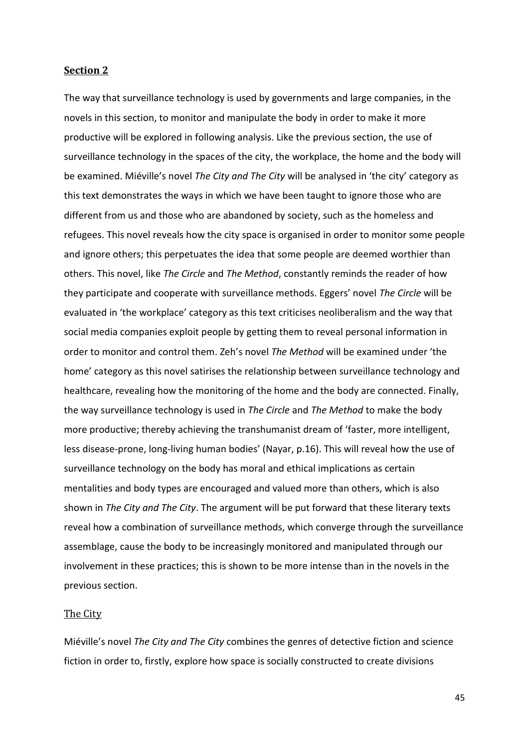# **Section 2**

The way that surveillance technology is used by governments and large companies, in the novels in this section, to monitor and manipulate the body in order to make it more productive will be explored in following analysis. Like the previous section, the use of surveillance technology in the spaces of the city, the workplace, the home and the body will be examined. Miéville's novel *The City and The City* will be analysed in 'the city' category as this text demonstrates the ways in which we have been taught to ignore those who are different from us and those who are abandoned by society, such as the homeless and refugees. This novel reveals how the city space is organised in order to monitor some people and ignore others; this perpetuates the idea that some people are deemed worthier than others. This novel, like *The Circle* and *The Method*, constantly reminds the reader of how they participate and cooperate with surveillance methods. Eggers' novel *The Circle* will be evaluated in 'the workplace' category as this text criticises neoliberalism and the way that social media companies exploit people by getting them to reveal personal information in order to monitor and control them. Zeh's novel *The Method* will be examined under 'the home' category as this novel satirises the relationship between surveillance technology and healthcare, revealing how the monitoring of the home and the body are connected. Finally, the way surveillance technology is used in *The Circle* and *The Method* to make the body more productive; thereby achieving the transhumanist dream of 'faster, more intelligent, less disease-prone, long-living human bodies' (Nayar, p.16). This will reveal how the use of surveillance technology on the body has moral and ethical implications as certain mentalities and body types are encouraged and valued more than others, which is also shown in *The City and The City*. The argument will be put forward that these literary texts reveal how a combination of surveillance methods, which converge through the surveillance assemblage, cause the body to be increasingly monitored and manipulated through our involvement in these practices; this is shown to be more intense than in the novels in the previous section.

#### The City

Miéville's novel *The City and The City* combines the genres of detective fiction and science fiction in order to, firstly, explore how space is socially constructed to create divisions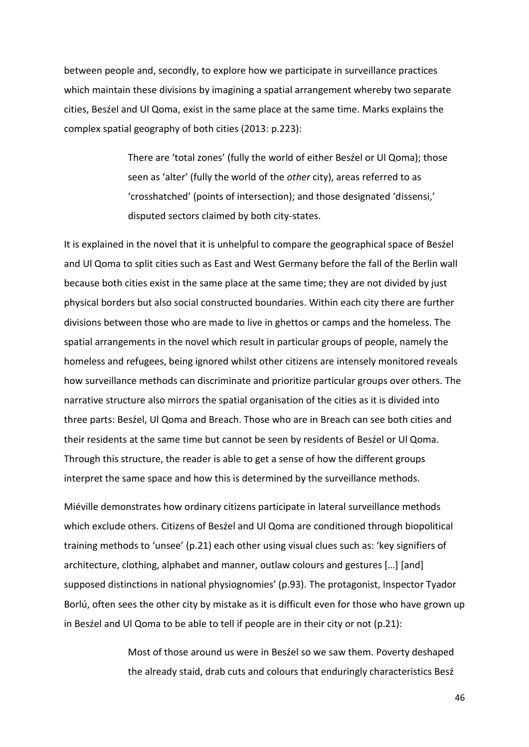between people and, secondly, to explore how we participate in surveillance practices which maintain these divisions by imagining a spatial arrangement whereby two separate cities, Besźel and Ul Qoma, exist in the same place at the same time. Marks explains the complex spatial geography of both cities (2013: p.223):

> There are 'total zones' (fully the world of either Besźel or Ul Qoma); those seen as 'alter' (fully the world of the *other* city), areas referred to as 'crosshatched' (points of intersection); and those designated 'dissensi,' disputed sectors claimed by both city-states.

It is explained in the novel that it is unhelpful to compare the geographical space of Besźel and Ul Qoma to split cities such as East and West Germany before the fall of the Berlin wall because both cities exist in the same place at the same time; they are not divided by just physical borders but also social constructed boundaries. Within each city there are further divisions between those who are made to live in ghettos or camps and the homeless. The spatial arrangements in the novel which result in particular groups of people, namely the homeless and refugees, being ignored whilst other citizens are intensely monitored reveals how surveillance methods can discriminate and prioritize particular groups over others. The narrative structure also mirrors the spatial organisation of the cities as it is divided into three parts: Besźel, Ul Qoma and Breach. Those who are in Breach can see both cities and their residents at the same time but cannot be seen by residents of Besźel or Ul Qoma. Through this structure, the reader is able to get a sense of how the different groups interpret the same space and how this is determined by the surveillance methods.

Miéville demonstrates how ordinary citizens participate in lateral surveillance methods which exclude others. Citizens of Besźel and Ul Qoma are conditioned through biopolitical training methods to 'unsee' (p.21) each other using visual clues such as: 'key signifiers of architecture, clothing, alphabet and manner, outlaw colours and gestures […] [and] supposed distinctions in national physiognomies' (p.93). The protagonist, Inspector Tyador Borlú, often sees the other city by mistake as it is difficult even for those who have grown up in Besźel and Ul Qoma to be able to tell if people are in their city or not (p.21):

> Most of those around us were in Besźel so we saw them. Poverty deshaped the already staid, drab cuts and colours that enduringly characteristics Besź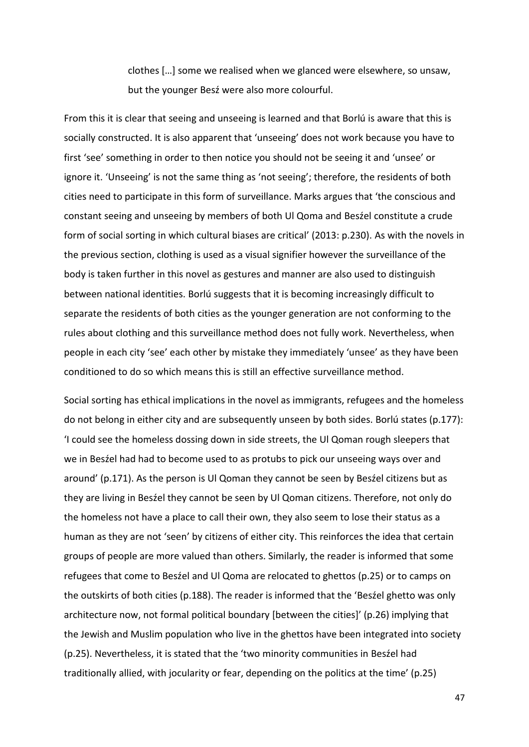clothes […] some we realised when we glanced were elsewhere, so unsaw, but the younger Besź were also more colourful.

From this it is clear that seeing and unseeing is learned and that Borlú is aware that this is socially constructed. It is also apparent that 'unseeing' does not work because you have to first 'see' something in order to then notice you should not be seeing it and 'unsee' or ignore it. 'Unseeing' is not the same thing as 'not seeing'; therefore, the residents of both cities need to participate in this form of surveillance. Marks argues that 'the conscious and constant seeing and unseeing by members of both Ul Qoma and Besźel constitute a crude form of social sorting in which cultural biases are critical' (2013: p.230). As with the novels in the previous section, clothing is used as a visual signifier however the surveillance of the body is taken further in this novel as gestures and manner are also used to distinguish between national identities. Borlú suggests that it is becoming increasingly difficult to separate the residents of both cities as the younger generation are not conforming to the rules about clothing and this surveillance method does not fully work. Nevertheless, when people in each city 'see' each other by mistake they immediately 'unsee' as they have been conditioned to do so which means this is still an effective surveillance method.

Social sorting has ethical implications in the novel as immigrants, refugees and the homeless do not belong in either city and are subsequently unseen by both sides. Borlú states (p.177): 'I could see the homeless dossing down in side streets, the Ul Qoman rough sleepers that we in Besźel had had to become used to as protubs to pick our unseeing ways over and around' (p.171). As the person is Ul Qoman they cannot be seen by Besźel citizens but as they are living in Besźel they cannot be seen by Ul Qoman citizens. Therefore, not only do the homeless not have a place to call their own, they also seem to lose their status as a human as they are not 'seen' by citizens of either city. This reinforces the idea that certain groups of people are more valued than others. Similarly, the reader is informed that some refugees that come to Besźel and Ul Qoma are relocated to ghettos (p.25) or to camps on the outskirts of both cities (p.188). The reader is informed that the 'Besźel ghetto was only architecture now, not formal political boundary [between the cities]' (p.26) implying that the Jewish and Muslim population who live in the ghettos have been integrated into society (p.25). Nevertheless, it is stated that the 'two minority communities in Besźel had traditionally allied, with jocularity or fear, depending on the politics at the time' (p.25)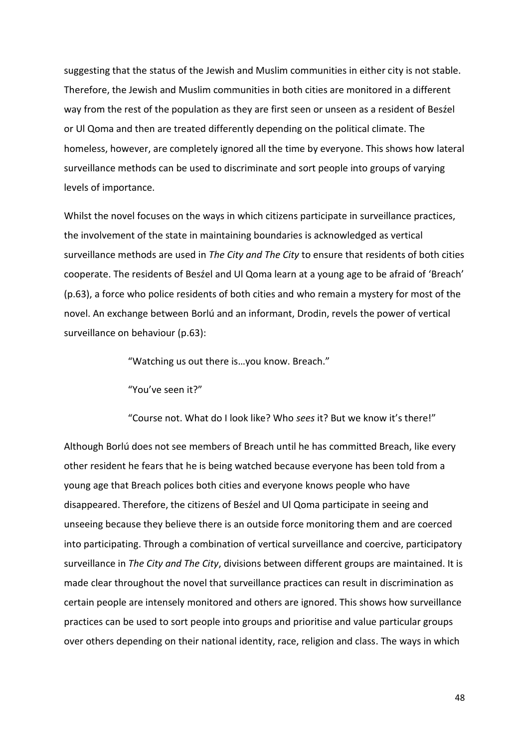suggesting that the status of the Jewish and Muslim communities in either city is not stable. Therefore, the Jewish and Muslim communities in both cities are monitored in a different way from the rest of the population as they are first seen or unseen as a resident of Besźel or Ul Qoma and then are treated differently depending on the political climate. The homeless, however, are completely ignored all the time by everyone. This shows how lateral surveillance methods can be used to discriminate and sort people into groups of varying levels of importance.

Whilst the novel focuses on the ways in which citizens participate in surveillance practices, the involvement of the state in maintaining boundaries is acknowledged as vertical surveillance methods are used in *The City and The City* to ensure that residents of both cities cooperate. The residents of Besźel and Ul Qoma learn at a young age to be afraid of 'Breach' (p.63), a force who police residents of both cities and who remain a mystery for most of the novel. An exchange between Borlú and an informant, Drodin, revels the power of vertical surveillance on behaviour (p.63):

"Watching us out there is…you know. Breach."

"You've seen it?"

"Course not. What do I look like? Who *sees* it? But we know it's there!"

Although Borlú does not see members of Breach until he has committed Breach, like every other resident he fears that he is being watched because everyone has been told from a young age that Breach polices both cities and everyone knows people who have disappeared. Therefore, the citizens of Besźel and Ul Qoma participate in seeing and unseeing because they believe there is an outside force monitoring them and are coerced into participating. Through a combination of vertical surveillance and coercive, participatory surveillance in *The City and The City*, divisions between different groups are maintained. It is made clear throughout the novel that surveillance practices can result in discrimination as certain people are intensely monitored and others are ignored. This shows how surveillance practices can be used to sort people into groups and prioritise and value particular groups over others depending on their national identity, race, religion and class. The ways in which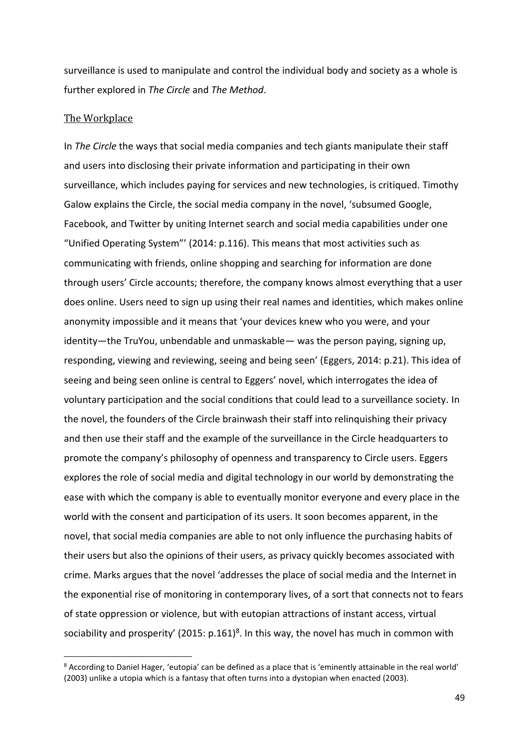surveillance is used to manipulate and control the individual body and society as a whole is further explored in *The Circle* and *The Method*.

# The Workplace

 $\overline{a}$ 

In *The Circle* the ways that social media companies and tech giants manipulate their staff and users into disclosing their private information and participating in their own surveillance, which includes paying for services and new technologies, is critiqued. Timothy Galow explains the Circle, the social media company in the novel, 'subsumed Google, Facebook, and Twitter by uniting Internet search and social media capabilities under one "Unified Operating System"' (2014: p.116). This means that most activities such as communicating with friends, online shopping and searching for information are done through users' Circle accounts; therefore, the company knows almost everything that a user does online. Users need to sign up using their real names and identities, which makes online anonymity impossible and it means that 'your devices knew who you were, and your identity—the TruYou, unbendable and unmaskable— was the person paying, signing up, responding, viewing and reviewing, seeing and being seen' (Eggers, 2014: p.21). This idea of seeing and being seen online is central to Eggers' novel, which interrogates the idea of voluntary participation and the social conditions that could lead to a surveillance society. In the novel, the founders of the Circle brainwash their staff into relinquishing their privacy and then use their staff and the example of the surveillance in the Circle headquarters to promote the company's philosophy of openness and transparency to Circle users. Eggers explores the role of social media and digital technology in our world by demonstrating the ease with which the company is able to eventually monitor everyone and every place in the world with the consent and participation of its users. It soon becomes apparent, in the novel, that social media companies are able to not only influence the purchasing habits of their users but also the opinions of their users, as privacy quickly becomes associated with crime. Marks argues that the novel 'addresses the place of social media and the Internet in the exponential rise of monitoring in contemporary lives, of a sort that connects not to fears of state oppression or violence, but with eutopian attractions of instant access, virtual sociability and prosperity' (2015:  $p.161$ )<sup>8</sup>. In this way, the novel has much in common with

<sup>8</sup> According to Daniel Hager, 'eutopia' can be defined as a place that is 'eminently attainable in the real world' (2003) unlike a utopia which is a fantasy that often turns into a dystopian when enacted (2003).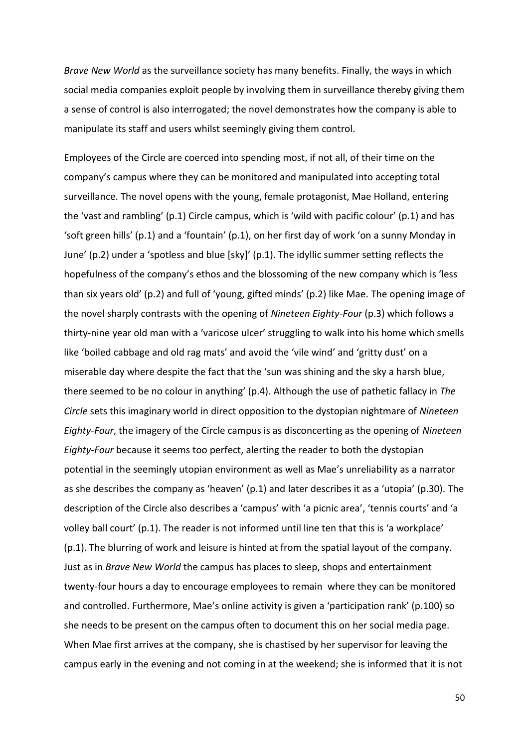*Brave New World* as the surveillance society has many benefits. Finally, the ways in which social media companies exploit people by involving them in surveillance thereby giving them a sense of control is also interrogated; the novel demonstrates how the company is able to manipulate its staff and users whilst seemingly giving them control.

Employees of the Circle are coerced into spending most, if not all, of their time on the company's campus where they can be monitored and manipulated into accepting total surveillance. The novel opens with the young, female protagonist, Mae Holland, entering the 'vast and rambling' (p.1) Circle campus, which is 'wild with pacific colour' (p.1) and has 'soft green hills' (p.1) and a 'fountain' (p.1), on her first day of work 'on a sunny Monday in June' (p.2) under a 'spotless and blue [sky]' (p.1). The idyllic summer setting reflects the hopefulness of the company's ethos and the blossoming of the new company which is 'less than six years old' (p.2) and full of 'young, gifted minds' (p.2) like Mae. The opening image of the novel sharply contrasts with the opening of *Nineteen Eighty-Four* (p.3) which follows a thirty-nine year old man with a 'varicose ulcer' struggling to walk into his home which smells like 'boiled cabbage and old rag mats' and avoid the 'vile wind' and 'gritty dust' on a miserable day where despite the fact that the 'sun was shining and the sky a harsh blue, there seemed to be no colour in anything' (p.4). Although the use of pathetic fallacy in *The Circle* sets this imaginary world in direct opposition to the dystopian nightmare of *Nineteen Eighty-Four*, the imagery of the Circle campus is as disconcerting as the opening of *Nineteen Eighty-Four* because it seems too perfect, alerting the reader to both the dystopian potential in the seemingly utopian environment as well as Mae's unreliability as a narrator as she describes the company as 'heaven' (p.1) and later describes it as a 'utopia' (p.30). The description of the Circle also describes a 'campus' with 'a picnic area', 'tennis courts' and 'a volley ball court' (p.1). The reader is not informed until line ten that this is 'a workplace' (p.1). The blurring of work and leisure is hinted at from the spatial layout of the company. Just as in *Brave New World* the campus has places to sleep, shops and entertainment twenty-four hours a day to encourage employees to remain where they can be monitored and controlled. Furthermore, Mae's online activity is given a 'participation rank' (p.100) so she needs to be present on the campus often to document this on her social media page. When Mae first arrives at the company, she is chastised by her supervisor for leaving the campus early in the evening and not coming in at the weekend; she is informed that it is not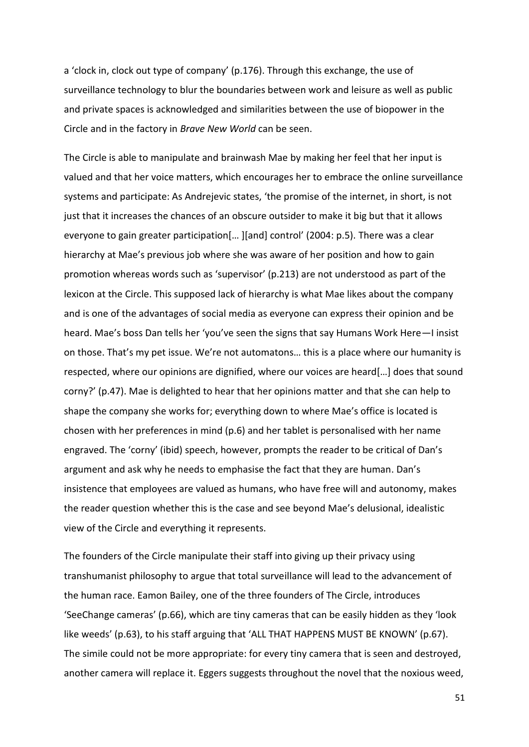a 'clock in, clock out type of company' (p.176). Through this exchange, the use of surveillance technology to blur the boundaries between work and leisure as well as public and private spaces is acknowledged and similarities between the use of biopower in the Circle and in the factory in *Brave New World* can be seen.

The Circle is able to manipulate and brainwash Mae by making her feel that her input is valued and that her voice matters, which encourages her to embrace the online surveillance systems and participate: As Andrejevic states, 'the promise of the internet, in short, is not just that it increases the chances of an obscure outsider to make it big but that it allows everyone to gain greater participation[… ][and] control' (2004: p.5). There was a clear hierarchy at Mae's previous job where she was aware of her position and how to gain promotion whereas words such as 'supervisor' (p.213) are not understood as part of the lexicon at the Circle. This supposed lack of hierarchy is what Mae likes about the company and is one of the advantages of social media as everyone can express their opinion and be heard. Mae's boss Dan tells her 'you've seen the signs that say Humans Work Here—I insist on those. That's my pet issue. We're not automatons… this is a place where our humanity is respected, where our opinions are dignified, where our voices are heard[…] does that sound corny?' (p.47). Mae is delighted to hear that her opinions matter and that she can help to shape the company she works for; everything down to where Mae's office is located is chosen with her preferences in mind (p.6) and her tablet is personalised with her name engraved. The 'corny' (ibid) speech, however, prompts the reader to be critical of Dan's argument and ask why he needs to emphasise the fact that they are human. Dan's insistence that employees are valued as humans, who have free will and autonomy, makes the reader question whether this is the case and see beyond Mae's delusional, idealistic view of the Circle and everything it represents.

The founders of the Circle manipulate their staff into giving up their privacy using transhumanist philosophy to argue that total surveillance will lead to the advancement of the human race. Eamon Bailey, one of the three founders of The Circle, introduces 'SeeChange cameras' (p.66), which are tiny cameras that can be easily hidden as they 'look like weeds' (p.63), to his staff arguing that 'ALL THAT HAPPENS MUST BE KNOWN' (p.67). The simile could not be more appropriate: for every tiny camera that is seen and destroyed, another camera will replace it. Eggers suggests throughout the novel that the noxious weed,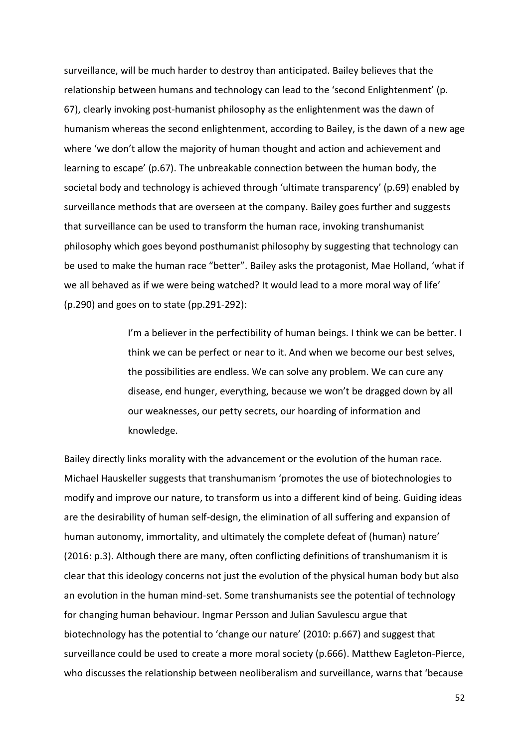surveillance, will be much harder to destroy than anticipated. Bailey believes that the relationship between humans and technology can lead to the 'second Enlightenment' (p. 67), clearly invoking post-humanist philosophy as the enlightenment was the dawn of humanism whereas the second enlightenment, according to Bailey, is the dawn of a new age where 'we don't allow the majority of human thought and action and achievement and learning to escape' (p.67). The unbreakable connection between the human body, the societal body and technology is achieved through 'ultimate transparency' (p.69) enabled by surveillance methods that are overseen at the company. Bailey goes further and suggests that surveillance can be used to transform the human race, invoking transhumanist philosophy which goes beyond posthumanist philosophy by suggesting that technology can be used to make the human race "better". Bailey asks the protagonist, Mae Holland, 'what if we all behaved as if we were being watched? It would lead to a more moral way of life' (p.290) and goes on to state (pp.291-292):

> I'm a believer in the perfectibility of human beings. I think we can be better. I think we can be perfect or near to it. And when we become our best selves, the possibilities are endless. We can solve any problem. We can cure any disease, end hunger, everything, because we won't be dragged down by all our weaknesses, our petty secrets, our hoarding of information and knowledge.

Bailey directly links morality with the advancement or the evolution of the human race. Michael Hauskeller suggests that transhumanism 'promotes the use of biotechnologies to modify and improve our nature, to transform us into a different kind of being. Guiding ideas are the desirability of human self-design, the elimination of all suffering and expansion of human autonomy, immortality, and ultimately the complete defeat of (human) nature' (2016: p.3). Although there are many, often conflicting definitions of transhumanism it is clear that this ideology concerns not just the evolution of the physical human body but also an evolution in the human mind-set. Some transhumanists see the potential of technology for changing human behaviour. Ingmar Persson and Julian Savulescu argue that biotechnology has the potential to 'change our nature' (2010: p.667) and suggest that surveillance could be used to create a more moral society (p.666). Matthew Eagleton-Pierce, who discusses the relationship between neoliberalism and surveillance, warns that 'because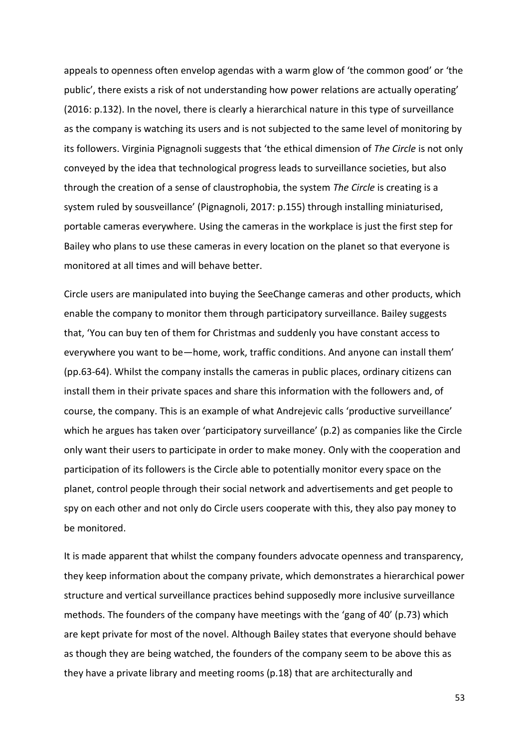appeals to openness often envelop agendas with a warm glow of 'the common good' or 'the public', there exists a risk of not understanding how power relations are actually operating' (2016: p.132). In the novel, there is clearly a hierarchical nature in this type of surveillance as the company is watching its users and is not subjected to the same level of monitoring by its followers. Virginia Pignagnoli suggests that 'the ethical dimension of *The Circle* is not only conveyed by the idea that technological progress leads to surveillance societies, but also through the creation of a sense of claustrophobia, the system *The Circle* is creating is a system ruled by sousveillance' (Pignagnoli, 2017: p.155) through installing miniaturised, portable cameras everywhere. Using the cameras in the workplace is just the first step for Bailey who plans to use these cameras in every location on the planet so that everyone is monitored at all times and will behave better.

Circle users are manipulated into buying the SeeChange cameras and other products, which enable the company to monitor them through participatory surveillance. Bailey suggests that, 'You can buy ten of them for Christmas and suddenly you have constant access to everywhere you want to be—home, work, traffic conditions. And anyone can install them' (pp.63-64). Whilst the company installs the cameras in public places, ordinary citizens can install them in their private spaces and share this information with the followers and, of course, the company. This is an example of what Andrejevic calls 'productive surveillance' which he argues has taken over 'participatory surveillance' (p.2) as companies like the Circle only want their users to participate in order to make money. Only with the cooperation and participation of its followers is the Circle able to potentially monitor every space on the planet, control people through their social network and advertisements and get people to spy on each other and not only do Circle users cooperate with this, they also pay money to be monitored.

It is made apparent that whilst the company founders advocate openness and transparency, they keep information about the company private, which demonstrates a hierarchical power structure and vertical surveillance practices behind supposedly more inclusive surveillance methods. The founders of the company have meetings with the 'gang of 40' (p.73) which are kept private for most of the novel. Although Bailey states that everyone should behave as though they are being watched, the founders of the company seem to be above this as they have a private library and meeting rooms (p.18) that are architecturally and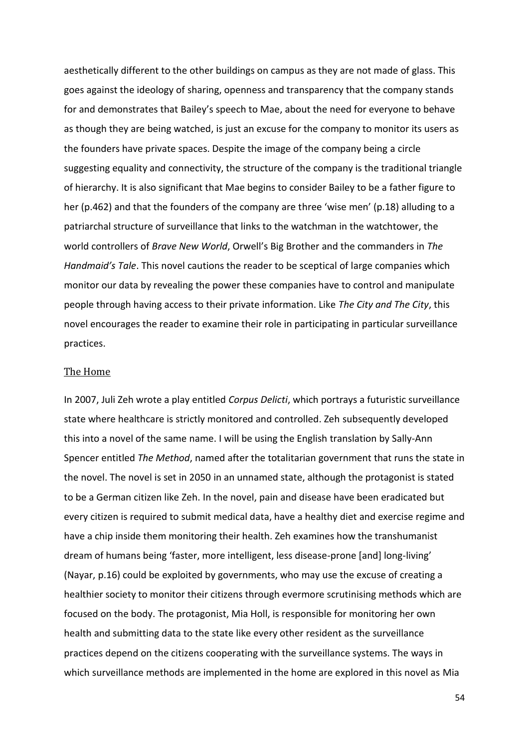aesthetically different to the other buildings on campus as they are not made of glass. This goes against the ideology of sharing, openness and transparency that the company stands for and demonstrates that Bailey's speech to Mae, about the need for everyone to behave as though they are being watched, is just an excuse for the company to monitor its users as the founders have private spaces. Despite the image of the company being a circle suggesting equality and connectivity, the structure of the company is the traditional triangle of hierarchy. It is also significant that Mae begins to consider Bailey to be a father figure to her (p.462) and that the founders of the company are three 'wise men' (p.18) alluding to a patriarchal structure of surveillance that links to the watchman in the watchtower, the world controllers of *Brave New World*, Orwell's Big Brother and the commanders in *The Handmaid's Tale*. This novel cautions the reader to be sceptical of large companies which monitor our data by revealing the power these companies have to control and manipulate people through having access to their private information. Like *The City and The City*, this novel encourages the reader to examine their role in participating in particular surveillance practices.

### The Home

In 2007, Juli Zeh wrote a play entitled *Corpus Delicti*, which portrays a futuristic surveillance state where healthcare is strictly monitored and controlled. Zeh subsequently developed this into a novel of the same name. I will be using the English translation by Sally-Ann Spencer entitled *The Method*, named after the totalitarian government that runs the state in the novel. The novel is set in 2050 in an unnamed state, although the protagonist is stated to be a German citizen like Zeh. In the novel, pain and disease have been eradicated but every citizen is required to submit medical data, have a healthy diet and exercise regime and have a chip inside them monitoring their health. Zeh examines how the transhumanist dream of humans being 'faster, more intelligent, less disease-prone [and] long-living' (Nayar, p.16) could be exploited by governments, who may use the excuse of creating a healthier society to monitor their citizens through evermore scrutinising methods which are focused on the body. The protagonist, Mia Holl, is responsible for monitoring her own health and submitting data to the state like every other resident as the surveillance practices depend on the citizens cooperating with the surveillance systems. The ways in which surveillance methods are implemented in the home are explored in this novel as Mia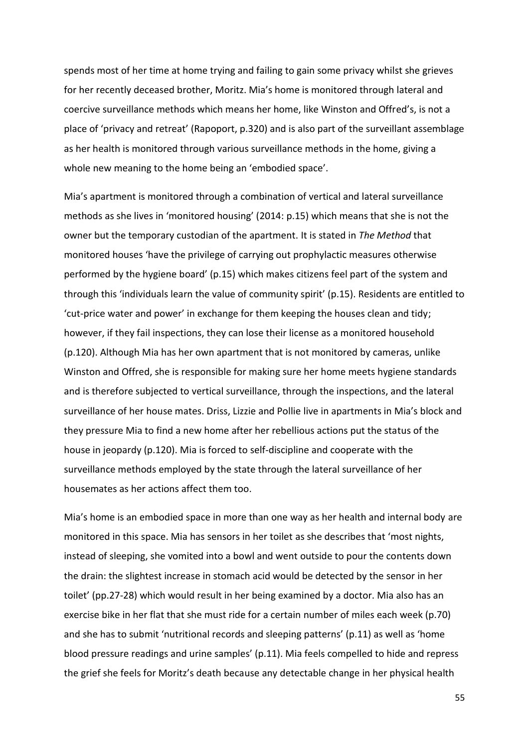spends most of her time at home trying and failing to gain some privacy whilst she grieves for her recently deceased brother, Moritz. Mia's home is monitored through lateral and coercive surveillance methods which means her home, like Winston and Offred's, is not a place of 'privacy and retreat' (Rapoport, p.320) and is also part of the surveillant assemblage as her health is monitored through various surveillance methods in the home, giving a whole new meaning to the home being an 'embodied space'.

Mia's apartment is monitored through a combination of vertical and lateral surveillance methods as she lives in 'monitored housing' (2014: p.15) which means that she is not the owner but the temporary custodian of the apartment. It is stated in *The Method* that monitored houses 'have the privilege of carrying out prophylactic measures otherwise performed by the hygiene board' (p.15) which makes citizens feel part of the system and through this 'individuals learn the value of community spirit' (p.15). Residents are entitled to 'cut-price water and power' in exchange for them keeping the houses clean and tidy; however, if they fail inspections, they can lose their license as a monitored household (p.120). Although Mia has her own apartment that is not monitored by cameras, unlike Winston and Offred, she is responsible for making sure her home meets hygiene standards and is therefore subjected to vertical surveillance, through the inspections, and the lateral surveillance of her house mates. Driss, Lizzie and Pollie live in apartments in Mia's block and they pressure Mia to find a new home after her rebellious actions put the status of the house in jeopardy (p.120). Mia is forced to self-discipline and cooperate with the surveillance methods employed by the state through the lateral surveillance of her housemates as her actions affect them too.

Mia's home is an embodied space in more than one way as her health and internal body are monitored in this space. Mia has sensors in her toilet as she describes that 'most nights, instead of sleeping, she vomited into a bowl and went outside to pour the contents down the drain: the slightest increase in stomach acid would be detected by the sensor in her toilet' (pp.27-28) which would result in her being examined by a doctor. Mia also has an exercise bike in her flat that she must ride for a certain number of miles each week (p.70) and she has to submit 'nutritional records and sleeping patterns' (p.11) as well as 'home blood pressure readings and urine samples' (p.11). Mia feels compelled to hide and repress the grief she feels for Moritz's death because any detectable change in her physical health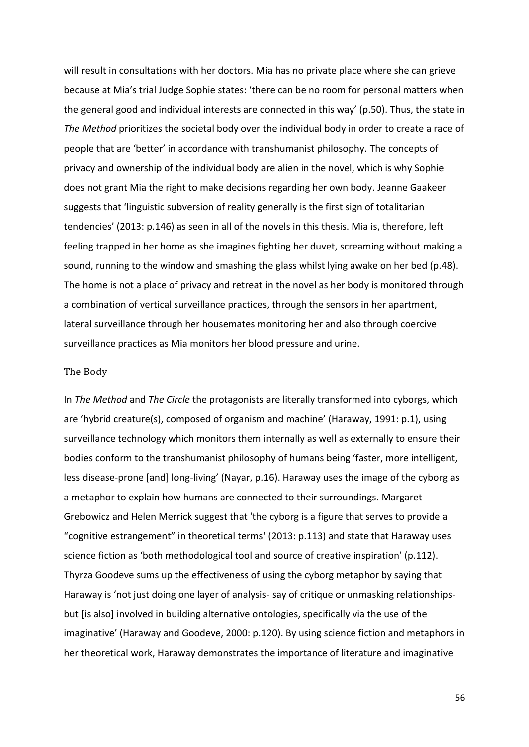will result in consultations with her doctors. Mia has no private place where she can grieve because at Mia's trial Judge Sophie states: 'there can be no room for personal matters when the general good and individual interests are connected in this way' (p.50). Thus, the state in *The Method* prioritizes the societal body over the individual body in order to create a race of people that are 'better' in accordance with transhumanist philosophy. The concepts of privacy and ownership of the individual body are alien in the novel, which is why Sophie does not grant Mia the right to make decisions regarding her own body. Jeanne Gaakeer suggests that 'linguistic subversion of reality generally is the first sign of totalitarian tendencies' (2013: p.146) as seen in all of the novels in this thesis. Mia is, therefore, left feeling trapped in her home as she imagines fighting her duvet, screaming without making a sound, running to the window and smashing the glass whilst lying awake on her bed (p.48). The home is not a place of privacy and retreat in the novel as her body is monitored through a combination of vertical surveillance practices, through the sensors in her apartment, lateral surveillance through her housemates monitoring her and also through coercive surveillance practices as Mia monitors her blood pressure and urine.

#### The Body

In *The Method* and *The Circle* the protagonists are literally transformed into cyborgs, which are 'hybrid creature(s), composed of organism and machine' (Haraway, 1991: p.1), using surveillance technology which monitors them internally as well as externally to ensure their bodies conform to the transhumanist philosophy of humans being 'faster, more intelligent, less disease-prone [and] long-living' (Nayar, p.16). Haraway uses the image of the cyborg as a metaphor to explain how humans are connected to their surroundings. Margaret Grebowicz and Helen Merrick suggest that 'the cyborg is a figure that serves to provide a "cognitive estrangement" in theoretical terms' (2013: p.113) and state that Haraway uses science fiction as 'both methodological tool and source of creative inspiration' (p.112). Thyrza Goodeve sums up the effectiveness of using the cyborg metaphor by saying that Haraway is 'not just doing one layer of analysis- say of critique or unmasking relationshipsbut [is also] involved in building alternative ontologies, specifically via the use of the imaginative' (Haraway and Goodeve, 2000: p.120). By using science fiction and metaphors in her theoretical work, Haraway demonstrates the importance of literature and imaginative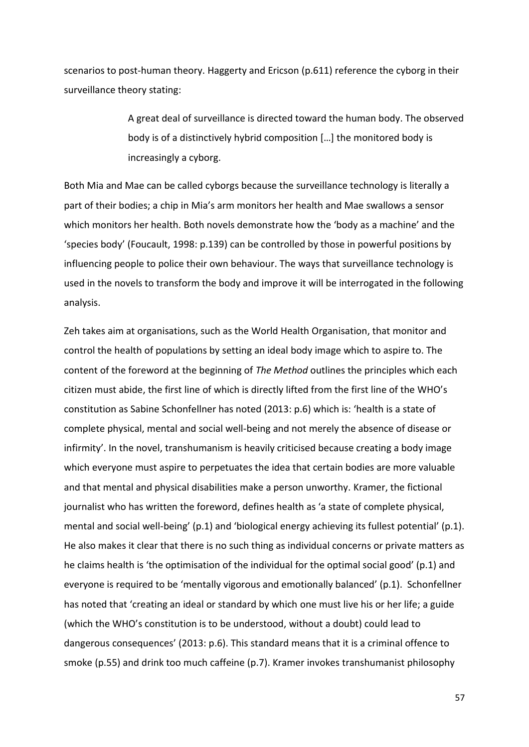scenarios to post-human theory. Haggerty and Ericson (p.611) reference the cyborg in their surveillance theory stating:

> A great deal of surveillance is directed toward the human body. The observed body is of a distinctively hybrid composition […] the monitored body is increasingly a cyborg.

Both Mia and Mae can be called cyborgs because the surveillance technology is literally a part of their bodies; a chip in Mia's arm monitors her health and Mae swallows a sensor which monitors her health. Both novels demonstrate how the 'body as a machine' and the 'species body' (Foucault, 1998: p.139) can be controlled by those in powerful positions by influencing people to police their own behaviour. The ways that surveillance technology is used in the novels to transform the body and improve it will be interrogated in the following analysis.

Zeh takes aim at organisations, such as the World Health Organisation, that monitor and control the health of populations by setting an ideal body image which to aspire to. The content of the foreword at the beginning of *The Method* outlines the principles which each citizen must abide, the first line of which is directly lifted from the first line of the WHO's constitution as Sabine Schonfellner has noted (2013: p.6) which is: 'health is a state of complete physical, mental and social well-being and not merely the absence of disease or infirmity'. In the novel, transhumanism is heavily criticised because creating a body image which everyone must aspire to perpetuates the idea that certain bodies are more valuable and that mental and physical disabilities make a person unworthy. Kramer, the fictional journalist who has written the foreword, defines health as 'a state of complete physical, mental and social well-being' (p.1) and 'biological energy achieving its fullest potential' (p.1). He also makes it clear that there is no such thing as individual concerns or private matters as he claims health is 'the optimisation of the individual for the optimal social good' (p.1) and everyone is required to be 'mentally vigorous and emotionally balanced' (p.1). Schonfellner has noted that 'creating an ideal or standard by which one must live his or her life; a guide (which the WHO's constitution is to be understood, without a doubt) could lead to dangerous consequences' (2013: p.6). This standard means that it is a criminal offence to smoke (p.55) and drink too much caffeine (p.7). Kramer invokes transhumanist philosophy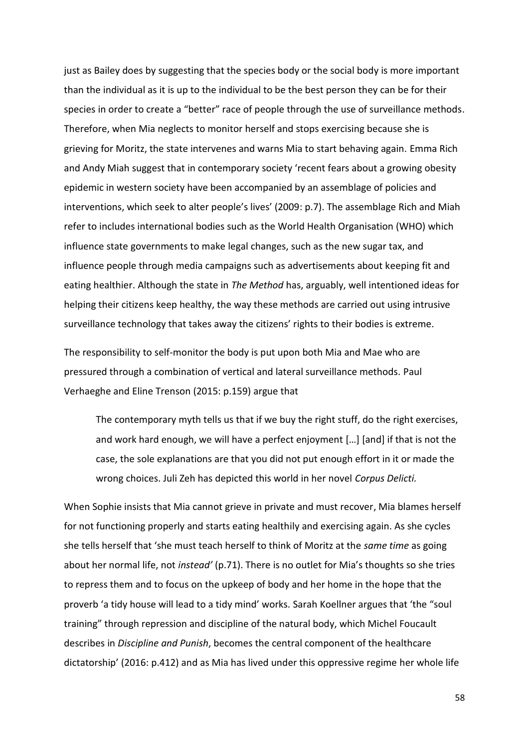just as Bailey does by suggesting that the species body or the social body is more important than the individual as it is up to the individual to be the best person they can be for their species in order to create a "better" race of people through the use of surveillance methods. Therefore, when Mia neglects to monitor herself and stops exercising because she is grieving for Moritz, the state intervenes and warns Mia to start behaving again. Emma Rich and Andy Miah suggest that in contemporary society 'recent fears about a growing obesity epidemic in western society have been accompanied by an assemblage of policies and interventions, which seek to alter people's lives' (2009: p.7). The assemblage Rich and Miah refer to includes international bodies such as the World Health Organisation (WHO) which influence state governments to make legal changes, such as the new sugar tax, and influence people through media campaigns such as advertisements about keeping fit and eating healthier. Although the state in *The Method* has, arguably, well intentioned ideas for helping their citizens keep healthy, the way these methods are carried out using intrusive surveillance technology that takes away the citizens' rights to their bodies is extreme.

The responsibility to self-monitor the body is put upon both Mia and Mae who are pressured through a combination of vertical and lateral surveillance methods. Paul Verhaeghe and Eline Trenson (2015: p.159) argue that

The contemporary myth tells us that if we buy the right stuff, do the right exercises, and work hard enough, we will have a perfect enjoyment […] [and] if that is not the case, the sole explanations are that you did not put enough effort in it or made the wrong choices. Juli Zeh has depicted this world in her novel *Corpus Delicti.*

When Sophie insists that Mia cannot grieve in private and must recover, Mia blames herself for not functioning properly and starts eating healthily and exercising again. As she cycles she tells herself that 'she must teach herself to think of Moritz at the *same time* as going about her normal life, not *instead'* (p.71). There is no outlet for Mia's thoughts so she tries to repress them and to focus on the upkeep of body and her home in the hope that the proverb 'a tidy house will lead to a tidy mind' works. Sarah Koellner argues that 'the "soul training" through repression and discipline of the natural body, which Michel Foucault describes in *Discipline and Punish*, becomes the central component of the healthcare dictatorship' (2016: p.412) and as Mia has lived under this oppressive regime her whole life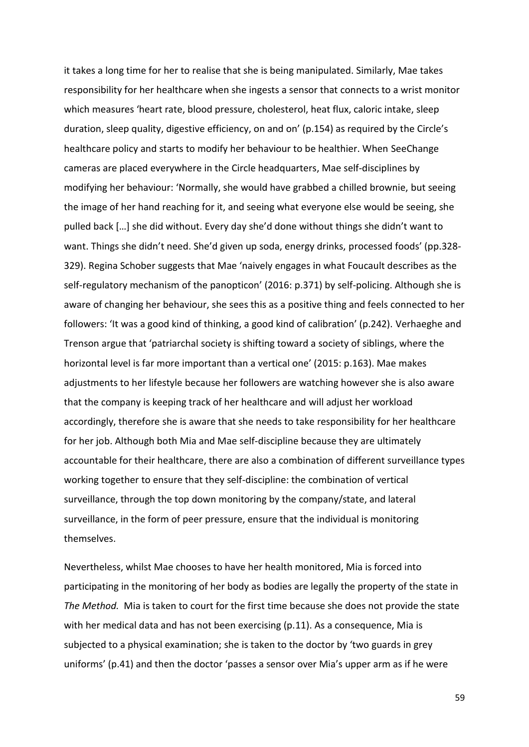it takes a long time for her to realise that she is being manipulated. Similarly, Mae takes responsibility for her healthcare when she ingests a sensor that connects to a wrist monitor which measures 'heart rate, blood pressure, cholesterol, heat flux, caloric intake, sleep duration, sleep quality, digestive efficiency, on and on' (p.154) as required by the Circle's healthcare policy and starts to modify her behaviour to be healthier. When SeeChange cameras are placed everywhere in the Circle headquarters, Mae self-disciplines by modifying her behaviour: 'Normally, she would have grabbed a chilled brownie, but seeing the image of her hand reaching for it, and seeing what everyone else would be seeing, she pulled back […] she did without. Every day she'd done without things she didn't want to want. Things she didn't need. She'd given up soda, energy drinks, processed foods' (pp.328- 329). Regina Schober suggests that Mae 'naively engages in what Foucault describes as the self-regulatory mechanism of the panopticon' (2016: p.371) by self-policing. Although she is aware of changing her behaviour, she sees this as a positive thing and feels connected to her followers: 'It was a good kind of thinking, a good kind of calibration' (p.242). Verhaeghe and Trenson argue that 'patriarchal society is shifting toward a society of siblings, where the horizontal level is far more important than a vertical one' (2015: p.163). Mae makes adjustments to her lifestyle because her followers are watching however she is also aware that the company is keeping track of her healthcare and will adjust her workload accordingly, therefore she is aware that she needs to take responsibility for her healthcare for her job. Although both Mia and Mae self-discipline because they are ultimately accountable for their healthcare, there are also a combination of different surveillance types working together to ensure that they self-discipline: the combination of vertical surveillance, through the top down monitoring by the company/state, and lateral surveillance, in the form of peer pressure, ensure that the individual is monitoring themselves.

Nevertheless, whilst Mae chooses to have her health monitored, Mia is forced into participating in the monitoring of her body as bodies are legally the property of the state in *The Method.* Mia is taken to court for the first time because she does not provide the state with her medical data and has not been exercising (p.11). As a consequence, Mia is subjected to a physical examination; she is taken to the doctor by 'two guards in grey uniforms' (p.41) and then the doctor 'passes a sensor over Mia's upper arm as if he were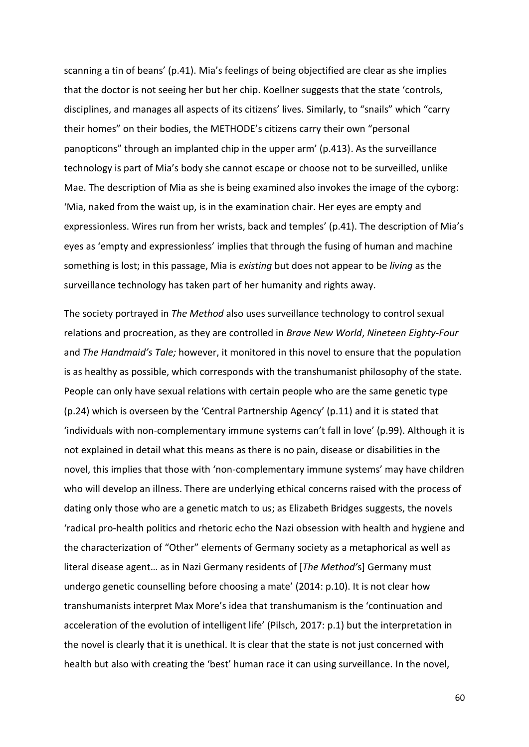scanning a tin of beans' (p.41). Mia's feelings of being objectified are clear as she implies that the doctor is not seeing her but her chip. Koellner suggests that the state 'controls, disciplines, and manages all aspects of its citizens' lives. Similarly, to "snails" which "carry their homes" on their bodies, the METHODE's citizens carry their own "personal panopticons" through an implanted chip in the upper arm' (p.413). As the surveillance technology is part of Mia's body she cannot escape or choose not to be surveilled, unlike Mae. The description of Mia as she is being examined also invokes the image of the cyborg: 'Mia, naked from the waist up, is in the examination chair. Her eyes are empty and expressionless. Wires run from her wrists, back and temples' (p.41). The description of Mia's eyes as 'empty and expressionless' implies that through the fusing of human and machine something is lost; in this passage, Mia is *existing* but does not appear to be *living* as the surveillance technology has taken part of her humanity and rights away.

The society portrayed in *The Method* also uses surveillance technology to control sexual relations and procreation, as they are controlled in *Brave New World*, *Nineteen Eighty-Four* and *The Handmaid's Tale;* however, it monitored in this novel to ensure that the population is as healthy as possible, which corresponds with the transhumanist philosophy of the state. People can only have sexual relations with certain people who are the same genetic type (p.24) which is overseen by the 'Central Partnership Agency' (p.11) and it is stated that 'individuals with non-complementary immune systems can't fall in love' (p.99). Although it is not explained in detail what this means as there is no pain, disease or disabilities in the novel, this implies that those with 'non-complementary immune systems' may have children who will develop an illness. There are underlying ethical concerns raised with the process of dating only those who are a genetic match to us; as Elizabeth Bridges suggests, the novels 'radical pro-health politics and rhetoric echo the Nazi obsession with health and hygiene and the characterization of "Other" elements of Germany society as a metaphorical as well as literal disease agent… as in Nazi Germany residents of [*The Method'*s] Germany must undergo genetic counselling before choosing a mate' (2014: p.10). It is not clear how transhumanists interpret Max More's idea that transhumanism is the 'continuation and acceleration of the evolution of intelligent life' (Pilsch, 2017: p.1) but the interpretation in the novel is clearly that it is unethical. It is clear that the state is not just concerned with health but also with creating the 'best' human race it can using surveillance. In the novel,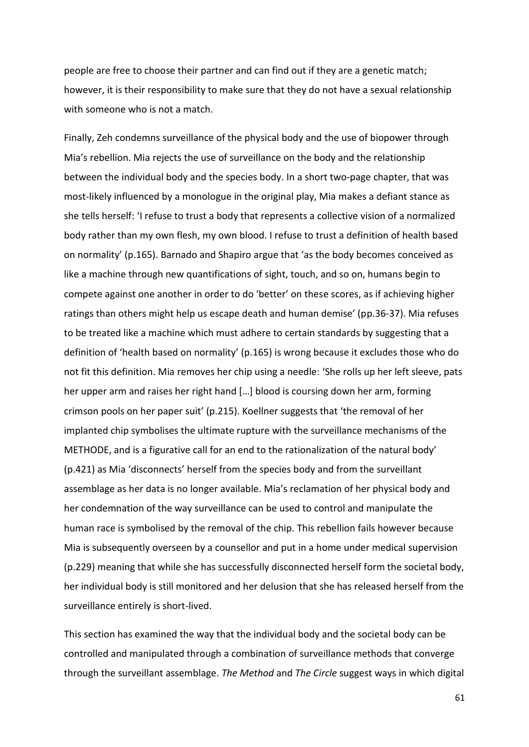people are free to choose their partner and can find out if they are a genetic match; however, it is their responsibility to make sure that they do not have a sexual relationship with someone who is not a match.

Finally, Zeh condemns surveillance of the physical body and the use of biopower through Mia's rebellion. Mia rejects the use of surveillance on the body and the relationship between the individual body and the species body. In a short two-page chapter, that was most-likely influenced by a monologue in the original play, Mia makes a defiant stance as she tells herself: 'I refuse to trust a body that represents a collective vision of a normalized body rather than my own flesh, my own blood. I refuse to trust a definition of health based on normality' (p.165). Barnado and Shapiro argue that 'as the body becomes conceived as like a machine through new quantifications of sight, touch, and so on, humans begin to compete against one another in order to do 'better' on these scores, as if achieving higher ratings than others might help us escape death and human demise' (pp.36-37). Mia refuses to be treated like a machine which must adhere to certain standards by suggesting that a definition of 'health based on normality' (p.165) is wrong because it excludes those who do not fit this definition. Mia removes her chip using a needle: 'She rolls up her left sleeve, pats her upper arm and raises her right hand […] blood is coursing down her arm, forming crimson pools on her paper suit' (p.215). Koellner suggests that 'the removal of her implanted chip symbolises the ultimate rupture with the surveillance mechanisms of the METHODE, and is a figurative call for an end to the rationalization of the natural body' (p.421) as Mia 'disconnects' herself from the species body and from the surveillant assemblage as her data is no longer available. Mia's reclamation of her physical body and her condemnation of the way surveillance can be used to control and manipulate the human race is symbolised by the removal of the chip. This rebellion fails however because Mia is subsequently overseen by a counsellor and put in a home under medical supervision (p.229) meaning that while she has successfully disconnected herself form the societal body, her individual body is still monitored and her delusion that she has released herself from the surveillance entirely is short-lived.

This section has examined the way that the individual body and the societal body can be controlled and manipulated through a combination of surveillance methods that converge through the surveillant assemblage. *The Method* and *The Circle* suggest ways in which digital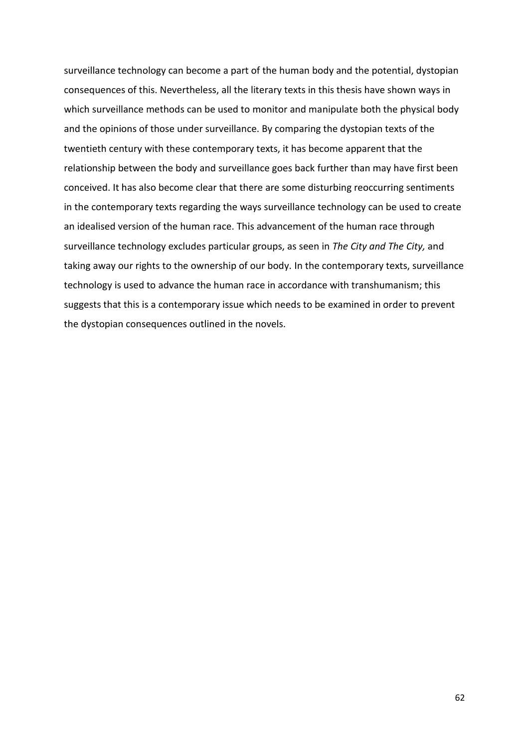surveillance technology can become a part of the human body and the potential, dystopian consequences of this. Nevertheless, all the literary texts in this thesis have shown ways in which surveillance methods can be used to monitor and manipulate both the physical body and the opinions of those under surveillance. By comparing the dystopian texts of the twentieth century with these contemporary texts, it has become apparent that the relationship between the body and surveillance goes back further than may have first been conceived. It has also become clear that there are some disturbing reoccurring sentiments in the contemporary texts regarding the ways surveillance technology can be used to create an idealised version of the human race. This advancement of the human race through surveillance technology excludes particular groups, as seen in *The City and The City,* and taking away our rights to the ownership of our body. In the contemporary texts, surveillance technology is used to advance the human race in accordance with transhumanism; this suggests that this is a contemporary issue which needs to be examined in order to prevent the dystopian consequences outlined in the novels.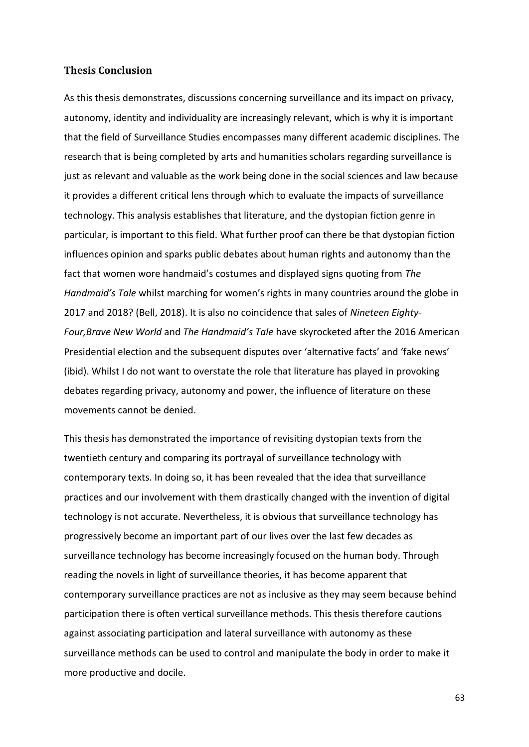# **Thesis Conclusion**

As this thesis demonstrates, discussions concerning surveillance and its impact on privacy, autonomy, identity and individuality are increasingly relevant, which is why it is important that the field of Surveillance Studies encompasses many different academic disciplines. The research that is being completed by arts and humanities scholars regarding surveillance is just as relevant and valuable as the work being done in the social sciences and law because it provides a different critical lens through which to evaluate the impacts of surveillance technology. This analysis establishes that literature, and the dystopian fiction genre in particular, is important to this field. What further proof can there be that dystopian fiction influences opinion and sparks public debates about human rights and autonomy than the fact that women wore handmaid's costumes and displayed signs quoting from *The Handmaid's Tale* whilst marching for women's rights in many countries around the globe in 2017 and 2018? (Bell, 2018). It is also no coincidence that sales of *Nineteen Eighty-Four,Brave New World* and *The Handmaid's Tale* have skyrocketed after the 2016 American Presidential election and the subsequent disputes over 'alternative facts' and 'fake news' (ibid). Whilst I do not want to overstate the role that literature has played in provoking debates regarding privacy, autonomy and power, the influence of literature on these movements cannot be denied.

This thesis has demonstrated the importance of revisiting dystopian texts from the twentieth century and comparing its portrayal of surveillance technology with contemporary texts. In doing so, it has been revealed that the idea that surveillance practices and our involvement with them drastically changed with the invention of digital technology is not accurate. Nevertheless, it is obvious that surveillance technology has progressively become an important part of our lives over the last few decades as surveillance technology has become increasingly focused on the human body. Through reading the novels in light of surveillance theories, it has become apparent that contemporary surveillance practices are not as inclusive as they may seem because behind participation there is often vertical surveillance methods. This thesis therefore cautions against associating participation and lateral surveillance with autonomy as these surveillance methods can be used to control and manipulate the body in order to make it more productive and docile.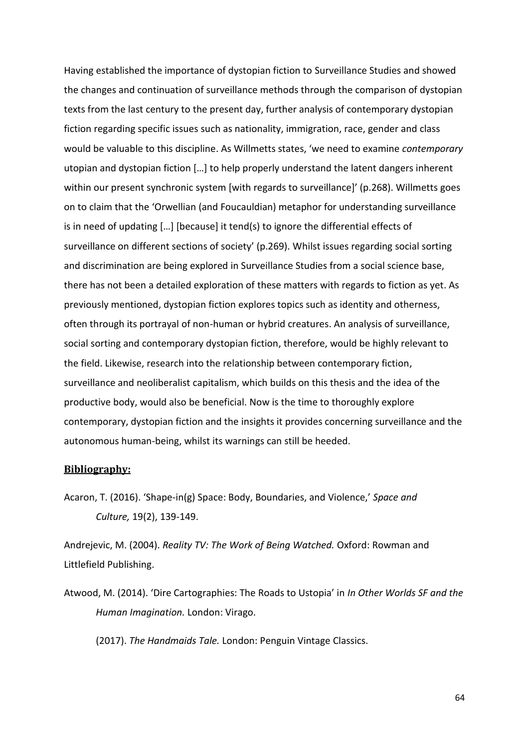Having established the importance of dystopian fiction to Surveillance Studies and showed the changes and continuation of surveillance methods through the comparison of dystopian texts from the last century to the present day, further analysis of contemporary dystopian fiction regarding specific issues such as nationality, immigration, race, gender and class would be valuable to this discipline. As Willmetts states, 'we need to examine *contemporary*  utopian and dystopian fiction […] to help properly understand the latent dangers inherent within our present synchronic system [with regards to surveillance]' (p.268). Willmetts goes on to claim that the 'Orwellian (and Foucauldian) metaphor for understanding surveillance is in need of updating […] [because] it tend(s) to ignore the differential effects of surveillance on different sections of society' (p.269). Whilst issues regarding social sorting and discrimination are being explored in Surveillance Studies from a social science base, there has not been a detailed exploration of these matters with regards to fiction as yet. As previously mentioned, dystopian fiction explores topics such as identity and otherness, often through its portrayal of non-human or hybrid creatures. An analysis of surveillance, social sorting and contemporary dystopian fiction, therefore, would be highly relevant to the field. Likewise, research into the relationship between contemporary fiction, surveillance and neoliberalist capitalism, which builds on this thesis and the idea of the productive body, would also be beneficial. Now is the time to thoroughly explore contemporary, dystopian fiction and the insights it provides concerning surveillance and the autonomous human-being, whilst its warnings can still be heeded.

# **Bibliography:**

Acaron, T. (2016). 'Shape-in(g) Space: Body, Boundaries, and Violence,' *Space and Culture,* 19(2), 139-149.

Andrejevic, M. (2004). *Reality TV: The Work of Being Watched.* Oxford: Rowman and Littlefield Publishing.

Atwood, M. (2014). 'Dire Cartographies: The Roads to Ustopia' in *In Other Worlds SF and the Human Imagination.* London: Virago.

(2017). *The Handmaids Tale.* London: Penguin Vintage Classics.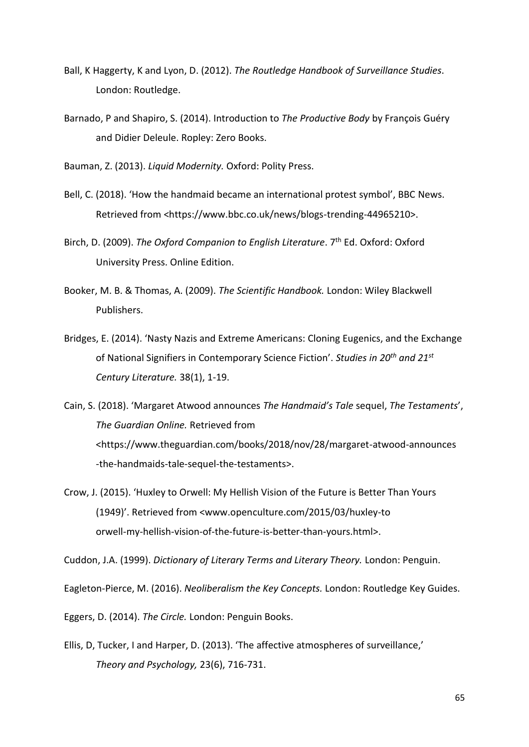- Ball, K Haggerty, K and Lyon, D. (2012). *The Routledge Handbook of Surveillance Studies*. London: Routledge.
- Barnado, P and Shapiro, S. (2014). Introduction to *The Productive Body* by François Guéry and Didier Deleule. Ropley: Zero Books.

Bauman, Z. (2013). *Liquid Modernity.* Oxford: Polity Press.

- Bell, C. (2018). 'How the handmaid became an international protest symbol', BBC News. Retrieved from <https://www.bbc.co.uk/news/blogs-trending-44965210>.
- Birch, D. (2009). *The Oxford Companion to English Literature*. 7<sup>th</sup> Ed. Oxford: Oxford University Press. Online Edition.
- Booker, M. B. & Thomas, A. (2009). *The Scientific Handbook.* London: Wiley Blackwell Publishers.
- Bridges, E. (2014). 'Nasty Nazis and Extreme Americans: Cloning Eugenics, and the Exchange of National Signifiers in Contemporary Science Fiction'. *Studies in 20th and 21st Century Literature.* 38(1), 1-19.

Cain, S. (2018). 'Margaret Atwood announces *The Handmaid's Tale* sequel, *The Testaments*', *The Guardian Online.* Retrieved from <https://www.theguardian.com/books/2018/nov/28/margaret-atwood-announces -the-handmaids-tale-sequel-the-testaments>.

Crow, J. (2015). 'Huxley to Orwell: My Hellish Vision of the Future is Better Than Yours (1949)'. Retrieved from <www.openculture.com/2015/03/huxley-to orwell-my-hellish-vision-of-the-future-is-better-than-yours.html>.

Cuddon, J.A. (1999). *Dictionary of Literary Terms and Literary Theory.* London: Penguin.

Eagleton-Pierce, M. (2016). *Neoliberalism the Key Concepts.* London: Routledge Key Guides.

Eggers, D. (2014). *The Circle.* London: Penguin Books.

Ellis, D, Tucker, I and Harper, D. (2013). 'The affective atmospheres of surveillance,' *Theory and Psychology,* 23(6), 716-731.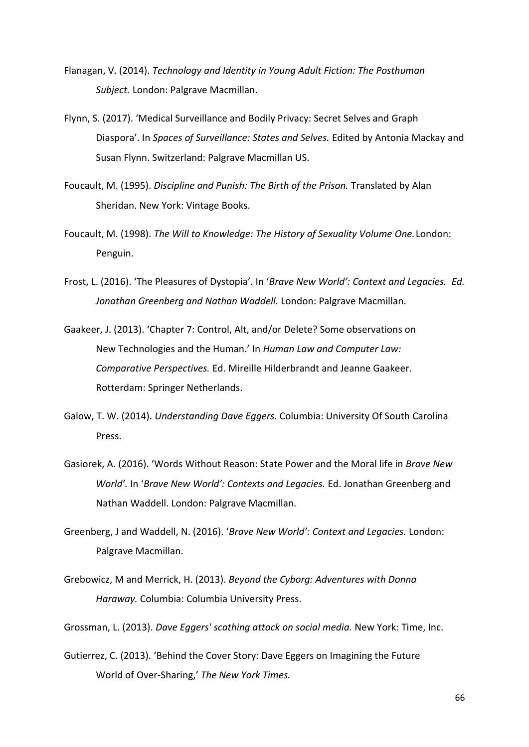Flanagan, V. (2014). *Technology and Identity in Young Adult Fiction: The Posthuman Subject.* London: Palgrave Macmillan.

- Flynn, S. (2017). 'Medical Surveillance and Bodily Privacy: Secret Selves and Graph Diaspora'. In *Spaces of Surveillance: States and Selves.* Edited by Antonia Mackay and Susan Flynn. Switzerland: Palgrave Macmillan US.
- Foucault, M. (1995). *Discipline and Punish: The Birth of the Prison.* Translated by Alan Sheridan. New York: Vintage Books.
- Foucault, M. (1998). *The Will to Knowledge: The History of Sexuality Volume One.*London: Penguin.
- Frost, L. (2016). 'The Pleasures of Dystopia'. In '*Brave New World': Context and Legacies. Ed. Jonathan Greenberg and Nathan Waddell.* London: Palgrave Macmillan.
- Gaakeer, J. (2013). 'Chapter 7: Control, Alt, and/or Delete? Some observations on New Technologies and the Human.' In *Human Law and Computer Law: Comparative Perspectives.* Ed. Mireille Hilderbrandt and Jeanne Gaakeer. Rotterdam: Springer Netherlands.
- Galow, T. W. (2014). *Understanding Dave Eggers.* Columbia: University Of South Carolina **Press**
- Gasiorek, A. (2016). 'Words Without Reason: State Power and the Moral life in *Brave New World'.* In '*Brave New World': Contexts and Legacies.* Ed. Jonathan Greenberg and Nathan Waddell. London: Palgrave Macmillan.
- Greenberg, J and Waddell, N. (2016). '*Brave New World': Context and Legacies.* London: Palgrave Macmillan.
- Grebowicz, M and Merrick, H. (2013). *Beyond the Cyborg: Adventures with Donna Haraway.* Columbia: Columbia University Press.

Grossman, L. (2013). *Dave Eggers' scathing attack on social media.* New York: Time, Inc.

Gutierrez, C. (2013). 'Behind the Cover Story: Dave Eggers on Imagining the Future World of Over-Sharing,' *The New York Times.*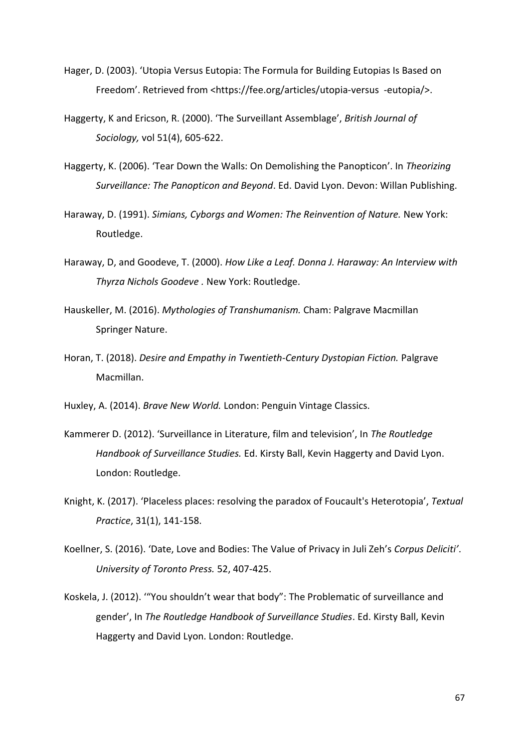- Hager, D. (2003). 'Utopia Versus Eutopia: The Formula for Building Eutopias Is Based on Freedom'. Retrieved from <https://fee.org/articles/utopia-versus -eutopia/>.
- Haggerty, K and Ericson, R. (2000). 'The Surveillant Assemblage', *British Journal of Sociology,* vol 51(4), 605-622.
- Haggerty, K. (2006). 'Tear Down the Walls: On Demolishing the Panopticon'. In *Theorizing Surveillance: The Panopticon and Beyond*. Ed. David Lyon. Devon: Willan Publishing.
- Haraway, D. (1991). *Simians, Cyborgs and Women: The Reinvention of Nature.* New York: Routledge.
- Haraway, D, and Goodeve, T. (2000). *How Like a Leaf. Donna J. Haraway: An Interview with Thyrza Nichols Goodeve .* New York: Routledge.
- Hauskeller, M. (2016). *Mythologies of Transhumanism.* Cham: Palgrave Macmillan Springer Nature.
- Horan, T. (2018). *Desire and Empathy in Twentieth-Century Dystopian Fiction.* Palgrave Macmillan.

Huxley, A. (2014). *Brave New World.* London: Penguin Vintage Classics.

- Kammerer D. (2012). 'Surveillance in Literature, film and television', In *The Routledge Handbook of Surveillance Studies.* Ed. Kirsty Ball, Kevin Haggerty and David Lyon. London: Routledge.
- Knight, K. (2017). 'Placeless places: resolving the paradox of Foucault's Heterotopia', *Textual Practice*, 31(1), 141-158.
- Koellner, S. (2016). 'Date, Love and Bodies: The Value of Privacy in Juli Zeh's *Corpus Deliciti'*. *University of Toronto Press.* 52, 407-425.
- Koskela, J. (2012). '"You shouldn't wear that body": The Problematic of surveillance and gender', In *The Routledge Handbook of Surveillance Studies*. Ed. Kirsty Ball, Kevin Haggerty and David Lyon. London: Routledge.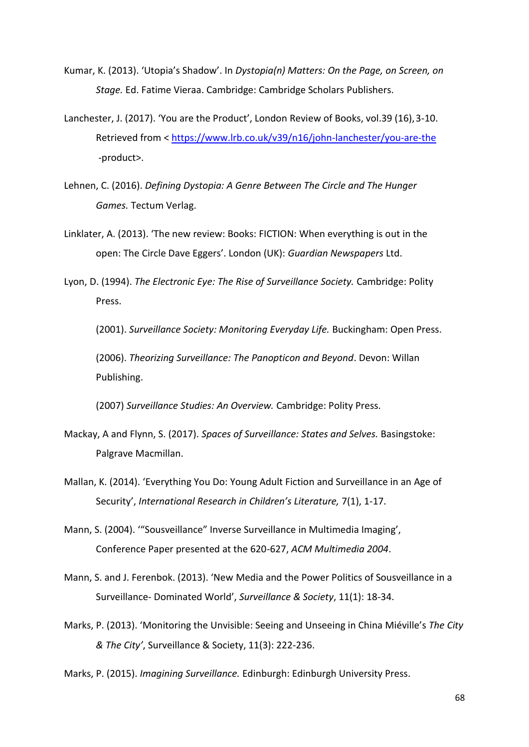- Kumar, K. (2013). 'Utopia's Shadow'. In *Dystopia(n) Matters: On the Page, on Screen, on Stage.* Ed. Fatime Vieraa. Cambridge: Cambridge Scholars Publishers.
- Lanchester, J. (2017). 'You are the Product', London Review of Books, vol.39 (16),3-10. Retrieved from <<https://www.lrb.co.uk/v39/n16/john-lanchester/you-are-the> -product>.
- Lehnen, C. (2016). *Defining Dystopia: A Genre Between The Circle and The Hunger Games.* Tectum Verlag.
- Linklater, A. (2013). 'The new review: Books: FICTION: When everything is out in the open: The Circle Dave Eggers'. London (UK): *Guardian Newspapers* Ltd.
- Lyon, D. (1994). *The Electronic Eye: The Rise of Surveillance Society.* Cambridge: Polity Press.

(2001). *Surveillance Society: Monitoring Everyday Life.* Buckingham: Open Press.

(2006). *Theorizing Surveillance: The Panopticon and Beyond*. Devon: Willan Publishing.

(2007) *Surveillance Studies: An Overview.* Cambridge: Polity Press.

- Mackay, A and Flynn, S. (2017). *Spaces of Surveillance: States and Selves.* Basingstoke: Palgrave Macmillan.
- Mallan, K. (2014). 'Everything You Do: Young Adult Fiction and Surveillance in an Age of Security', *International Research in Children's Literature,* 7(1), 1-17.
- Mann, S. (2004). '"Sousveillance" Inverse Surveillance in Multimedia Imaging', Conference Paper presented at the 620-627, *ACM Multimedia 2004*.
- Mann, S. and J. Ferenbok. (2013). 'New Media and the Power Politics of Sousveillance in a Surveillance- Dominated World', *Surveillance & Society*, 11(1): 18-34.
- Marks, P. (2013). 'Monitoring the Unvisible: Seeing and Unseeing in China Miéville's *The City & The City'*, Surveillance & Society, 11(3): 222-236.

Marks, P. (2015). *Imagining Surveillance.* Edinburgh: Edinburgh University Press.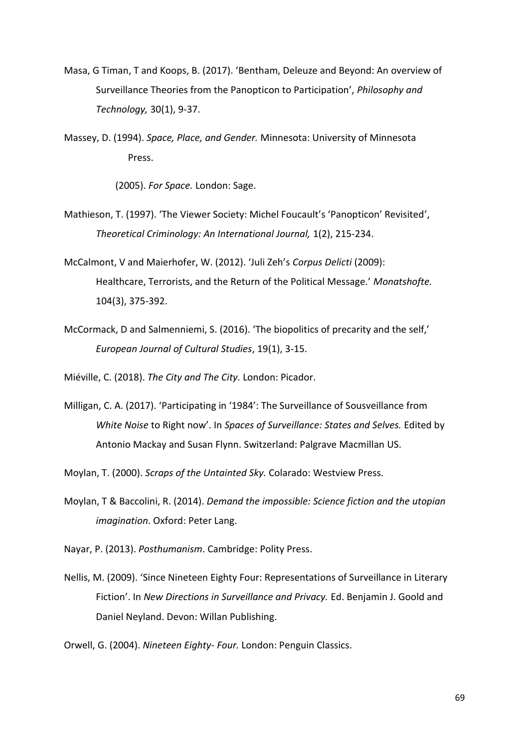- Masa, G Timan, T and Koops, B. (2017). 'Bentham, Deleuze and Beyond: An overview of Surveillance Theories from the Panopticon to Participation', *Philosophy and Technology,* 30(1), 9-37.
- Massey, D. (1994). *Space, Place, and Gender.* Minnesota: University of Minnesota Press.

(2005). *For Space.* London: Sage.

- Mathieson, T. (1997). 'The Viewer Society: Michel Foucault's 'Panopticon' Revisited', *Theoretical Criminology: An International Journal,* 1(2), 215-234.
- McCalmont, V and Maierhofer, W. (2012). 'Juli Zeh's *Corpus Delicti* (2009): Healthcare, Terrorists, and the Return of the Political Message.' *Monatshofte.* 104(3), 375-392.
- McCormack, D and Salmenniemi, S. (2016). 'The biopolitics of precarity and the self,' *European Journal of Cultural Studies*, 19(1), 3-15.

Miéville, C. (2018). *The City and The City.* London: Picador.

Milligan, C. A. (2017). 'Participating in '1984': The Surveillance of Sousveillance from *White Noise* to Right now'. In *Spaces of Surveillance: States and Selves.* Edited by Antonio Mackay and Susan Flynn. Switzerland: Palgrave Macmillan US.

Moylan, T. (2000). *Scraps of the Untainted Sky.* Colarado: Westview Press.

Moylan, T & Baccolini, R. (2014). *Demand the impossible: Science fiction and the utopian imagination*. Oxford: Peter Lang.

Nayar, P. (2013). *Posthumanism*. Cambridge: Polity Press.

Nellis, M. (2009). 'Since Nineteen Eighty Four: Representations of Surveillance in Literary Fiction'. In *New Directions in Surveillance and Privacy.* Ed. Benjamin J. Goold and Daniel Neyland. Devon: Willan Publishing.

Orwell, G. (2004). *Nineteen Eighty- Four.* London: Penguin Classics.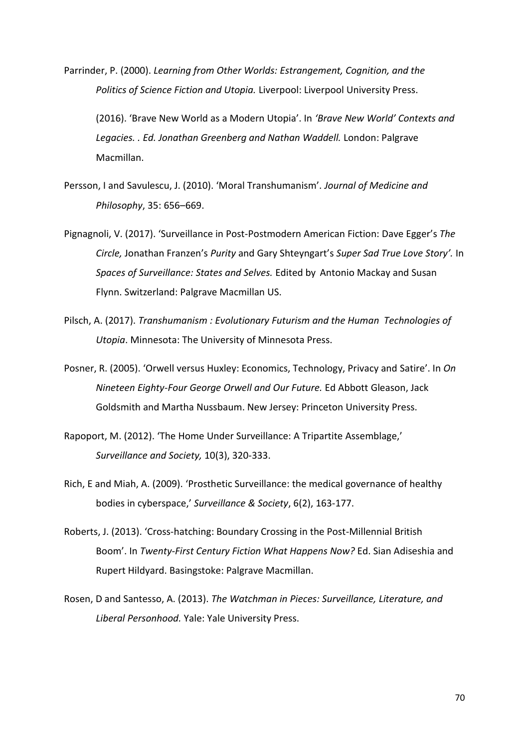Parrinder, P. (2000). *Learning from Other Worlds: Estrangement, Cognition, and the Politics of Science Fiction and Utopia.* Liverpool: Liverpool University Press.

(2016). 'Brave New World as a Modern Utopia'. In *'Brave New World' Contexts and Legacies. . Ed. Jonathan Greenberg and Nathan Waddell.* London: Palgrave Macmillan.

- Persson, I and Savulescu, J. (2010). 'Moral Transhumanism'. *Journal of Medicine and Philosophy*, 35: 656–669.
- Pignagnoli, V. (2017). 'Surveillance in Post-Postmodern American Fiction: Dave Egger's *The Circle,* Jonathan Franzen's *Purity* and Gary Shteyngart's *Super Sad True Love Story'.* In *Spaces of Surveillance: States and Selves.* Edited by Antonio Mackay and Susan Flynn. Switzerland: Palgrave Macmillan US.
- Pilsch, A. (2017). *Transhumanism : Evolutionary Futurism and the Human Technologies of Utopia*. Minnesota: The University of Minnesota Press.
- Posner, R. (2005). 'Orwell versus Huxley: Economics, Technology, Privacy and Satire'. In *On Nineteen Eighty-Four George Orwell and Our Future.* Ed Abbott Gleason, Jack Goldsmith and Martha Nussbaum. New Jersey: Princeton University Press.
- Rapoport, M. (2012). 'The Home Under Surveillance: A Tripartite Assemblage,' *Surveillance and Society,* 10(3), 320-333.
- Rich, E and Miah, A. (2009). 'Prosthetic Surveillance: the medical governance of healthy bodies in cyberspace,' *Surveillance & Society*, 6(2), 163-177.
- Roberts, J. (2013). 'Cross-hatching: Boundary Crossing in the Post-Millennial British Boom'. In *Twenty-First Century Fiction What Happens Now?* Ed. Sian Adiseshia and Rupert Hildyard. Basingstoke: Palgrave Macmillan.
- Rosen, D and Santesso, A. (2013). *The Watchman in Pieces: Surveillance, Literature, and Liberal Personhood.* Yale: Yale University Press.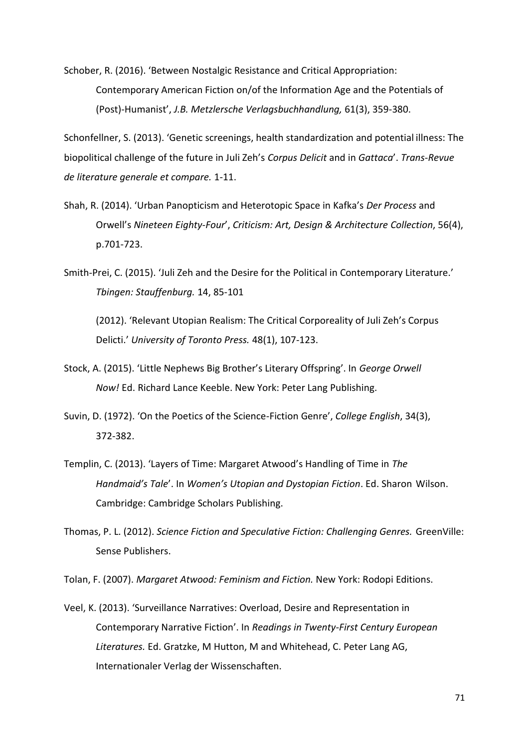Schober, R. (2016). 'Between Nostalgic Resistance and Critical Appropriation: Contemporary American Fiction on/of the Information Age and the Potentials of (Post)-Humanist', *J.B. Metzlersche Verlagsbuchhandlung,* 61(3), 359-380.

Schonfellner, S. (2013). 'Genetic screenings, health standardization and potential illness: The biopolitical challenge of the future in Juli Zeh's *Corpus Delicit* and in *Gattaca*'. *Trans-Revue de literature generale et compare.* 1-11.

- Shah, R. (2014). 'Urban Panopticism and Heterotopic Space in Kafka's *Der Process* and Orwell's *Nineteen Eighty-Four*', *Criticism: Art, Design & Architecture Collection*, 56(4), p.701-723.
- Smith-Prei, C. (2015). 'Juli Zeh and the Desire for the Political in Contemporary Literature.' *Tbingen: Stauffenburg.* 14, 85-101

(2012). 'Relevant Utopian Realism: The Critical Corporeality of Juli Zeh's Corpus Delicti.' *University of Toronto Press.* 48(1), 107-123.

- Stock, A. (2015). 'Little Nephews Big Brother's Literary Offspring'. In *George Orwell Now!* Ed. Richard Lance Keeble. New York: Peter Lang Publishing.
- Suvin, D. (1972). 'On the Poetics of the Science-Fiction Genre', *College English*, 34(3), 372-382.
- Templin, C. (2013). 'Layers of Time: Margaret Atwood's Handling of Time in *The Handmaid's Tale*'. In *Women's Utopian and Dystopian Fiction*. Ed. Sharon Wilson. Cambridge: Cambridge Scholars Publishing.
- Thomas, P. L. (2012). *Science Fiction and Speculative Fiction: Challenging Genres.* GreenVille: Sense Publishers.

Tolan, F. (2007). *Margaret Atwood: Feminism and Fiction.* New York: Rodopi Editions.

Veel, K. (2013). 'Surveillance Narratives: Overload, Desire and Representation in Contemporary Narrative Fiction'. In *Readings in Twenty-First Century European Literatures.* Ed. Gratzke, M Hutton, M and Whitehead, C. Peter Lang AG, Internationaler Verlag der Wissenschaften.